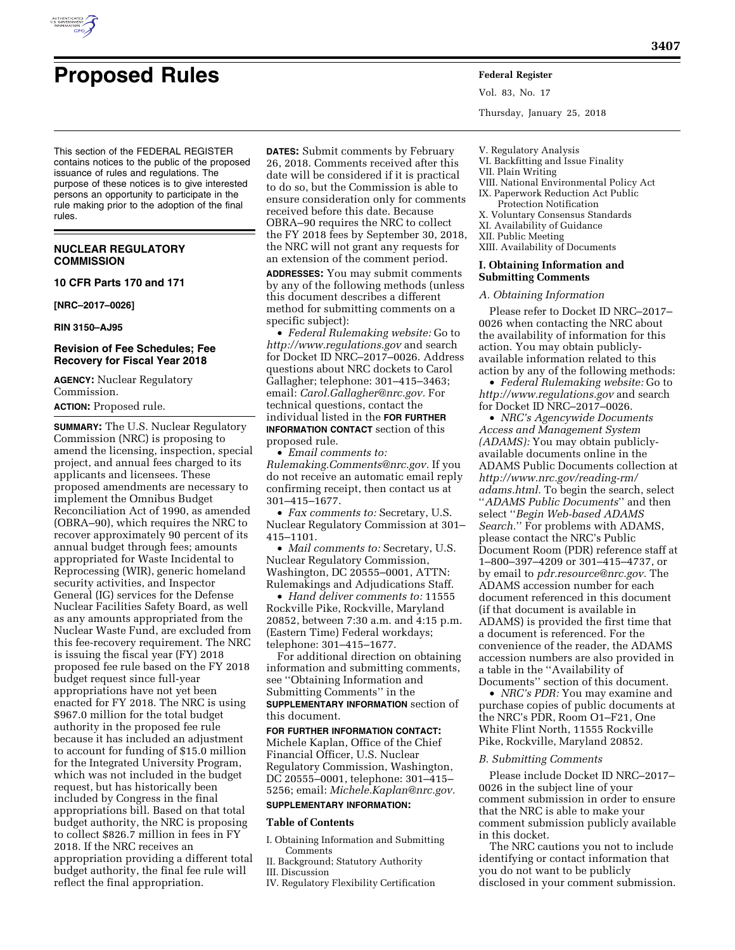

# **Proposed Rules Federal Register**

This section of the FEDERAL REGISTER contains notices to the public of the proposed issuance of rules and regulations. The purpose of these notices is to give interested persons an opportunity to participate in the rule making prior to the adoption of the final rules.

#### **NUCLEAR REGULATORY COMMISSION**

#### **10 CFR Parts 170 and 171**

**[NRC–2017–0026]** 

#### **RIN 3150–AJ95**

#### **Revision of Fee Schedules; Fee Recovery for Fiscal Year 2018**

**AGENCY:** Nuclear Regulatory Commission.

**ACTION:** Proposed rule.

**SUMMARY:** The U.S. Nuclear Regulatory Commission (NRC) is proposing to amend the licensing, inspection, special project, and annual fees charged to its applicants and licensees. These proposed amendments are necessary to implement the Omnibus Budget Reconciliation Act of 1990, as amended (OBRA–90), which requires the NRC to recover approximately 90 percent of its annual budget through fees; amounts appropriated for Waste Incidental to Reprocessing (WIR), generic homeland security activities, and Inspector General (IG) services for the Defense Nuclear Facilities Safety Board, as well as any amounts appropriated from the Nuclear Waste Fund, are excluded from this fee-recovery requirement. The NRC is issuing the fiscal year (FY) 2018 proposed fee rule based on the FY 2018 budget request since full-year appropriations have not yet been enacted for FY 2018. The NRC is using \$967.0 million for the total budget authority in the proposed fee rule because it has included an adjustment to account for funding of \$15.0 million for the Integrated University Program, which was not included in the budget request, but has historically been included by Congress in the final appropriations bill. Based on that total budget authority, the NRC is proposing to collect \$826.7 million in fees in FY 2018. If the NRC receives an appropriation providing a different total budget authority, the final fee rule will reflect the final appropriation.

**DATES:** Submit comments by February 26, 2018. Comments received after this date will be considered if it is practical to do so, but the Commission is able to ensure consideration only for comments received before this date. Because OBRA–90 requires the NRC to collect the FY 2018 fees by September 30, 2018, the NRC will not grant any requests for an extension of the comment period.

**ADDRESSES:** You may submit comments by any of the following methods (unless this document describes a different method for submitting comments on a specific subject):

• *Federal Rulemaking website:* Go to *<http://www.regulations.gov>* and search for Docket ID NRC–2017–0026. Address questions about NRC dockets to Carol Gallagher; telephone: 301–415–3463; email: *[Carol.Gallagher@nrc.gov.](mailto:Carol.Gallagher@nrc.gov)* For technical questions, contact the individual listed in the **FOR FURTHER INFORMATION CONTACT** section of this proposed rule.

• *Email comments to: [Rulemaking.Comments@nrc.gov.](mailto:Rulemaking.Comments@nrc.gov)* If you do not receive an automatic email reply confirming receipt, then contact us at 301–415–1677.

• *Fax comments to:* Secretary, U.S. Nuclear Regulatory Commission at 301– 415–1101.

• *Mail comments to:* Secretary, U.S. Nuclear Regulatory Commission, Washington, DC 20555–0001, ATTN: Rulemakings and Adjudications Staff.

• *Hand deliver comments to:* 11555 Rockville Pike, Rockville, Maryland 20852, between 7:30 a.m. and 4:15 p.m. (Eastern Time) Federal workdays; telephone: 301–415–1677.

For additional direction on obtaining information and submitting comments, see ''Obtaining Information and Submitting Comments'' in the **SUPPLEMENTARY INFORMATION** section of this document.

## **FOR FURTHER INFORMATION CONTACT:**  Michele Kaplan, Office of the Chief Financial Officer, U.S. Nuclear

Regulatory Commission, Washington, DC 20555–0001, telephone: 301–415– 5256; email: *[Michele.Kaplan@nrc.gov.](mailto:Michele.Kaplan@nrc.gov)*  **SUPPLEMENTARY INFORMATION:** 

# **Table of Contents**

- I. Obtaining Information and Submitting Comments
- II. Background; Statutory Authority
- III. Discussion
- IV. Regulatory Flexibility Certification

Vol. 83, No. 17 Thursday, January 25, 2018

- V. Regulatory Analysis
- VI. Backfitting and Issue Finality

### VII. Plain Writing

- VIII. National Environmental Policy Act IX. Paperwork Reduction Act Public
- Protection Notification X. Voluntary Consensus Standards
- XI. Availability of Guidance
- XII. Public Meeting
- XIII. Availability of Documents

#### **I. Obtaining Information and Submitting Comments**

#### *A. Obtaining Information*

Please refer to Docket ID NRC–2017– 0026 when contacting the NRC about the availability of information for this action. You may obtain publiclyavailable information related to this action by any of the following methods:

• *Federal Rulemaking website:* Go to *<http://www.regulations.gov>* and search for Docket ID NRC–2017–0026.

• *NRC's Agencywide Documents Access and Management System (ADAMS):* You may obtain publiclyavailable documents online in the ADAMS Public Documents collection at *[http://www.nrc.gov/reading-rm/](http://www.nrc.gov/reading-rm/adams.html)  [adams.html.](http://www.nrc.gov/reading-rm/adams.html)* To begin the search, select ''*ADAMS Public Documents*'' and then select ''*Begin Web-based ADAMS Search.*'' For problems with ADAMS, please contact the NRC's Public Document Room (PDR) reference staff at 1–800–397–4209 or 301–415–4737, or by email to *[pdr.resource@nrc.gov.](mailto:pdr.resource@nrc.gov)* The ADAMS accession number for each document referenced in this document (if that document is available in ADAMS) is provided the first time that a document is referenced. For the convenience of the reader, the ADAMS accession numbers are also provided in a table in the ''Availability of Documents'' section of this document.

• *NRC's PDR:* You may examine and purchase copies of public documents at the NRC's PDR, Room O1–F21, One White Flint North, 11555 Rockville Pike, Rockville, Maryland 20852.

#### *B. Submitting Comments*

Please include Docket ID NRC–2017– 0026 in the subject line of your comment submission in order to ensure that the NRC is able to make your comment submission publicly available in this docket.

The NRC cautions you not to include identifying or contact information that you do not want to be publicly disclosed in your comment submission.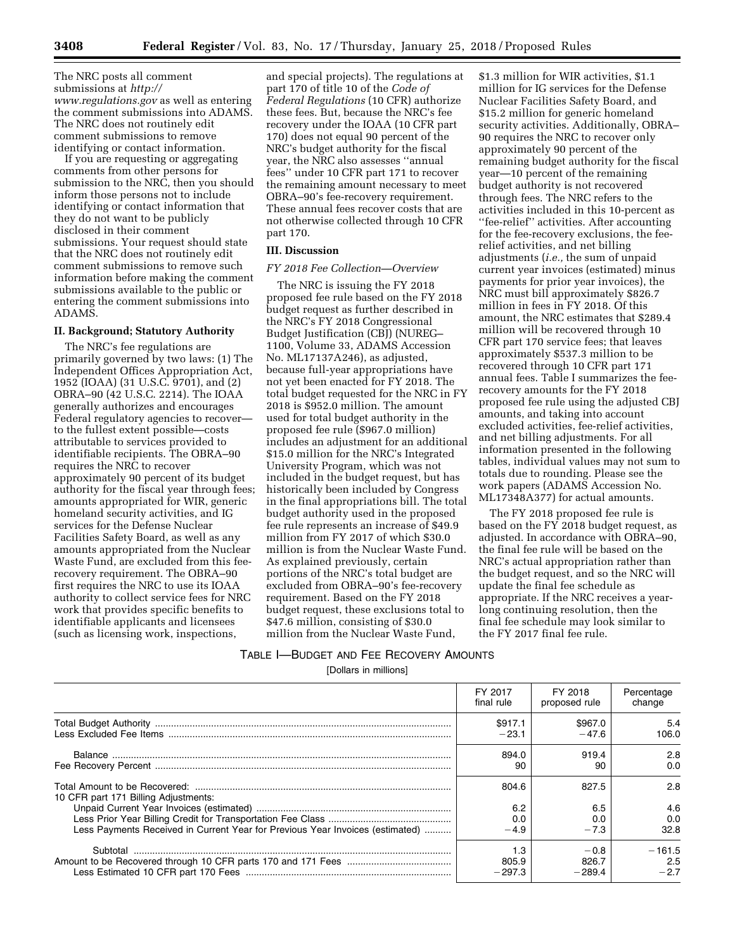The NRC posts all comment submissions at *[http://](http://www.regulations.gov) [www.regulations.gov](http://www.regulations.gov)* as well as entering the comment submissions into ADAMS. The NRC does not routinely edit comment submissions to remove identifying or contact information.

If you are requesting or aggregating comments from other persons for submission to the NRC, then you should inform those persons not to include identifying or contact information that they do not want to be publicly disclosed in their comment submissions. Your request should state that the NRC does not routinely edit comment submissions to remove such information before making the comment submissions available to the public or entering the comment submissions into ADAMS.

#### **II. Background; Statutory Authority**

The NRC's fee regulations are primarily governed by two laws: (1) The Independent Offices Appropriation Act, 1952 (IOAA) (31 U.S.C. 9701), and (2) OBRA–90 (42 U.S.C. 2214). The IOAA generally authorizes and encourages Federal regulatory agencies to recover to the fullest extent possible—costs attributable to services provided to identifiable recipients. The OBRA–90 requires the NRC to recover approximately 90 percent of its budget authority for the fiscal year through fees; amounts appropriated for WIR, generic homeland security activities, and IG services for the Defense Nuclear Facilities Safety Board, as well as any amounts appropriated from the Nuclear Waste Fund, are excluded from this feerecovery requirement. The OBRA–90 first requires the NRC to use its IOAA authority to collect service fees for NRC work that provides specific benefits to identifiable applicants and licensees (such as licensing work, inspections,

and special projects). The regulations at part 170 of title 10 of the *Code of Federal Regulations* (10 CFR) authorize these fees. But, because the NRC's fee recovery under the IOAA (10 CFR part 170) does not equal 90 percent of the NRC's budget authority for the fiscal year, the NRC also assesses ''annual fees'' under 10 CFR part 171 to recover the remaining amount necessary to meet OBRA–90's fee-recovery requirement. These annual fees recover costs that are not otherwise collected through 10 CFR part 170.

#### **III. Discussion**

#### *FY 2018 Fee Collection—Overview*

The NRC is issuing the FY 2018 proposed fee rule based on the FY 2018 budget request as further described in the NRC's FY 2018 Congressional Budget Justification (CBJ) (NUREG– 1100, Volume 33, ADAMS Accession No. ML17137A246), as adjusted, because full-year appropriations have not yet been enacted for FY 2018. The total budget requested for the NRC in FY 2018 is \$952.0 million. The amount used for total budget authority in the proposed fee rule (\$967.0 million) includes an adjustment for an additional \$15.0 million for the NRC's Integrated University Program, which was not included in the budget request, but has historically been included by Congress in the final appropriations bill. The total budget authority used in the proposed fee rule represents an increase of \$49.9 million from FY 2017 of which \$30.0 million is from the Nuclear Waste Fund. As explained previously, certain portions of the NRC's total budget are excluded from OBRA–90's fee-recovery requirement. Based on the FY 2018 budget request, these exclusions total to \$47.6 million, consisting of \$30.0 million from the Nuclear Waste Fund,

\$1.3 million for WIR activities, \$1.1 million for IG services for the Defense Nuclear Facilities Safety Board, and \$15.2 million for generic homeland security activities. Additionally, OBRA– 90 requires the NRC to recover only approximately 90 percent of the remaining budget authority for the fiscal year—10 percent of the remaining budget authority is not recovered through fees. The NRC refers to the activities included in this 10-percent as ''fee-relief'' activities. After accounting for the fee-recovery exclusions, the feerelief activities, and net billing adjustments (*i.e.,* the sum of unpaid current year invoices (estimated) minus payments for prior year invoices), the NRC must bill approximately \$826.7 million in fees in FY 2018. Of this amount, the NRC estimates that \$289.4 million will be recovered through 10 CFR part 170 service fees; that leaves approximately \$537.3 million to be recovered through 10 CFR part 171 annual fees. Table I summarizes the feerecovery amounts for the FY 2018 proposed fee rule using the adjusted CBJ amounts, and taking into account excluded activities, fee-relief activities, and net billing adjustments. For all information presented in the following tables, individual values may not sum to totals due to rounding. Please see the work papers (ADAMS Accession No. ML17348A377) for actual amounts.

The FY 2018 proposed fee rule is based on the FY 2018 budget request, as adjusted. In accordance with OBRA–90, the final fee rule will be based on the NRC's actual appropriation rather than the budget request, and so the NRC will update the final fee schedule as appropriate. If the NRC receives a yearlong continuing resolution, then the final fee schedule may look similar to the FY 2017 final fee rule.

## TABLE I—BUDGET AND FEE RECOVERY AMOUNTS [Dollars in millions]

|                                                                               | FY 2017<br>final rule | FY 2018<br>proposed rule | Percentage<br>change |
|-------------------------------------------------------------------------------|-----------------------|--------------------------|----------------------|
|                                                                               | \$917.1               | \$967.0                  | 5.4                  |
|                                                                               | $-23.1$               | $-47.6$                  | 106.0                |
|                                                                               | 894.0                 | 919.4                    | 2.8                  |
|                                                                               | 90                    | 90                       | 0.0                  |
| 10 CFR part 171 Billing Adjustments:                                          | 804.6                 | 827.5                    | 2.8                  |
|                                                                               | 6.2                   | 6.5                      | 4.6                  |
|                                                                               | 0.0                   | 0.0                      | 0.0                  |
| Less Payments Received in Current Year for Previous Year Invoices (estimated) | $-4.9$                | $-7.3$                   | 32.8                 |
| Subtotal                                                                      | 1.3                   | $-0.8$                   | $-161.5$             |
|                                                                               | 805.9                 | 826.7                    | 2.5                  |
|                                                                               | $-297.3$              | $-289.4$                 | $-2.7$               |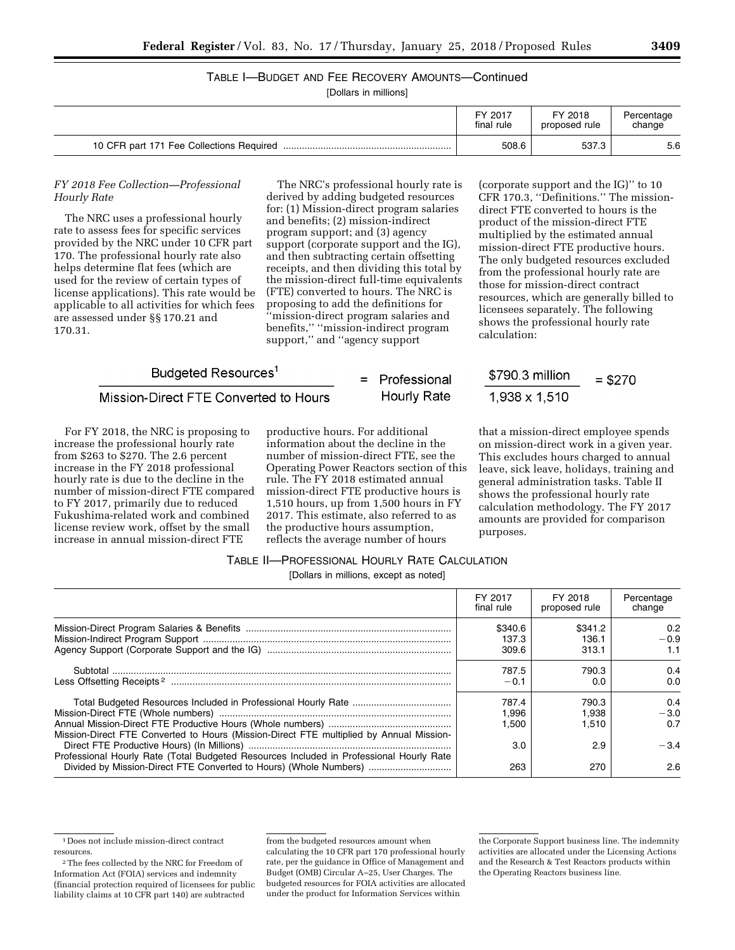# TABLE I—BUDGET AND FEE RECOVERY AMOUNTS—Continued

[Dollars in millions]

|                                          | FY 2017    | FY 2018       | Percentage |
|------------------------------------------|------------|---------------|------------|
|                                          | final rule | proposed rule | change     |
| 10 CFR part 171 Fee Collections Required | 508.6      | 537.3         | 5.6        |

#### *FY 2018 Fee Collection—Professional Hourly Rate*

The NRC uses a professional hourly rate to assess fees for specific services provided by the NRC under 10 CFR part 170. The professional hourly rate also helps determine flat fees (which are used for the review of certain types of license applications). This rate would be applicable to all activities for which fees are assessed under §§ 170.21 and 170.31.

The NRC's professional hourly rate is derived by adding budgeted resources for: (1) Mission-direct program salaries and benefits; (2) mission-indirect program support; and (3) agency support (corporate support and the IG), and then subtracting certain offsetting receipts, and then dividing this total by the mission-direct full-time equivalents (FTE) converted to hours. The NRC is proposing to add the definitions for 'mission-direct program salaries and benefits,'' ''mission-indirect program support,'' and ''agency support

# Budgeted Resources<sup>1</sup>

#### Mission-Direct FTE Converted to Hours

For FY 2018, the NRC is proposing to increase the professional hourly rate from \$263 to \$270. The 2.6 percent increase in the FY 2018 professional hourly rate is due to the decline in the number of mission-direct FTE compared to FY 2017, primarily due to reduced Fukushima-related work and combined license review work, offset by the small increase in annual mission-direct FTE

productive hours. For additional information about the decline in the number of mission-direct FTE, see the Operating Power Reactors section of this rule. The FY 2018 estimated annual mission-direct FTE productive hours is 1,510 hours, up from 1,500 hours in FY 2017. This estimate, also referred to as the productive hours assumption, reflects the average number of hours

= Professional

**Hourly Rate** 

(corporate support and the IG)'' to 10 CFR 170.3, ''Definitions.'' The missiondirect FTE converted to hours is the product of the mission-direct FTE multiplied by the estimated annual mission-direct FTE productive hours. The only budgeted resources excluded from the professional hourly rate are those for mission-direct contract resources, which are generally billed to licensees separately. The following shows the professional hourly rate calculation:

#### \$790.3 million  $=$  \$270 1,938 x 1,510

that a mission-direct employee spends on mission-direct work in a given year. This excludes hours charged to annual leave, sick leave, holidays, training and general administration tasks. Table II shows the professional hourly rate calculation methodology. The FY 2017 amounts are provided for comparison purposes.

#### TABLE II—PROFESSIONAL HOURLY RATE CALCULATION

[Dollars in millions, except as noted]

|                                                                                                                                                              | FY 2017<br>final rule     | FY 2018<br>proposed rule  | Percentage<br>change |
|--------------------------------------------------------------------------------------------------------------------------------------------------------------|---------------------------|---------------------------|----------------------|
|                                                                                                                                                              | \$340.6<br>137.3<br>309.6 | \$341.2<br>136.1<br>313.1 | 0.2<br>$-0.9$        |
|                                                                                                                                                              | 787.5<br>$-0.1$           | 790.3<br>0.0              | 0.4<br>0.0           |
| Mission-Direct FTE Converted to Hours (Mission-Direct FTE multiplied by Annual Mission-                                                                      | 787.4<br>1.996<br>1.500   | 790.3<br>1.938<br>1.510   | 0.4<br>$-3.0$<br>0.7 |
| Professional Hourly Rate (Total Budgeted Resources Included in Professional Hourly Rate<br>Divided by Mission-Direct FTE Converted to Hours) (Whole Numbers) | 3.0<br>263                | 2.9<br>270                | $-3.4$<br>2.6        |

from the budgeted resources amount when calculating the 10 CFR part 170 professional hourly rate, per the guidance in Office of Management and Budget (OMB) Circular A–25, User Charges. The budgeted resources for FOIA activities are allocated under the product for Information Services within

<sup>1</sup> Does not include mission-direct contract resources.

<sup>2</sup>The fees collected by the NRC for Freedom of Information Act (FOIA) services and indemnity (financial protection required of licensees for public liability claims at 10 CFR part 140) are subtracted

the Corporate Support business line. The indemnity activities are allocated under the Licensing Actions and the Research & Test Reactors products within the Operating Reactors business line.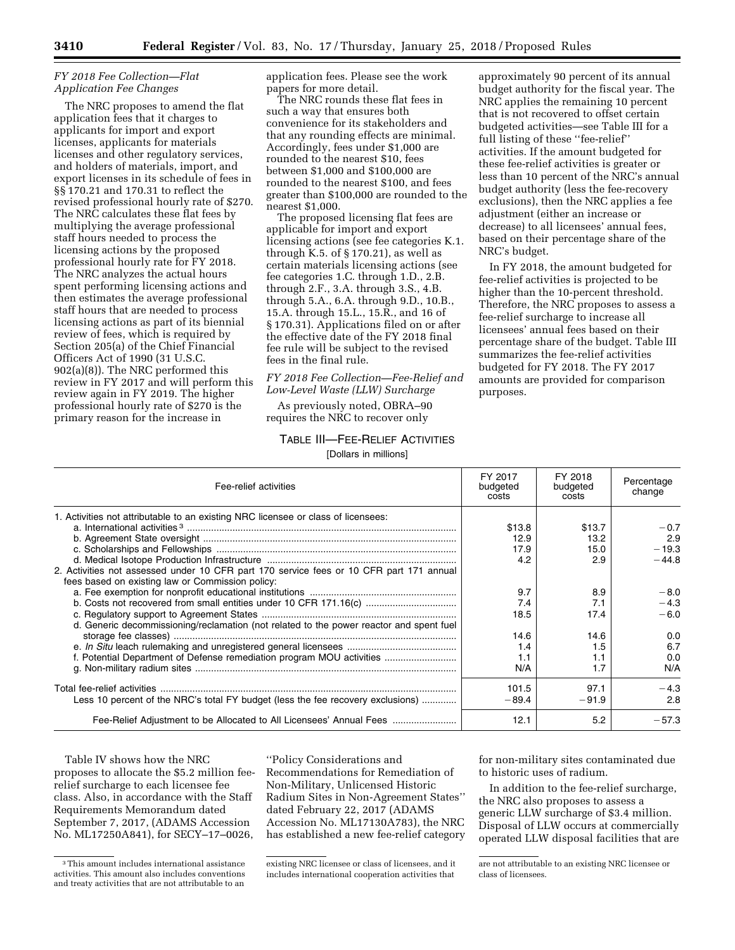#### *FY 2018 Fee Collection—Flat Application Fee Changes*

The NRC proposes to amend the flat application fees that it charges to applicants for import and export licenses, applicants for materials licenses and other regulatory services, and holders of materials, import, and export licenses in its schedule of fees in §§ 170.21 and 170.31 to reflect the revised professional hourly rate of \$270. The NRC calculates these flat fees by multiplying the average professional staff hours needed to process the licensing actions by the proposed professional hourly rate for FY 2018. The NRC analyzes the actual hours spent performing licensing actions and then estimates the average professional staff hours that are needed to process licensing actions as part of its biennial review of fees, which is required by Section 205(a) of the Chief Financial Officers Act of 1990 (31 U.S.C. 902(a)(8)). The NRC performed this review in FY 2017 and will perform this review again in FY 2019. The higher professional hourly rate of \$270 is the primary reason for the increase in

application fees. Please see the work papers for more detail.

The NRC rounds these flat fees in such a way that ensures both convenience for its stakeholders and that any rounding effects are minimal. Accordingly, fees under \$1,000 are rounded to the nearest \$10, fees between \$1,000 and \$100,000 are rounded to the nearest \$100, and fees greater than \$100,000 are rounded to the nearest \$1,000.

The proposed licensing flat fees are applicable for import and export licensing actions (see fee categories K.1. through K.5. of  $\S 170.21$ , as well as certain materials licensing actions (see fee categories 1.C. through 1.D., 2.B. through 2.F., 3.A. through 3.S., 4.B. through 5.A., 6.A. through 9.D., 10.B., 15.A. through 15.L., 15.R., and 16 of § 170.31). Applications filed on or after the effective date of the FY 2018 final fee rule will be subject to the revised fees in the final rule.

*FY 2018 Fee Collection—Fee-Relief and Low-Level Waste (LLW) Surcharge* 

As previously noted, OBRA–90 requires the NRC to recover only

# TABLE III—FEE-RELIEF ACTIVITIES

[Dollars in millions]

approximately 90 percent of its annual budget authority for the fiscal year. The NRC applies the remaining 10 percent that is not recovered to offset certain budgeted activities—see Table III for a full listing of these "fee-relief" activities. If the amount budgeted for these fee-relief activities is greater or less than 10 percent of the NRC's annual budget authority (less the fee-recovery exclusions), then the NRC applies a fee adjustment (either an increase or decrease) to all licensees' annual fees, based on their percentage share of the NRC's budget.

In FY 2018, the amount budgeted for fee-relief activities is projected to be higher than the 10-percent threshold. Therefore, the NRC proposes to assess a fee-relief surcharge to increase all licensees' annual fees based on their percentage share of the budget. Table III summarizes the fee-relief activities budgeted for FY 2018. The FY 2017 amounts are provided for comparison purposes.

| Fee-relief activities                                                                                                                       | FY 2017<br>budgeted<br>costs | FY 2018<br>budgeted<br>costs | Percentage<br>change |
|---------------------------------------------------------------------------------------------------------------------------------------------|------------------------------|------------------------------|----------------------|
| 1. Activities not attributable to an existing NRC licensee or class of licensees:                                                           |                              |                              |                      |
|                                                                                                                                             | \$13.8                       | \$13.7                       | $-0.7$               |
|                                                                                                                                             | 12.9                         | 13.2                         | 2.9                  |
|                                                                                                                                             | 17.9                         | 15.0                         | $-19.3$              |
|                                                                                                                                             | 4.2                          | 2.9                          | $-44.8$              |
| 2. Activities not assessed under 10 CFR part 170 service fees or 10 CFR part 171 annual<br>fees based on existing law or Commission policy: |                              |                              |                      |
|                                                                                                                                             | 9.7                          | 8.9                          | $-8.0$               |
| b. Costs not recovered from small entities under 10 CFR 171.16(c)                                                                           | 7.4                          | 7.1                          | $-4.3$               |
|                                                                                                                                             | 18.5                         | 17.4                         | $-6.0$               |
| d. Generic decommissioning/reclamation (not related to the power reactor and spent fuel                                                     |                              |                              |                      |
|                                                                                                                                             | 14.6                         | 14.6                         | 0.0                  |
|                                                                                                                                             | 1.4                          | 1.5                          | 6.7                  |
| f. Potential Department of Defense remediation program MOU activities                                                                       | 1.1                          | 1.1                          | 0.0                  |
|                                                                                                                                             | N/A                          | 1.7                          | N/A                  |
|                                                                                                                                             | 101.5                        | 97.1                         | $-4.3$               |
| Less 10 percent of the NRC's total FY budget (less the fee recovery exclusions)                                                             | $-89.4$                      | $-91.9$                      | 2.8                  |
| Fee-Relief Adjustment to be Allocated to All Licensees' Annual Fees                                                                         | 12.1                         | 5.2                          | $-57.3$              |

Table IV shows how the NRC proposes to allocate the \$5.2 million feerelief surcharge to each licensee fee class. Also, in accordance with the Staff Requirements Memorandum dated September 7, 2017, (ADAMS Accession No. ML17250A841), for SECY–17–0026,

''Policy Considerations and Recommendations for Remediation of Non-Military, Unlicensed Historic Radium Sites in Non-Agreement States'' dated February 22, 2017 (ADAMS Accession No. ML17130A783), the NRC has established a new fee-relief category for non-military sites contaminated due to historic uses of radium.

In addition to the fee-relief surcharge, the NRC also proposes to assess a generic LLW surcharge of \$3.4 million. Disposal of LLW occurs at commercially operated LLW disposal facilities that are

<sup>3</sup>This amount includes international assistance activities. This amount also includes conventions and treaty activities that are not attributable to an

existing NRC licensee or class of licensees, and it includes international cooperation activities that

are not attributable to an existing NRC licensee or class of licensees.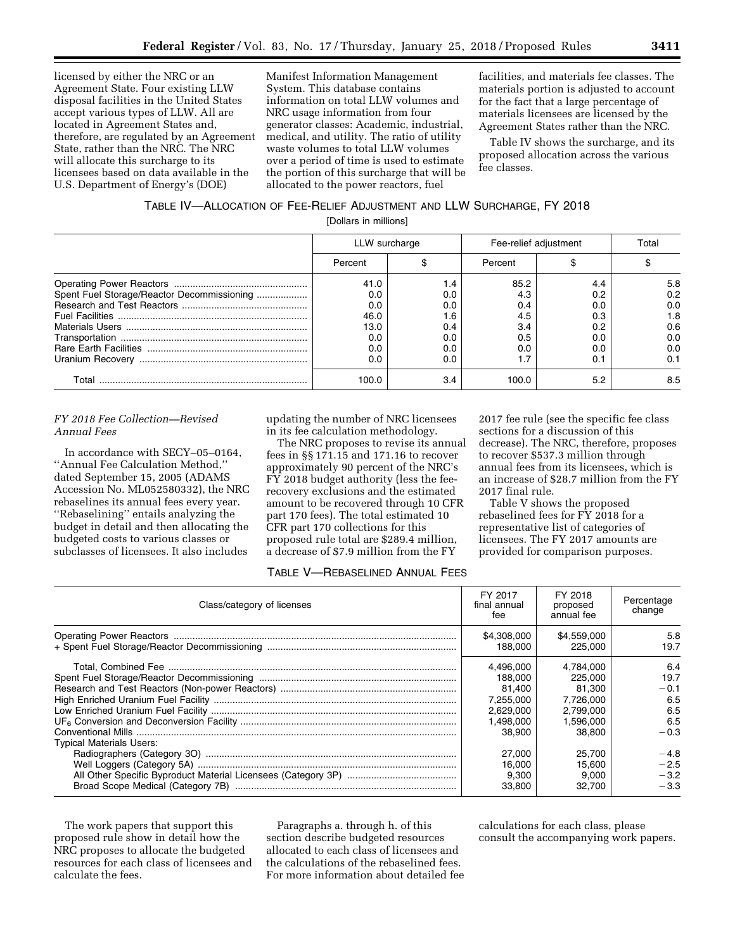licensed by either the NRC or an Agreement State. Four existing LLW disposal facilities in the United States accept various types of LLW. All are located in Agreement States and, therefore, are regulated by an Agreement State, rather than the NRC. The NRC will allocate this surcharge to its licensees based on data available in the U.S. Department of Energy's (DOE)

Manifest Information Management System. This database contains information on total LLW volumes and NRC usage information from four generator classes: Academic, industrial, medical, and utility. The ratio of utility waste volumes to total LLW volumes over a period of time is used to estimate the portion of this surcharge that will be allocated to the power reactors, fuel

facilities, and materials fee classes. The materials portion is adjusted to account for the fact that a large percentage of materials licensees are licensed by the Agreement States rather than the NRC.

Table IV shows the surcharge, and its proposed allocation across the various fee classes.

# TABLE IV—ALLOCATION OF FEE-RELIEF ADJUSTMENT AND LLW SURCHARGE, FY 2018

[Dollars in millions]

|                                            | LLW surcharge |     | Fee-relief adjustment |     | Total |  |
|--------------------------------------------|---------------|-----|-----------------------|-----|-------|--|
|                                            | Percent       |     | Percent               |     |       |  |
|                                            | 41.0          | .4  | 85.2                  | 4.4 | 5.8   |  |
| Spent Fuel Storage/Reactor Decommissioning | 0.0           | 0.0 | 4.3                   | 0.2 | 0.2   |  |
|                                            | 0.0           | 0.0 | 0.4                   | 0.0 | 0.0   |  |
|                                            | 46.0          | l.6 | 4.5                   | 0.3 | 1.8   |  |
|                                            | 13.0          | 0.4 | 3.4                   | 0.2 | 0.6   |  |
|                                            | 0.0           | 0.0 | 0.5                   | 0.0 | 0.0   |  |
|                                            | 0.0           | 0.0 | 0.0                   | 0.0 | 0.0   |  |
|                                            | 0.0           | 0.0 | 1.7                   | 0.1 | 0.1   |  |
| Total                                      | 100.0         | 3.4 | 100.0                 | 5.2 | 8.5   |  |

#### *FY 2018 Fee Collection—Revised Annual Fees*

In accordance with SECY–05–0164, ''Annual Fee Calculation Method,'' dated September 15, 2005 (ADAMS Accession No. ML052580332), the NRC rebaselines its annual fees every year. ''Rebaselining'' entails analyzing the budget in detail and then allocating the budgeted costs to various classes or subclasses of licensees. It also includes

updating the number of NRC licensees in its fee calculation methodology.

The NRC proposes to revise its annual fees in §§ 171.15 and 171.16 to recover approximately 90 percent of the NRC's FY 2018 budget authority (less the feerecovery exclusions and the estimated amount to be recovered through 10 CFR part 170 fees). The total estimated 10 CFR part 170 collections for this proposed rule total are \$289.4 million, a decrease of \$7.9 million from the FY

2017 fee rule (see the specific fee class sections for a discussion of this decrease). The NRC, therefore, proposes to recover \$537.3 million through annual fees from its licensees, which is an increase of \$28.7 million from the FY 2017 final rule.

Table V shows the proposed rebaselined fees for FY 2018 for a representative list of categories of licensees. The FY 2017 amounts are provided for comparison purposes.

#### TABLE V—REBASELINED ANNUAL FEES

| Class/category of licenses      | FY 2017<br>final annual<br>fee | FY 2018<br>proposed<br>annual fee | Percentage<br>change |
|---------------------------------|--------------------------------|-----------------------------------|----------------------|
|                                 | \$4,308,000                    | \$4,559,000                       | 5.8                  |
|                                 | 188.000                        | 225,000                           | 19.7                 |
|                                 | 4.496.000                      | 4,784,000                         | 6.4                  |
|                                 | 188.000                        | 225,000                           | 19.7                 |
|                                 | 81.400                         | 81.300                            | $-0.1$               |
|                                 | 7.255.000                      | 7.726.000                         | 6.5                  |
|                                 | 2.629.000                      | 2.799.000                         | 6.5                  |
|                                 | 1.498.000                      | 1.596.000                         | 6.5                  |
|                                 | 38.900                         | 38,800                            | $-0.3$               |
| <b>Typical Materials Users:</b> |                                |                                   |                      |
|                                 | 27.000                         | 25.700                            | $-4.8$               |
|                                 | 16.000                         | 15.600                            | $-2.5$               |
|                                 | 9.300                          | 9.000                             | $-3.2$               |
|                                 | 33,800                         | 32.700                            | $-3.3$               |

The work papers that support this proposed rule show in detail how the NRC proposes to allocate the budgeted resources for each class of licensees and calculate the fees.

Paragraphs a. through h. of this section describe budgeted resources allocated to each class of licensees and the calculations of the rebaselined fees. For more information about detailed fee calculations for each class, please consult the accompanying work papers.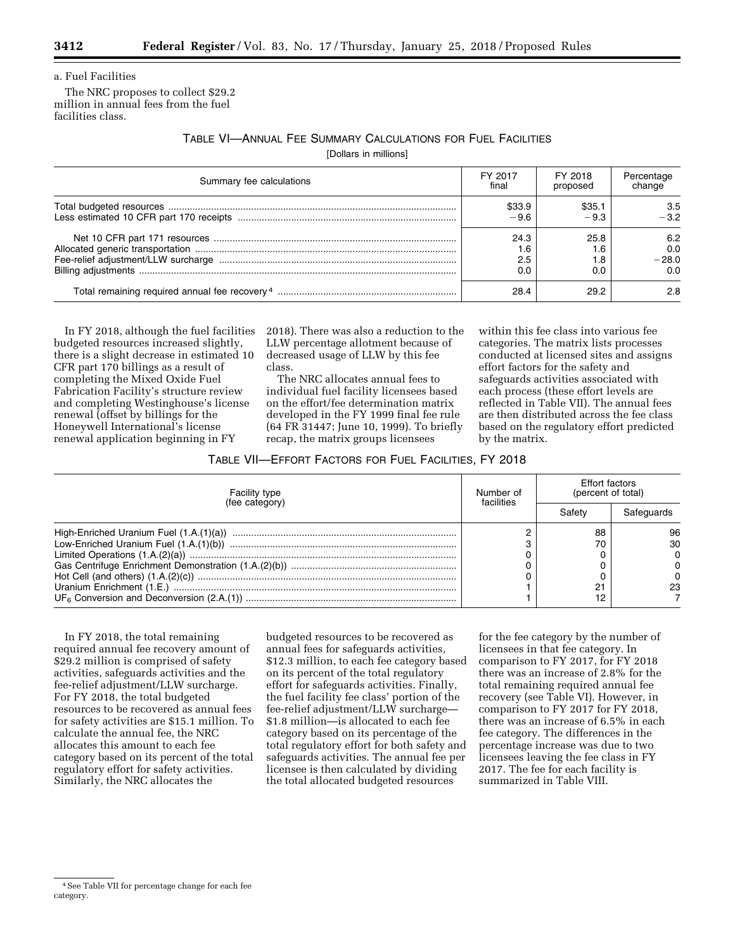a. Fuel Facilities

The NRC proposes to collect \$29.2 million in annual fees from the fuel facilities class.

TABLE VI—ANNUAL FEE SUMMARY CALCULATIONS FOR FUEL FACILITIES

[Dollars in millions]

| Summary fee calculations | FY 2017 | FY 2018  | Percentage |
|--------------------------|---------|----------|------------|
|                          | final   | proposed | change     |
|                          | \$33.9  | \$35.1   | 3.5        |
|                          | $-9.6$  | $-9.3$   | $-3.2$     |
|                          | 24.3    | 25.8     | 6.2        |
|                          | . 6. ،  | 1.6      | 0.0        |
|                          | 2.5     | 8.،      | $-28.0$    |
|                          | 0.0     | 0.0      | 0.0        |
|                          | 28.4    | 29.2     | 2.8        |

In FY 2018, although the fuel facilities budgeted resources increased slightly, there is a slight decrease in estimated 10 CFR part 170 billings as a result of completing the Mixed Oxide Fuel Fabrication Facility's structure review and completing Westinghouse's license renewal (offset by billings for the Honeywell International's license renewal application beginning in FY

2018). There was also a reduction to the LLW percentage allotment because of decreased usage of LLW by this fee class.

The NRC allocates annual fees to individual fuel facility licensees based on the effort/fee determination matrix developed in the FY 1999 final fee rule (64 FR 31447; June 10, 1999). To briefly recap, the matrix groups licensees

within this fee class into various fee categories. The matrix lists processes conducted at licensed sites and assigns effort factors for the safety and safeguards activities associated with each process (these effort levels are reflected in Table VII). The annual fees are then distributed across the fee class based on the regulatory effort predicted by the matrix.

#### TABLE VII—EFFORT FACTORS FOR FUEL FACILITIES, FY 2018

| Facility type<br>(fee category) | Number of<br>facilities | Effort factors<br>(percent of total) |              |
|---------------------------------|-------------------------|--------------------------------------|--------------|
|                                 |                         | Safetv                               | Safeguards   |
|                                 |                         | 88                                   | 96           |
|                                 |                         | 70                                   | 30           |
|                                 |                         |                                      | $\Omega$     |
|                                 |                         |                                      | $\Omega$     |
|                                 |                         |                                      | <sup>0</sup> |
|                                 |                         | $^{\circ}$                           | 23           |
|                                 |                         |                                      |              |

In FY 2018, the total remaining required annual fee recovery amount of \$29.2 million is comprised of safety activities, safeguards activities and the fee-relief adjustment/LLW surcharge. For FY 2018, the total budgeted resources to be recovered as annual fees for safety activities are \$15.1 million. To calculate the annual fee, the NRC allocates this amount to each fee category based on its percent of the total regulatory effort for safety activities. Similarly, the NRC allocates the

budgeted resources to be recovered as annual fees for safeguards activities, \$12.3 million, to each fee category based on its percent of the total regulatory effort for safeguards activities. Finally, the fuel facility fee class' portion of the fee-relief adjustment/LLW surcharge— \$1.8 million—is allocated to each fee category based on its percentage of the total regulatory effort for both safety and safeguards activities. The annual fee per licensee is then calculated by dividing the total allocated budgeted resources

for the fee category by the number of licensees in that fee category. In comparison to FY 2017, for FY 2018 there was an increase of 2.8% for the total remaining required annual fee recovery (see Table VI). However, in comparison to FY 2017 for FY 2018, there was an increase of 6.5% in each fee category. The differences in the percentage increase was due to two licensees leaving the fee class in FY 2017. The fee for each facility is summarized in Table VIII.

<sup>4</sup>See Table VII for percentage change for each fee category.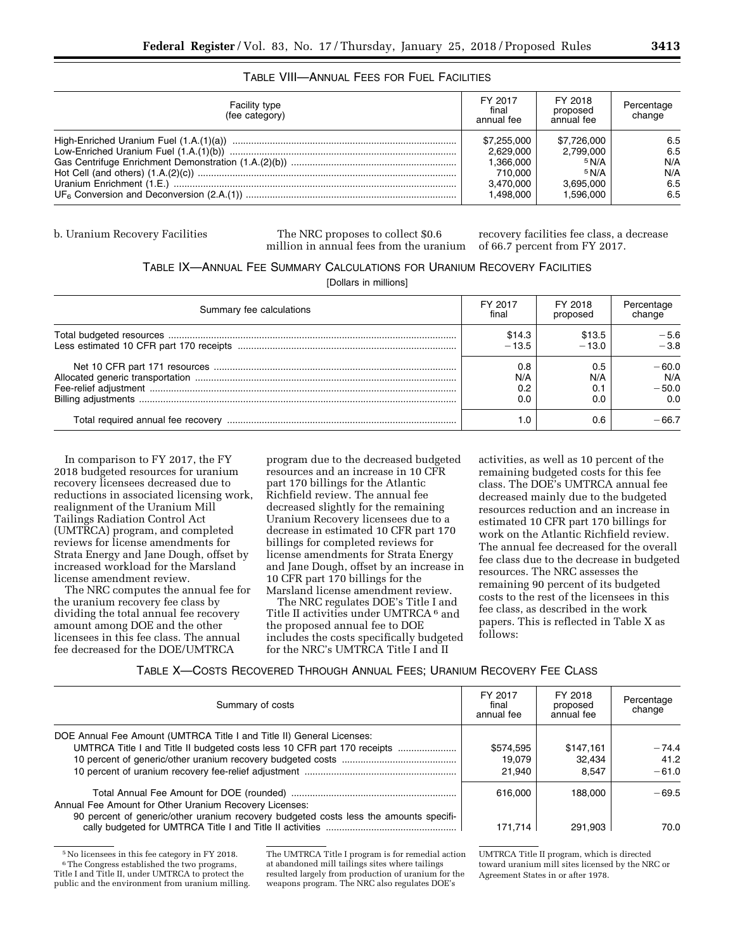## TABLE VIII—ANNUAL FEES FOR FUEL FACILITIES

| <b>Facility type</b><br>(fee category) | FY 2017<br>final<br>annual fee | FY 2018<br>proposed<br>annual fee | Percentage<br>change |
|----------------------------------------|--------------------------------|-----------------------------------|----------------------|
|                                        | \$7,255,000                    | \$7,726,000                       | 6.5                  |
|                                        | 2.629.000                      | 2.799.000                         | 6.5                  |
|                                        | 1.366.000                      | 5 N/A                             | N/A                  |
|                                        | 710.000                        | 5 N/A                             | N/A                  |
|                                        | 3.470.000                      | 3.695.000                         | 6.5                  |
|                                        | 1.498.000                      | 1.596.000                         | 6.5                  |

b. Uranium Recovery Facilities The NRC proposes to collect \$0.6 million in annual fees from the uranium

recovery facilities fee class, a decrease of 66.7 percent from FY 2017.

#### TABLE IX—ANNUAL FEE SUMMARY CALCULATIONS FOR URANIUM RECOVERY FACILITIES

[Dollars in millions]

| Summary fee calculations | FY 2017                  | FY 2018           | Percentage                       |
|--------------------------|--------------------------|-------------------|----------------------------------|
|                          | final                    | proposed          | change                           |
|                          | \$14.3                   | \$13.5            | $-5.6$                           |
|                          | $-13.5$                  | $-13.0$           | $-3.8$                           |
|                          | 0.8<br>N/A<br>0.2<br>0.0 | 0.5<br>N/A<br>0.C | $-60.0$<br>N/A<br>$-50.0$<br>0.0 |
|                          | l .0                     | 0.6               | -66.7                            |

In comparison to FY 2017, the FY 2018 budgeted resources for uranium recovery licensees decreased due to reductions in associated licensing work, realignment of the Uranium Mill Tailings Radiation Control Act (UMTRCA) program, and completed reviews for license amendments for Strata Energy and Jane Dough, offset by increased workload for the Marsland license amendment review.

The NRC computes the annual fee for the uranium recovery fee class by dividing the total annual fee recovery amount among DOE and the other licensees in this fee class. The annual fee decreased for the DOE/UMTRCA

program due to the decreased budgeted resources and an increase in 10 CFR part 170 billings for the Atlantic Richfield review. The annual fee decreased slightly for the remaining Uranium Recovery licensees due to a decrease in estimated 10 CFR part 170 billings for completed reviews for license amendments for Strata Energy and Jane Dough, offset by an increase in 10 CFR part 170 billings for the Marsland license amendment review.

The NRC regulates DOE's Title I and Title II activities under UMTRCA 6 and the proposed annual fee to DOE includes the costs specifically budgeted for the NRC's UMTRCA Title I and II

activities, as well as 10 percent of the remaining budgeted costs for this fee class. The DOE's UMTRCA annual fee decreased mainly due to the budgeted resources reduction and an increase in estimated 10 CFR part 170 billings for work on the Atlantic Richfield review. The annual fee decreased for the overall fee class due to the decrease in budgeted resources. The NRC assesses the remaining 90 percent of its budgeted costs to the rest of the licensees in this fee class, as described in the work papers. This is reflected in Table X as follows:

| Summary of costs                                                                                                                                  | FY 2017<br>final<br>annual fee | FY 2018<br>proposed<br>annual fee | Percentage<br>change       |
|---------------------------------------------------------------------------------------------------------------------------------------------------|--------------------------------|-----------------------------------|----------------------------|
| DOE Annual Fee Amount (UMTRCA Title I and Title II) General Licenses:<br>UMTRCA Title I and Title II budgeted costs less 10 CFR part 170 receipts | \$574,595<br>19.079<br>21.940  | \$147.161<br>32.434<br>8.547      | $-74.4$<br>41.2<br>$-61.0$ |
| Annual Fee Amount for Other Uranium Recovery Licenses:<br>90 percent of generic/other uranium recovery budgeted costs less the amounts specifi-   | 616,000<br>171.714             | 188,000<br>291.903                | $-69.5$<br>70.0            |

5No licensees in this fee category in FY 2018. <sup>6</sup>The Congress established the two programs, Title I and Title II, under UMTRCA to protect the public and the environment from uranium milling. The UMTRCA Title I program is for remedial action at abandoned mill tailings sites where tailings resulted largely from production of uranium for the weapons program. The NRC also regulates DOE's

UMTRCA Title II program, which is directed toward uranium mill sites licensed by the NRC or Agreement States in or after 1978.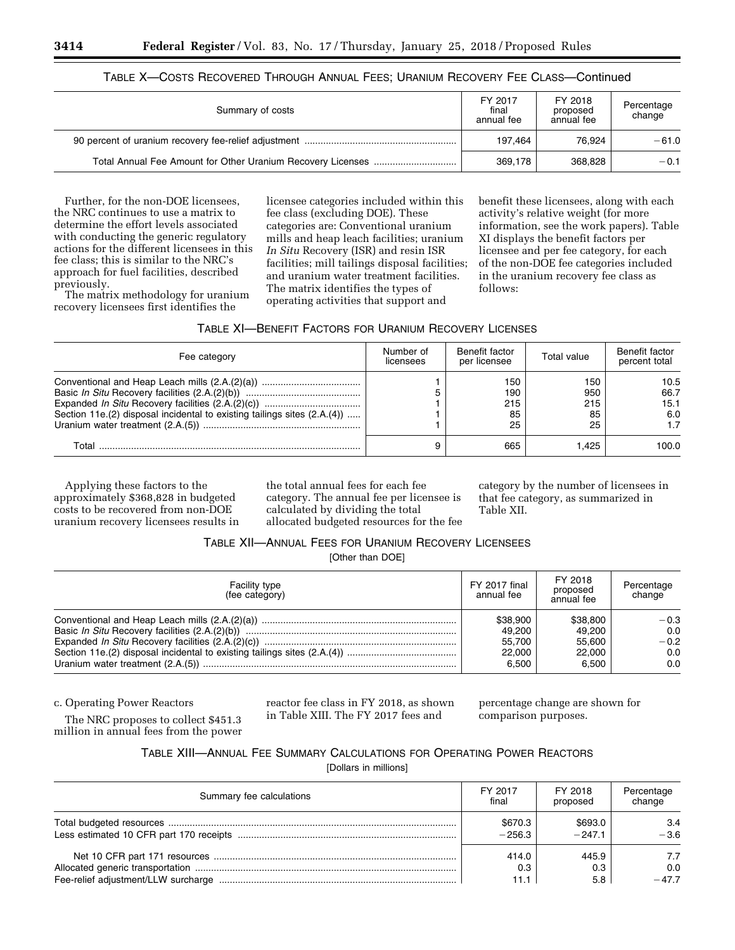|  |  |  |  | TABLE X—COSTS RECOVERED THROUGH ANNUAL FEES; URANIUM RECOVERY FEE CLASS—Continued |  |  |  |
|--|--|--|--|-----------------------------------------------------------------------------------|--|--|--|
|--|--|--|--|-----------------------------------------------------------------------------------|--|--|--|

| Summary of costs | FY 2017<br>final<br>annual fee | FY 2018<br>proposed<br>annual fee | Percentage<br>change |
|------------------|--------------------------------|-----------------------------------|----------------------|
|                  | 197.464                        | 76.924                            | $-61.0$              |
|                  | 369.178                        | 368,828                           | $-0.1$               |

Further, for the non-DOE licensees, the NRC continues to use a matrix to determine the effort levels associated with conducting the generic regulatory actions for the different licensees in this fee class; this is similar to the NRC's approach for fuel facilities, described previously.

The matrix methodology for uranium recovery licensees first identifies the

licensee categories included within this fee class (excluding DOE). These categories are: Conventional uranium mills and heap leach facilities; uranium *In Situ* Recovery (ISR) and resin ISR facilities; mill tailings disposal facilities; and uranium water treatment facilities. The matrix identifies the types of operating activities that support and

benefit these licensees, along with each activity's relative weight (for more information, see the work papers). Table XI displays the benefit factors per licensee and per fee category, for each of the non-DOE fee categories included in the uranium recovery fee class as follows:

| Fee category                                                             | Number of<br>licensees | Benefit factor<br>per licensee | Total value                   | Benefit factor<br>percent total    |
|--------------------------------------------------------------------------|------------------------|--------------------------------|-------------------------------|------------------------------------|
| Section 11e.(2) disposal incidental to existing tailings sites (2.A.(4)) |                        | 150<br>190<br>215<br>85<br>25  | 150<br>950<br>215<br>85<br>25 | 10.5<br>66.7<br>15.1<br>6.0<br>1.7 |
| Total                                                                    | 9                      | 665                            | .425                          | 100.0                              |

Applying these factors to the approximately \$368,828 in budgeted costs to be recovered from non-DOE uranium recovery licensees results in the total annual fees for each fee category. The annual fee per licensee is calculated by dividing the total allocated budgeted resources for the fee category by the number of licensees in that fee category, as summarized in Table XII.

#### TABLE XII—ANNUAL FEES FOR URANIUM RECOVERY LICENSEES

[Other than DOE]

| <b>Facility type</b><br>(fee category) | FY 2017 final<br>annual fee | FY 2018<br>proposed<br>annual fee | Percentage<br>change |
|----------------------------------------|-----------------------------|-----------------------------------|----------------------|
|                                        | \$38.900                    | \$38,800                          | $-0.3$               |
|                                        | 49.200                      | 49.200                            | 0.0                  |
|                                        | 55.700                      | 55.600                            | $-0.2$               |
|                                        | 22,000                      | 22,000                            | 0.0                  |
|                                        | 6,500                       | 6.500                             | 0.0                  |

c. Operating Power Reactors

The NRC proposes to collect \$451.3 million in annual fees from the power reactor fee class in FY 2018, as shown in Table XIII. The FY 2017 fees and

percentage change are shown for comparison purposes.

TABLE XIII—ANNUAL FEE SUMMARY CALCULATIONS FOR OPERATING POWER REACTORS

[Dollars in millions]

| Summary fee calculations | FY 2017  | FY 2018  | Percentage |
|--------------------------|----------|----------|------------|
|                          | final    | proposed | change     |
|                          | \$670.3  | \$693.0  | 3.4        |
|                          | $-256.3$ | $-247.1$ | $-3.6$     |
|                          | 414.0    | 445.9    | 7.7        |
|                          | 0.3      | 0.3      | 0.0        |
|                          | 11.1     | 5.8      | $-47.7$    |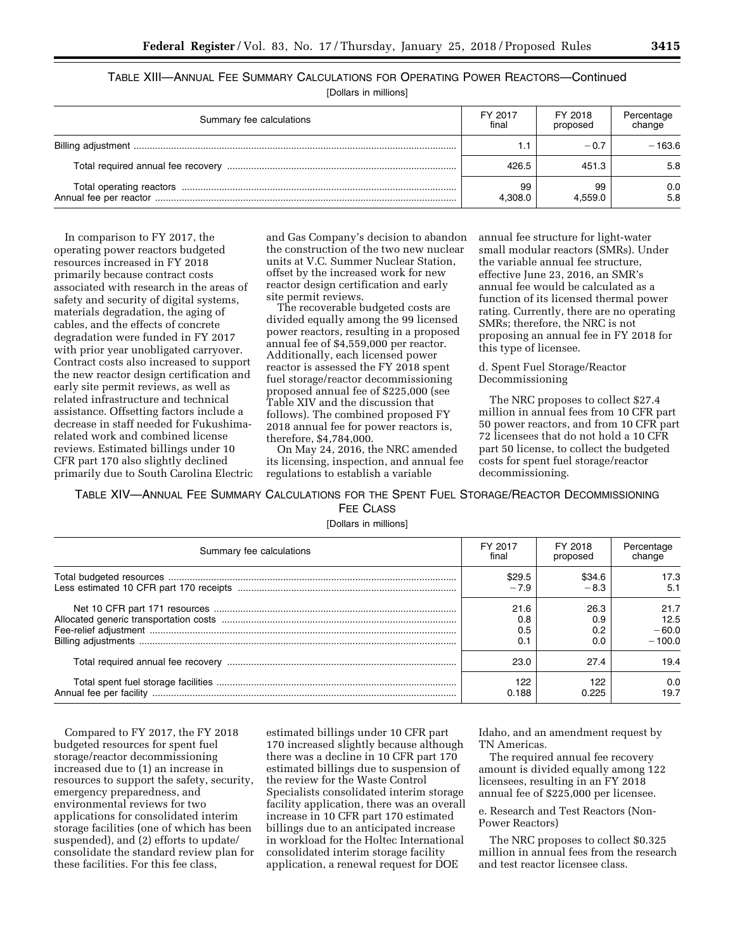| TABLE XIII—ANNUAL FEE SUMMARY CALCULATIONS FOR OPERATING POWER REACTORS—Continued |  |  |
|-----------------------------------------------------------------------------------|--|--|
|                                                                                   |  |  |

[Dollars in millions]

| Summary fee calculations | FY 2017<br>final | FY 2018<br>proposed | Percentage<br>change |
|--------------------------|------------------|---------------------|----------------------|
|                          | 1.1              | $-0.7$              | $-163.6$             |
|                          | 426.5            | 451.3               | 5.8                  |
|                          | 99<br>4.308.0    | 99<br>4.559.0       | 0.0<br>5.8           |

In comparison to FY 2017, the operating power reactors budgeted resources increased in FY 2018 primarily because contract costs associated with research in the areas of safety and security of digital systems, materials degradation, the aging of cables, and the effects of concrete degradation were funded in FY 2017 with prior year unobligated carryover. Contract costs also increased to support the new reactor design certification and early site permit reviews, as well as related infrastructure and technical assistance. Offsetting factors include a decrease in staff needed for Fukushimarelated work and combined license reviews. Estimated billings under 10 CFR part 170 also slightly declined primarily due to South Carolina Electric and Gas Company's decision to abandon the construction of the two new nuclear units at V.C. Summer Nuclear Station, offset by the increased work for new reactor design certification and early site permit reviews.

The recoverable budgeted costs are divided equally among the 99 licensed power reactors, resulting in a proposed annual fee of \$4,559,000 per reactor. Additionally, each licensed power reactor is assessed the FY 2018 spent fuel storage/reactor decommissioning proposed annual fee of \$225,000 (see Table XIV and the discussion that follows). The combined proposed FY 2018 annual fee for power reactors is, therefore, \$4,784,000.

On May 24, 2016, the NRC amended its licensing, inspection, and annual fee regulations to establish a variable

annual fee structure for light-water small modular reactors (SMRs). Under the variable annual fee structure, effective June 23, 2016, an SMR's annual fee would be calculated as a function of its licensed thermal power rating. Currently, there are no operating SMRs; therefore, the NRC is not proposing an annual fee in FY 2018 for this type of licensee.

d. Spent Fuel Storage/Reactor Decommissioning

The NRC proposes to collect \$27.4 million in annual fees from 10 CFR part 50 power reactors, and from 10 CFR part 72 licensees that do not hold a 10 CFR part 50 license, to collect the budgeted costs for spent fuel storage/reactor decommissioning.

TABLE XIV—ANNUAL FEE SUMMARY CALCULATIONS FOR THE SPENT FUEL STORAGE/REACTOR DECOMMISSIONING FEE CLASS

[Dollars in millions]

| Summary fee calculations | FY 2017 | FY 2018  | Percentage |
|--------------------------|---------|----------|------------|
|                          | final   | proposed | change     |
|                          | \$29.5  | \$34.6   | 17.3       |
|                          | $-7.9$  | $-8.3$   | 5.1        |
|                          | 21.6    | 26.3     | 21.7       |
|                          | 0.8     | 0.9      | 12.5       |
|                          | 0.5     | 0.2      | $-60.0$    |
|                          | 0.1     | n n      | $-100.0$   |
|                          | 23.0    | 27.4     | 19.4       |
|                          | 122     | 122      | 0.0        |
|                          | 0.188   | 0.225    | 19.7       |

Compared to FY 2017, the FY 2018 budgeted resources for spent fuel storage/reactor decommissioning increased due to (1) an increase in resources to support the safety, security, emergency preparedness, and environmental reviews for two applications for consolidated interim storage facilities (one of which has been suspended), and (2) efforts to update/ consolidate the standard review plan for these facilities. For this fee class,

estimated billings under 10 CFR part 170 increased slightly because although there was a decline in 10 CFR part 170 estimated billings due to suspension of the review for the Waste Control Specialists consolidated interim storage facility application, there was an overall increase in 10 CFR part 170 estimated billings due to an anticipated increase in workload for the Holtec International consolidated interim storage facility application, a renewal request for DOE

Idaho, and an amendment request by TN Americas.

The required annual fee recovery amount is divided equally among 122 licensees, resulting in an FY 2018 annual fee of \$225,000 per licensee.

e. Research and Test Reactors (Non-Power Reactors)

The NRC proposes to collect \$0.325 million in annual fees from the research and test reactor licensee class.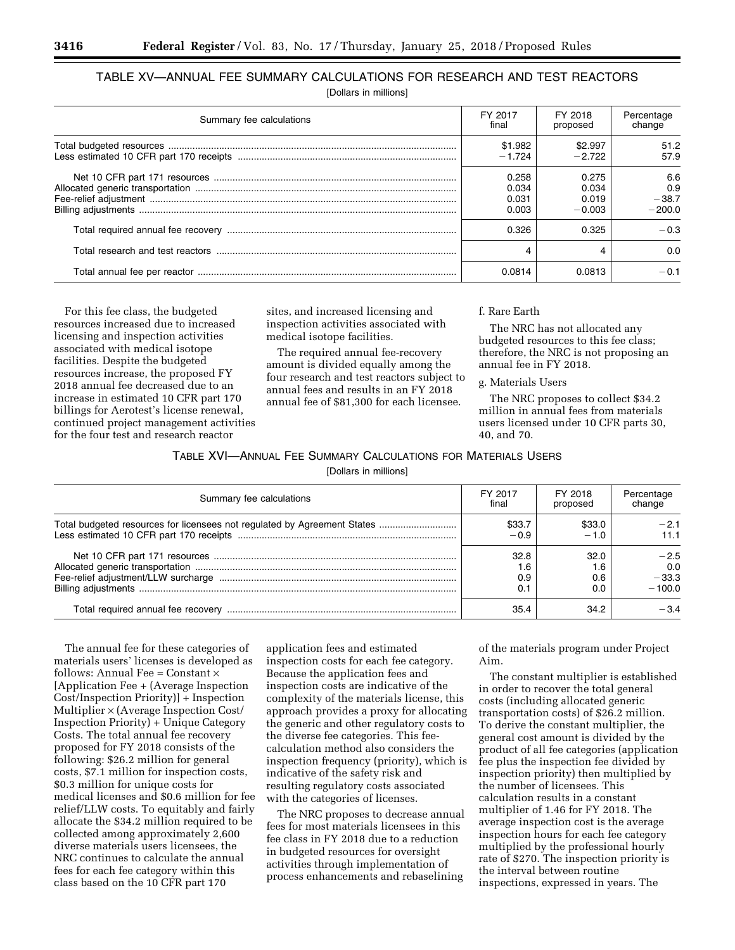# TABLE XV—ANNUAL FEE SUMMARY CALCULATIONS FOR RESEARCH AND TEST REACTORS

[Dollars in millions]

| Summary fee calculations | FY 2017  | FY 2018  | Percentage |
|--------------------------|----------|----------|------------|
|                          | final    | proposed | change     |
|                          | \$1.982  | \$2.997  | 51.2       |
|                          | $-1.724$ | $-2.722$ | 57.9       |
|                          | 0.258    | 0.275    | 6.6        |
|                          | 0.034    | 0.034    | 0.9        |
|                          | 0.031    | 0.019    | $-38.7$    |
|                          | 0.003    | $-0.003$ | $-200.0$   |
|                          | 0.326    | 0.325    | $-0.3$     |
|                          | 4        |          | 0.0        |
|                          | 0.0814   | 0.0813   | $-0.1$     |

For this fee class, the budgeted resources increased due to increased licensing and inspection activities associated with medical isotope facilities. Despite the budgeted resources increase, the proposed FY 2018 annual fee decreased due to an increase in estimated 10 CFR part 170 billings for Aerotest's license renewal, continued project management activities for the four test and research reactor

sites, and increased licensing and inspection activities associated with medical isotope facilities.

The required annual fee-recovery amount is divided equally among the four research and test reactors subject to annual fees and results in an FY 2018 annual fee of \$81,300 for each licensee.

#### f. Rare Earth

The NRC has not allocated any budgeted resources to this fee class; therefore, the NRC is not proposing an annual fee in FY 2018.

#### g. Materials Users

The NRC proposes to collect \$34.2 million in annual fees from materials users licensed under 10 CFR parts 30, 40, and 70.

# TABLE XVI—ANNUAL FEE SUMMARY CALCULATIONS FOR MATERIALS USERS

[Dollars in millions]

| Summary fee calculations                                                 | FY 2017 | FY 2018  | Percentage |
|--------------------------------------------------------------------------|---------|----------|------------|
|                                                                          | final   | proposed | change     |
| Total budgeted resources for licensees not regulated by Agreement States | \$33.7  | \$33.0   | $-2.1$     |
|                                                                          | $-0.9$  | $-1.0$   | 11.1       |
|                                                                          | 32.8    | 32.0     | $-2.5$     |
|                                                                          | 1.6     | 1.6      | 0.0        |
|                                                                          | 0.9     | 0.6      | $-33.3$    |
|                                                                          | 0.1     | n n      | $-100.0$   |
|                                                                          | 35.4    | 34.2     | -34        |

The annual fee for these categories of materials users' licenses is developed as follows: Annual Fee =  $Constant \times$ [Application Fee + (Average Inspection Cost/Inspection Priority)] + Inspection Multiplier × (Average Inspection Cost/ Inspection Priority) + Unique Category Costs. The total annual fee recovery proposed for FY 2018 consists of the following: \$26.2 million for general costs, \$7.1 million for inspection costs, \$0.3 million for unique costs for medical licenses and \$0.6 million for fee relief/LLW costs. To equitably and fairly allocate the \$34.2 million required to be collected among approximately 2,600 diverse materials users licensees, the NRC continues to calculate the annual fees for each fee category within this class based on the 10 CFR part 170

application fees and estimated inspection costs for each fee category. Because the application fees and inspection costs are indicative of the complexity of the materials license, this approach provides a proxy for allocating the generic and other regulatory costs to the diverse fee categories. This feecalculation method also considers the inspection frequency (priority), which is indicative of the safety risk and resulting regulatory costs associated with the categories of licenses.

The NRC proposes to decrease annual fees for most materials licensees in this fee class in FY 2018 due to a reduction in budgeted resources for oversight activities through implementation of process enhancements and rebaselining of the materials program under Project Aim.

The constant multiplier is established in order to recover the total general costs (including allocated generic transportation costs) of \$26.2 million. To derive the constant multiplier, the general cost amount is divided by the product of all fee categories (application fee plus the inspection fee divided by inspection priority) then multiplied by the number of licensees. This calculation results in a constant multiplier of 1.46 for FY 2018. The average inspection cost is the average inspection hours for each fee category multiplied by the professional hourly rate of \$270. The inspection priority is the interval between routine inspections, expressed in years. The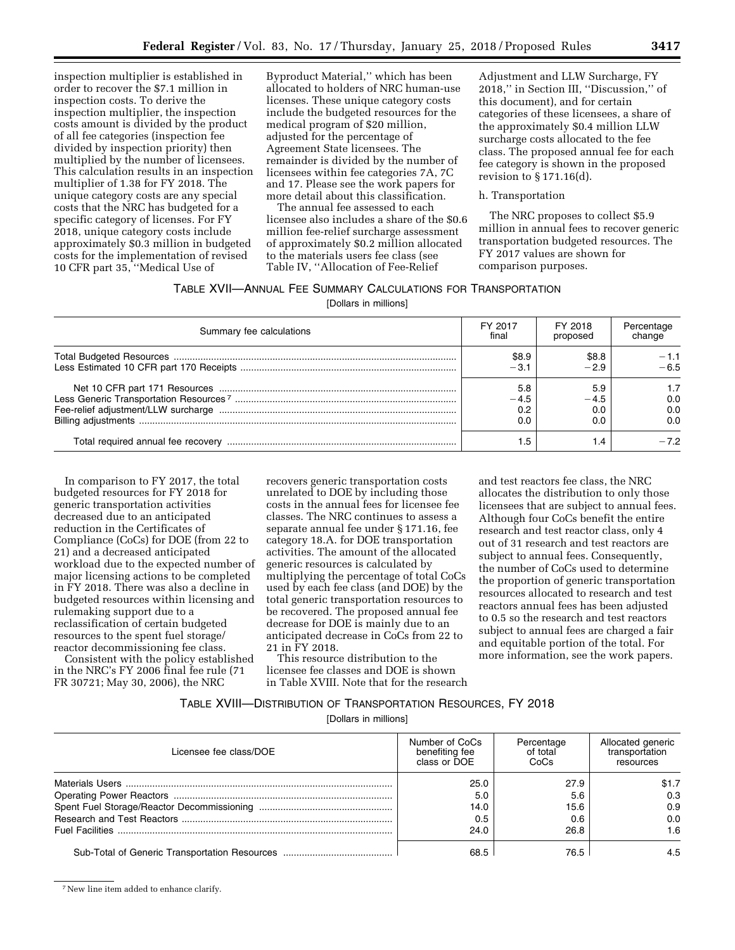inspection multiplier is established in order to recover the \$7.1 million in inspection costs. To derive the inspection multiplier, the inspection costs amount is divided by the product of all fee categories (inspection fee divided by inspection priority) then multiplied by the number of licensees. This calculation results in an inspection multiplier of 1.38 for FY 2018. The unique category costs are any special costs that the NRC has budgeted for a specific category of licenses. For FY 2018, unique category costs include approximately \$0.3 million in budgeted costs for the implementation of revised 10 CFR part 35, ''Medical Use of

Byproduct Material,'' which has been allocated to holders of NRC human-use licenses. These unique category costs include the budgeted resources for the medical program of \$20 million, adjusted for the percentage of Agreement State licensees. The remainder is divided by the number of licensees within fee categories 7A, 7C and 17. Please see the work papers for more detail about this classification.

The annual fee assessed to each licensee also includes a share of the \$0.6 million fee-relief surcharge assessment of approximately \$0.2 million allocated to the materials users fee class (see Table IV, ''Allocation of Fee-Relief

Adjustment and LLW Surcharge, FY 2018,'' in Section III, ''Discussion,'' of this document), and for certain categories of these licensees, a share of the approximately \$0.4 million LLW surcharge costs allocated to the fee class. The proposed annual fee for each fee category is shown in the proposed revision to § 171.16(d).

#### h. Transportation

The NRC proposes to collect \$5.9 million in annual fees to recover generic transportation budgeted resources. The FY 2017 values are shown for comparison purposes.

#### TABLE XVII—ANNUAL FEE SUMMARY CALCULATIONS FOR TRANSPORTATION

[Dollars in millions]

| Summary fee calculations | FY 2017                     | FY 2018                                 | Percentage        |
|--------------------------|-----------------------------|-----------------------------------------|-------------------|
|                          | final                       | proposed                                | change            |
|                          | \$8.9                       | \$8.8                                   | $-1.1$            |
|                          | $-3.1$                      | $-2.9$                                  | $-6.5$            |
|                          | 5.8<br>$-4.5$<br>0.2<br>0.0 | 5.9<br>$-4.5$<br>0. <sub>C</sub><br>0.0 | 0.0<br>0.0<br>0.0 |
|                          | . .5                        | . .4                                    | -72               |

In comparison to FY 2017, the total budgeted resources for FY 2018 for generic transportation activities decreased due to an anticipated reduction in the Certificates of Compliance (CoCs) for DOE (from 22 to 21) and a decreased anticipated workload due to the expected number of major licensing actions to be completed in FY 2018. There was also a decline in budgeted resources within licensing and rulemaking support due to a reclassification of certain budgeted resources to the spent fuel storage/ reactor decommissioning fee class.

Consistent with the policy established in the NRC's FY 2006 final fee rule (71 FR 30721; May 30, 2006), the NRC

recovers generic transportation costs unrelated to DOE by including those costs in the annual fees for licensee fee classes. The NRC continues to assess a separate annual fee under § 171.16, fee category 18.A. for DOE transportation activities. The amount of the allocated generic resources is calculated by multiplying the percentage of total CoCs used by each fee class (and DOE) by the total generic transportation resources to be recovered. The proposed annual fee decrease for DOE is mainly due to an anticipated decrease in CoCs from 22 to 21 in FY 2018.

This resource distribution to the licensee fee classes and DOE is shown in Table XVIII. Note that for the research

and test reactors fee class, the NRC allocates the distribution to only those licensees that are subject to annual fees. Although four CoCs benefit the entire research and test reactor class, only 4 out of 31 research and test reactors are subject to annual fees. Consequently, the number of CoCs used to determine the proportion of generic transportation resources allocated to research and test reactors annual fees has been adjusted to 0.5 so the research and test reactors subject to annual fees are charged a fair and equitable portion of the total. For more information, see the work papers.

#### TABLE XVIII—DISTRIBUTION OF TRANSPORTATION RESOURCES, FY 2018

[Dollars in millions]

| Licensee fee class/DOE | Number of CoCs<br>benefiting fee<br>class or DOE | Percentage<br>of total<br>CoCs | Allocated generic<br>transportation<br>resources |
|------------------------|--------------------------------------------------|--------------------------------|--------------------------------------------------|
|                        | 25.0                                             | 27.9                           | \$1.7                                            |
|                        | 5.0                                              | 5.6                            | 0.3                                              |
|                        | 14.0                                             | 15.6                           | 0.9                                              |
|                        | 0.5                                              | 0.6                            | 0.0                                              |
|                        | 24.0                                             | 26.8                           | 1.6                                              |
|                        | 68.5                                             | 76.5                           | 4.5                                              |

7New line item added to enhance clarify.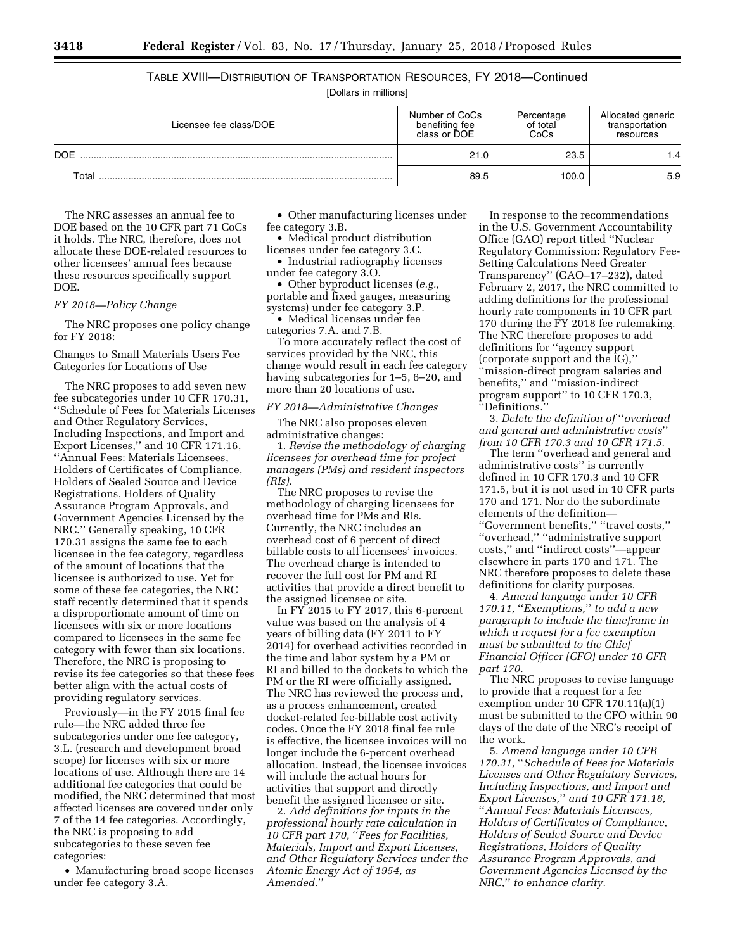### TABLE XVIII—DISTRIBUTION OF TRANSPORTATION RESOURCES, FY 2018—Continued [Dollars in millions]

| Licensee fee class/DOE | Number of CoCs<br>benefiting fee<br>class or DOE | Percentage<br>of total<br>CoCs | Allocated generic<br>transportation<br>resources |
|------------------------|--------------------------------------------------|--------------------------------|--------------------------------------------------|
| <b>DOE</b>             | 21.0                                             | 23.5                           |                                                  |
| Total                  | 89.5                                             | 100.0                          | 5.9                                              |

The NRC assesses an annual fee to DOE based on the 10 CFR part 71 CoCs it holds. The NRC, therefore, does not allocate these DOE-related resources to other licensees' annual fees because these resources specifically support DOE.

*FY 2018—Policy Change* 

The NRC proposes one policy change for FY 2018:

Changes to Small Materials Users Fee Categories for Locations of Use

The NRC proposes to add seven new fee subcategories under 10 CFR 170.31, ''Schedule of Fees for Materials Licenses and Other Regulatory Services, Including Inspections, and Import and Export Licenses,'' and 10 CFR 171.16, ''Annual Fees: Materials Licensees, Holders of Certificates of Compliance, Holders of Sealed Source and Device Registrations, Holders of Quality Assurance Program Approvals, and Government Agencies Licensed by the NRC.'' Generally speaking, 10 CFR 170.31 assigns the same fee to each licensee in the fee category, regardless of the amount of locations that the licensee is authorized to use. Yet for some of these fee categories, the NRC staff recently determined that it spends a disproportionate amount of time on licensees with six or more locations compared to licensees in the same fee category with fewer than six locations. Therefore, the NRC is proposing to revise its fee categories so that these fees better align with the actual costs of providing regulatory services.

Previously—in the FY 2015 final fee rule—the NRC added three fee subcategories under one fee category, 3.L. (research and development broad scope) for licenses with six or more locations of use. Although there are 14 additional fee categories that could be modified, the NRC determined that most affected licenses are covered under only 7 of the 14 fee categories. Accordingly, the NRC is proposing to add subcategories to these seven fee categories:

• Manufacturing broad scope licenses under fee category 3.A.

• Other manufacturing licenses under fee category 3.B.

• Medical product distribution licenses under fee category 3.C.

• Industrial radiography licenses under fee category 3.O.

• Other byproduct licenses (*e.g.,*  portable and fixed gauges, measuring systems) under fee category 3.P.

• Medical licenses under fee categories 7.A. and 7.B.

To more accurately reflect the cost of services provided by the NRC, this change would result in each fee category having subcategories for 1–5, 6–20, and more than 20 locations of use.

#### *FY 2018—Administrative Changes*

The NRC also proposes eleven administrative changes:

1. *Revise the methodology of charging licensees for overhead time for project managers (PMs) and resident inspectors (RIs).* 

The NRC proposes to revise the methodology of charging licensees for overhead time for PMs and RIs. Currently, the NRC includes an overhead cost of 6 percent of direct billable costs to all licensees' invoices. The overhead charge is intended to recover the full cost for PM and RI activities that provide a direct benefit to the assigned licensee or site.

In FY 2015 to FY 2017, this 6-percent value was based on the analysis of 4 years of billing data (FY 2011 to FY 2014) for overhead activities recorded in the time and labor system by a PM or RI and billed to the dockets to which the PM or the RI were officially assigned. The NRC has reviewed the process and, as a process enhancement, created docket-related fee-billable cost activity codes. Once the FY 2018 final fee rule is effective, the licensee invoices will no longer include the 6-percent overhead allocation. Instead, the licensee invoices will include the actual hours for activities that support and directly benefit the assigned licensee or site.

2. *Add definitions for inputs in the professional hourly rate calculation in 10 CFR part 170,* ''*Fees for Facilities, Materials, Import and Export Licenses, and Other Regulatory Services under the Atomic Energy Act of 1954, as Amended.*''

In response to the recommendations in the U.S. Government Accountability Office (GAO) report titled ''Nuclear Regulatory Commission: Regulatory Fee-Setting Calculations Need Greater Transparency'' (GAO–17–232), dated February 2, 2017, the NRC committed to adding definitions for the professional hourly rate components in 10 CFR part 170 during the FY 2018 fee rulemaking. The NRC therefore proposes to add definitions for ''agency support (corporate support and the IG),'' ''mission-direct program salaries and benefits,'' and ''mission-indirect program support'' to 10 CFR 170.3, ''Definitions.''

3. *Delete the definition of* ''*overhead and general and administrative costs*'' *from 10 CFR 170.3 and 10 CFR 171.5.* 

The term ''overhead and general and administrative costs'' is currently defined in 10 CFR 170.3 and 10 CFR 171.5, but it is not used in 10 CFR parts 170 and 171. Nor do the subordinate elements of the definition— ''Government benefits,'' ''travel costs,'' ''overhead,'' ''administrative support costs,'' and ''indirect costs''—appear

elsewhere in parts 170 and 171. The NRC therefore proposes to delete these definitions for clarity purposes.

4. *Amend language under 10 CFR 170.11,* ''*Exemptions,*'' *to add a new paragraph to include the timeframe in which a request for a fee exemption must be submitted to the Chief Financial Officer (CFO) under 10 CFR part 170.* 

The NRC proposes to revise language to provide that a request for a fee exemption under 10 CFR 170.11(a)(1) must be submitted to the CFO within 90 days of the date of the NRC's receipt of the work.

5. *Amend language under 10 CFR 170.31,* ''*Schedule of Fees for Materials Licenses and Other Regulatory Services, Including Inspections, and Import and Export Licenses,*'' *and 10 CFR 171.16,*  ''*Annual Fees: Materials Licensees, Holders of Certificates of Compliance, Holders of Sealed Source and Device Registrations, Holders of Quality Assurance Program Approvals, and Government Agencies Licensed by the NRC,*'' *to enhance clarity.*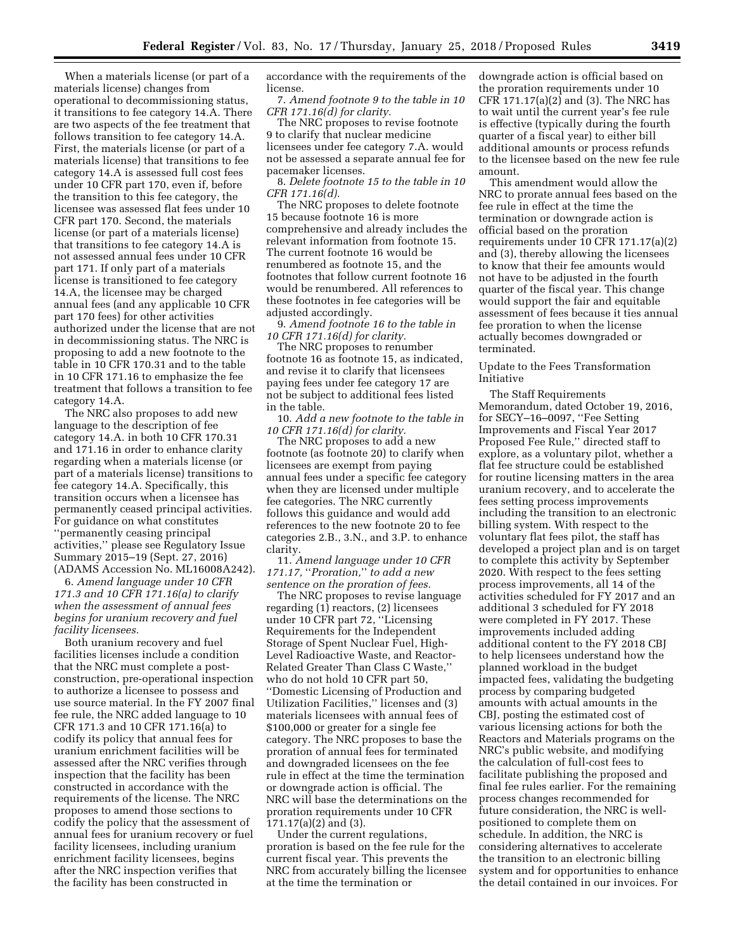When a materials license (or part of a materials license) changes from operational to decommissioning status, it transitions to fee category 14.A. There are two aspects of the fee treatment that follows transition to fee category 14.A. First, the materials license (or part of a materials license) that transitions to fee category 14.A is assessed full cost fees under 10 CFR part 170, even if, before the transition to this fee category, the licensee was assessed flat fees under 10 CFR part 170. Second, the materials license (or part of a materials license) that transitions to fee category 14.A is not assessed annual fees under 10 CFR part 171. If only part of a materials license is transitioned to fee category 14.A, the licensee may be charged annual fees (and any applicable 10 CFR part 170 fees) for other activities authorized under the license that are not in decommissioning status. The NRC is proposing to add a new footnote to the table in 10 CFR 170.31 and to the table in 10 CFR 171.16 to emphasize the fee treatment that follows a transition to fee category 14.A.

The NRC also proposes to add new language to the description of fee category 14.A. in both 10 CFR 170.31 and 171.16 in order to enhance clarity regarding when a materials license (or part of a materials license) transitions to fee category 14.A. Specifically, this transition occurs when a licensee has permanently ceased principal activities. For guidance on what constitutes ''permanently ceasing principal activities,'' please see Regulatory Issue Summary 2015–19 (Sept. 27, 2016) (ADAMS Accession No. ML16008A242).

6. *Amend language under 10 CFR 171.3 and 10 CFR 171.16(a) to clarify when the assessment of annual fees begins for uranium recovery and fuel facility licensees.* 

Both uranium recovery and fuel facilities licenses include a condition that the NRC must complete a postconstruction, pre-operational inspection to authorize a licensee to possess and use source material. In the FY 2007 final fee rule, the NRC added language to 10 CFR 171.3 and 10 CFR 171.16(a) to codify its policy that annual fees for uranium enrichment facilities will be assessed after the NRC verifies through inspection that the facility has been constructed in accordance with the requirements of the license. The NRC proposes to amend those sections to codify the policy that the assessment of annual fees for uranium recovery or fuel facility licensees, including uranium enrichment facility licensees, begins after the NRC inspection verifies that the facility has been constructed in

accordance with the requirements of the license.

7. *Amend footnote 9 to the table in 10 CFR 171.16(d) for clarity.* 

The NRC proposes to revise footnote 9 to clarify that nuclear medicine licensees under fee category 7.A. would not be assessed a separate annual fee for pacemaker licenses.

8. *Delete footnote 15 to the table in 10 CFR 171.16(d).* 

The NRC proposes to delete footnote 15 because footnote 16 is more comprehensive and already includes the relevant information from footnote 15. The current footnote 16 would be renumbered as footnote 15, and the footnotes that follow current footnote 16 would be renumbered. All references to these footnotes in fee categories will be adjusted accordingly.

9. *Amend footnote 16 to the table in 10 CFR 171.16(d) for clarity.* 

The NRC proposes to renumber footnote 16 as footnote 15, as indicated, and revise it to clarify that licensees paying fees under fee category 17 are not be subject to additional fees listed in the table.

10. *Add a new footnote to the table in 10 CFR 171.16(d) for clarity.* 

The NRC proposes to add a new footnote (as footnote 20) to clarify when licensees are exempt from paying annual fees under a specific fee category when they are licensed under multiple fee categories. The NRC currently follows this guidance and would add references to the new footnote 20 to fee categories 2.B., 3.N., and 3.P. to enhance clarity.

11. *Amend language under 10 CFR 171.17,* ''*Proration,*'' *to add a new sentence on the proration of fees.* 

The NRC proposes to revise language regarding (1) reactors, (2) licensees under 10 CFR part 72, ''Licensing Requirements for the Independent Storage of Spent Nuclear Fuel, High-Level Radioactive Waste, and Reactor-Related Greater Than Class C Waste,'' who do not hold 10 CFR part 50, ''Domestic Licensing of Production and Utilization Facilities,'' licenses and (3) materials licensees with annual fees of \$100,000 or greater for a single fee category. The NRC proposes to base the proration of annual fees for terminated and downgraded licensees on the fee rule in effect at the time the termination or downgrade action is official. The NRC will base the determinations on the proration requirements under 10 CFR 171.17(a)(2) and (3).

Under the current regulations, proration is based on the fee rule for the current fiscal year. This prevents the NRC from accurately billing the licensee at the time the termination or

downgrade action is official based on the proration requirements under 10 CFR 171.17(a)(2) and (3). The NRC has to wait until the current year's fee rule is effective (typically during the fourth quarter of a fiscal year) to either bill additional amounts or process refunds to the licensee based on the new fee rule amount.

This amendment would allow the NRC to prorate annual fees based on the fee rule in effect at the time the termination or downgrade action is official based on the proration requirements under 10 CFR 171.17(a)(2) and (3), thereby allowing the licensees to know that their fee amounts would not have to be adjusted in the fourth quarter of the fiscal year. This change would support the fair and equitable assessment of fees because it ties annual fee proration to when the license actually becomes downgraded or terminated.

Update to the Fees Transformation Initiative

The Staff Requirements Memorandum, dated October 19, 2016, for SECY–16–0097, ''Fee Setting Improvements and Fiscal Year 2017 Proposed Fee Rule,'' directed staff to explore, as a voluntary pilot, whether a flat fee structure could be established for routine licensing matters in the area uranium recovery, and to accelerate the fees setting process improvements including the transition to an electronic billing system. With respect to the voluntary flat fees pilot, the staff has developed a project plan and is on target to complete this activity by September 2020. With respect to the fees setting process improvements, all 14 of the activities scheduled for FY 2017 and an additional 3 scheduled for FY 2018 were completed in FY 2017. These improvements included adding additional content to the FY 2018 CBJ to help licensees understand how the planned workload in the budget impacted fees, validating the budgeting process by comparing budgeted amounts with actual amounts in the CBJ, posting the estimated cost of various licensing actions for both the Reactors and Materials programs on the NRC's public website, and modifying the calculation of full-cost fees to facilitate publishing the proposed and final fee rules earlier. For the remaining process changes recommended for future consideration, the NRC is wellpositioned to complete them on schedule. In addition, the NRC is considering alternatives to accelerate the transition to an electronic billing system and for opportunities to enhance the detail contained in our invoices. For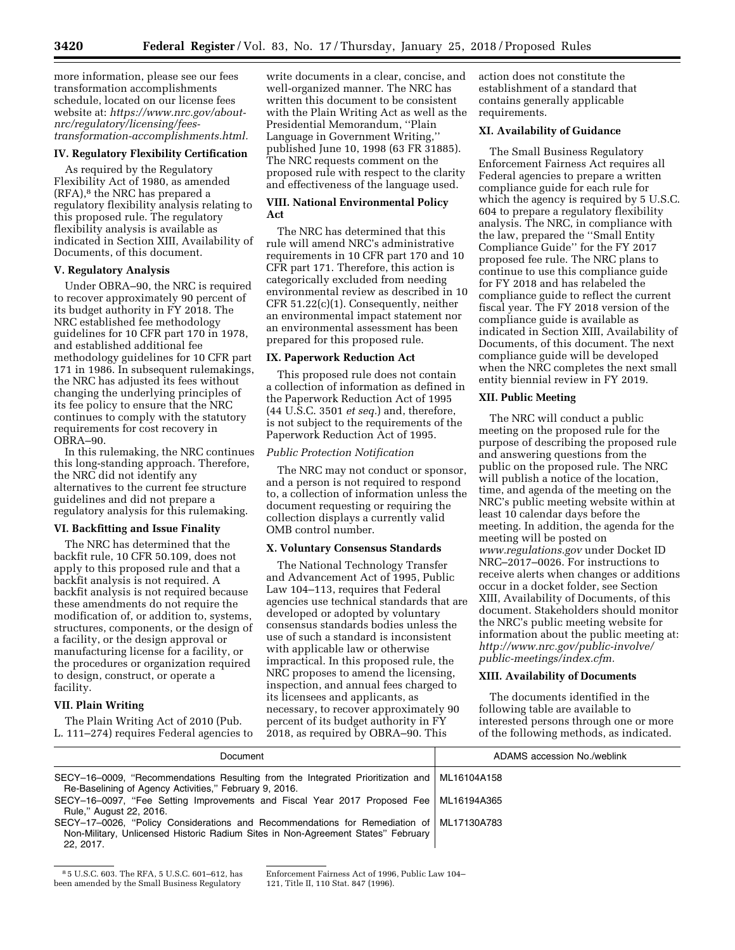more information, please see our fees transformation accomplishments schedule, located on our license fees website at: *[https://www.nrc.gov/about](https://www.nrc.gov/about-nrc/regulatory/licensing/fees-transformation-accomplishments.html)[nrc/regulatory/licensing/fees](https://www.nrc.gov/about-nrc/regulatory/licensing/fees-transformation-accomplishments.html)[transformation-accomplishments.html.](https://www.nrc.gov/about-nrc/regulatory/licensing/fees-transformation-accomplishments.html)* 

#### **IV. Regulatory Flexibility Certification**

As required by the Regulatory Flexibility Act of 1980, as amended (RFA),8 the NRC has prepared a regulatory flexibility analysis relating to this proposed rule. The regulatory flexibility analysis is available as indicated in Section XIII, Availability of Documents, of this document.

#### **V. Regulatory Analysis**

Under OBRA–90, the NRC is required to recover approximately 90 percent of its budget authority in FY 2018. The NRC established fee methodology guidelines for 10 CFR part 170 in 1978, and established additional fee methodology guidelines for 10 CFR part 171 in 1986. In subsequent rulemakings, the NRC has adjusted its fees without changing the underlying principles of its fee policy to ensure that the NRC continues to comply with the statutory requirements for cost recovery in OBRA–90.

In this rulemaking, the NRC continues this long-standing approach. Therefore, the NRC did not identify any alternatives to the current fee structure guidelines and did not prepare a regulatory analysis for this rulemaking.

#### **VI. Backfitting and Issue Finality**

The NRC has determined that the backfit rule, 10 CFR 50.109, does not apply to this proposed rule and that a backfit analysis is not required. A backfit analysis is not required because these amendments do not require the modification of, or addition to, systems, structures, components, or the design of a facility, or the design approval or manufacturing license for a facility, or the procedures or organization required to design, construct, or operate a facility.

#### **VII. Plain Writing**

The Plain Writing Act of 2010 (Pub. L. 111–274) requires Federal agencies to write documents in a clear, concise, and well-organized manner. The NRC has written this document to be consistent with the Plain Writing Act as well as the Presidential Memorandum, ''Plain Language in Government Writing,'' published June 10, 1998 (63 FR 31885). The NRC requests comment on the proposed rule with respect to the clarity and effectiveness of the language used.

#### **VIII. National Environmental Policy Act**

The NRC has determined that this rule will amend NRC's administrative requirements in 10 CFR part 170 and 10 CFR part 171. Therefore, this action is categorically excluded from needing environmental review as described in 10 CFR 51.22(c)(1). Consequently, neither an environmental impact statement nor an environmental assessment has been prepared for this proposed rule.

#### **IX. Paperwork Reduction Act**

This proposed rule does not contain a collection of information as defined in the Paperwork Reduction Act of 1995 (44 U.S.C. 3501 *et seq.*) and, therefore, is not subject to the requirements of the Paperwork Reduction Act of 1995.

#### *Public Protection Notification*

The NRC may not conduct or sponsor, and a person is not required to respond to, a collection of information unless the document requesting or requiring the collection displays a currently valid OMB control number.

#### **X. Voluntary Consensus Standards**

The National Technology Transfer and Advancement Act of 1995, Public Law 104–113, requires that Federal agencies use technical standards that are developed or adopted by voluntary consensus standards bodies unless the use of such a standard is inconsistent with applicable law or otherwise impractical. In this proposed rule, the NRC proposes to amend the licensing, inspection, and annual fees charged to its licensees and applicants, as necessary, to recover approximately 90 percent of its budget authority in FY 2018, as required by OBRA–90. This

action does not constitute the establishment of a standard that contains generally applicable requirements.

#### **XI. Availability of Guidance**

The Small Business Regulatory Enforcement Fairness Act requires all Federal agencies to prepare a written compliance guide for each rule for which the agency is required by 5 U.S.C. 604 to prepare a regulatory flexibility analysis. The NRC, in compliance with the law, prepared the ''Small Entity Compliance Guide'' for the FY 2017 proposed fee rule. The NRC plans to continue to use this compliance guide for FY 2018 and has relabeled the compliance guide to reflect the current fiscal year. The FY 2018 version of the compliance guide is available as indicated in Section XIII, Availability of Documents, of this document. The next compliance guide will be developed when the NRC completes the next small entity biennial review in FY 2019.

#### **XII. Public Meeting**

The NRC will conduct a public meeting on the proposed rule for the purpose of describing the proposed rule and answering questions from the public on the proposed rule. The NRC will publish a notice of the location, time, and agenda of the meeting on the NRC's public meeting website within at least 10 calendar days before the meeting. In addition, the agenda for the meeting will be posted on *[www.regulations.gov](http://www.regulations.gov)* under Docket ID NRC–2017–0026. For instructions to receive alerts when changes or additions occur in a docket folder, see Section XIII, Availability of Documents, of this document. Stakeholders should monitor the NRC's public meeting website for information about the public meeting at: *[http://www.nrc.gov/public-involve/](http://www.nrc.gov/public-involve/public-meetings/index.cfm)  [public-meetings/index.cfm.](http://www.nrc.gov/public-involve/public-meetings/index.cfm)* 

#### **XIII. Availability of Documents**

The documents identified in the following table are available to interested persons through one or more of the following methods, as indicated.

| Document                                                                                                                                                                                 | ADAMS accession No./weblink |
|------------------------------------------------------------------------------------------------------------------------------------------------------------------------------------------|-----------------------------|
| SECY-16-0009, "Recommendations Resulting from the Integrated Prioritization and ML16104A158<br>Re-Baselining of Agency Activities," February 9, 2016.                                    |                             |
| SECY-16-0097, "Fee Setting Improvements and Fiscal Year 2017 Proposed Fee   ML16194A365<br>Rule," August 22, 2016.                                                                       |                             |
| SECY-17-0026, "Policy Considerations and Recommendations for Remediation of ML17130A783<br>Non-Military, Unlicensed Historic Radium Sites in Non-Agreement States" February<br>22. 2017. |                             |

<sup>8</sup> 5 U.S.C. 603. The RFA, 5 U.S.C. 601–612, has been amended by the Small Business Regulatory

Enforcement Fairness Act of 1996, Public Law 104– 121, Title II, 110 Stat. 847 (1996).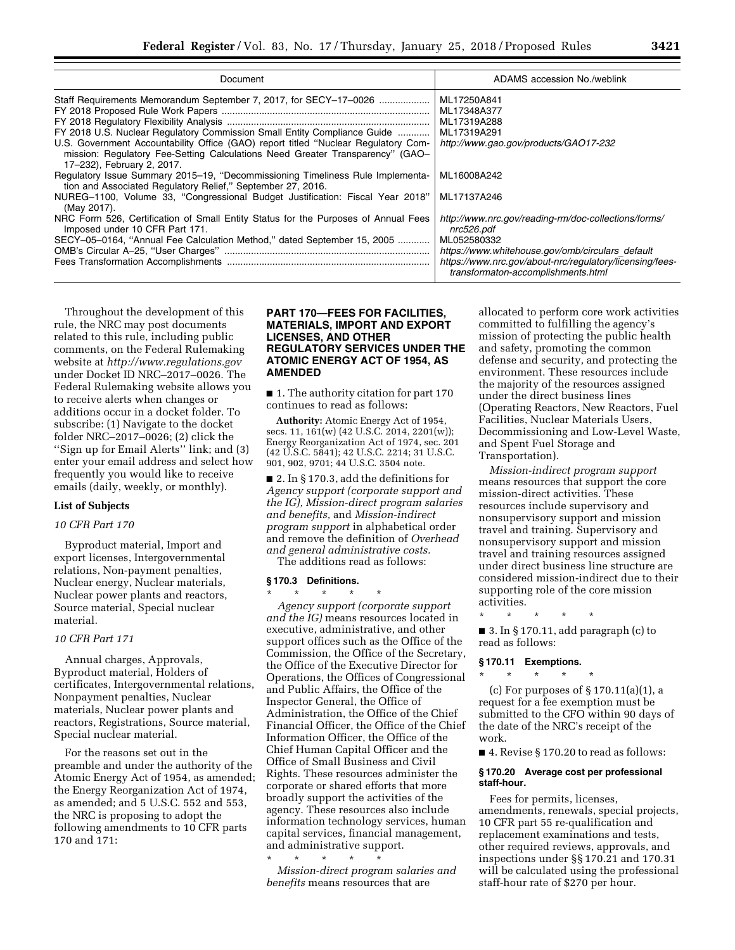| Document                                                                                                                                                                                          | ADAMS accession No./weblink                                                                    |
|---------------------------------------------------------------------------------------------------------------------------------------------------------------------------------------------------|------------------------------------------------------------------------------------------------|
| Staff Requirements Memorandum September 7, 2017, for SECY-17-0026                                                                                                                                 | ML17250A841                                                                                    |
|                                                                                                                                                                                                   | ML17348A377                                                                                    |
|                                                                                                                                                                                                   | ML17319A288                                                                                    |
| FY 2018 U.S. Nuclear Regulatory Commission Small Entity Compliance Guide                                                                                                                          | ML17319A291                                                                                    |
| U.S. Government Accountability Office (GAO) report titled "Nuclear Regulatory Com-<br>mission: Regulatory Fee-Setting Calculations Need Greater Transparency" (GAO-<br>17-232), February 2, 2017. | http://www.gao.gov/products/GAO17-232                                                          |
| Regulatory Issue Summary 2015-19, "Decommissioning Timeliness Rule Implementa-<br>tion and Associated Regulatory Relief," September 27, 2016.                                                     | ML16008A242                                                                                    |
| NUREG-1100, Volume 33, "Congressional Budget Justification: Fiscal Year 2018"<br>(May 2017).                                                                                                      | ML17137A246                                                                                    |
| NRC Form 526, Certification of Small Entity Status for the Purposes of Annual Fees<br>Imposed under 10 CFR Part 171.                                                                              | http://www.nrc.gov/reading-rm/doc-collections/forms/<br>nrc526.pdf                             |
| SECY-05-0164, "Annual Fee Calculation Method," dated September 15, 2005                                                                                                                           | ML052580332                                                                                    |
|                                                                                                                                                                                                   | https://www.whitehouse.gov/omb/circulars_default                                               |
|                                                                                                                                                                                                   | https://www.nrc.gov/about-nrc/regulatory/licensing/fees-<br>transformaton-accomplishments.html |

Throughout the development of this rule, the NRC may post documents related to this rule, including public comments, on the Federal Rulemaking website at *<http://www.regulations.gov>*  under Docket ID NRC–2017–0026. The Federal Rulemaking website allows you to receive alerts when changes or additions occur in a docket folder. To subscribe: (1) Navigate to the docket folder NRC–2017–0026; (2) click the ''Sign up for Email Alerts'' link; and (3) enter your email address and select how frequently you would like to receive emails (daily, weekly, or monthly).

#### **List of Subjects**

#### *10 CFR Part 170*

Byproduct material, Import and export licenses, Intergovernmental relations, Non-payment penalties, Nuclear energy, Nuclear materials, Nuclear power plants and reactors, Source material, Special nuclear material.

#### *10 CFR Part 171*

Annual charges, Approvals, Byproduct material, Holders of certificates, Intergovernmental relations, Nonpayment penalties, Nuclear materials, Nuclear power plants and reactors, Registrations, Source material, Special nuclear material.

For the reasons set out in the preamble and under the authority of the Atomic Energy Act of 1954, as amended; the Energy Reorganization Act of 1974, as amended; and 5 U.S.C. 552 and 553, the NRC is proposing to adopt the following amendments to 10 CFR parts 170 and 171:

#### **PART 170—FEES FOR FACILITIES, MATERIALS, IMPORT AND EXPORT LICENSES, AND OTHER REGULATORY SERVICES UNDER THE ATOMIC ENERGY ACT OF 1954, AS AMENDED**

■ 1. The authority citation for part 170 continues to read as follows:

**Authority:** Atomic Energy Act of 1954, secs. 11, 161(w) (42 U.S.C. 2014, 2201(w)); Energy Reorganization Act of 1974, sec. 201 (42 U.S.C. 5841); 42 U.S.C. 2214; 31 U.S.C. 901, 902, 9701; 44 U.S.C. 3504 note.

■ 2. In § 170.3, add the definitions for *Agency support (corporate support and the IG), Mission-direct program salaries and benefits,* and *Mission-indirect program support* in alphabetical order and remove the definition of *Overhead and general administrative costs.* 

The additions read as follows:

#### **§ 170.3 Definitions.**

\* \* \* \* \* *Agency support (corporate support and the IG)* means resources located in executive, administrative, and other support offices such as the Office of the Commission, the Office of the Secretary, the Office of the Executive Director for Operations, the Offices of Congressional and Public Affairs, the Office of the Inspector General, the Office of Administration, the Office of the Chief Financial Officer, the Office of the Chief Information Officer, the Office of the Chief Human Capital Officer and the Office of Small Business and Civil Rights. These resources administer the corporate or shared efforts that more broadly support the activities of the agency. These resources also include information technology services, human capital services, financial management, and administrative support.

\* \* \* \* \* *Mission-direct program salaries and benefits* means resources that are

allocated to perform core work activities committed to fulfilling the agency's mission of protecting the public health and safety, promoting the common defense and security, and protecting the environment. These resources include the majority of the resources assigned under the direct business lines (Operating Reactors, New Reactors, Fuel Facilities, Nuclear Materials Users, Decommissioning and Low-Level Waste, and Spent Fuel Storage and Transportation).

*Mission-indirect program support*  means resources that support the core mission-direct activities. These resources include supervisory and nonsupervisory support and mission travel and training. Supervisory and nonsupervisory support and mission travel and training resources assigned under direct business line structure are considered mission-indirect due to their supporting role of the core mission activities.

 $\blacksquare$  3. In § 170.11, add paragraph (c) to read as follows:

### **§ 170.11 Exemptions.**  \* \* \* \* \*

\* \* \* \* \*

(c) For purposes of § 170.11(a)(1), a request for a fee exemption must be submitted to the CFO within 90 days of the date of the NRC's receipt of the work.

■ 4. Revise § 170.20 to read as follows:

#### **§ 170.20 Average cost per professional staff-hour.**

Fees for permits, licenses, amendments, renewals, special projects, 10 CFR part 55 re-qualification and replacement examinations and tests, other required reviews, approvals, and inspections under §§ 170.21 and 170.31 will be calculated using the professional staff-hour rate of \$270 per hour.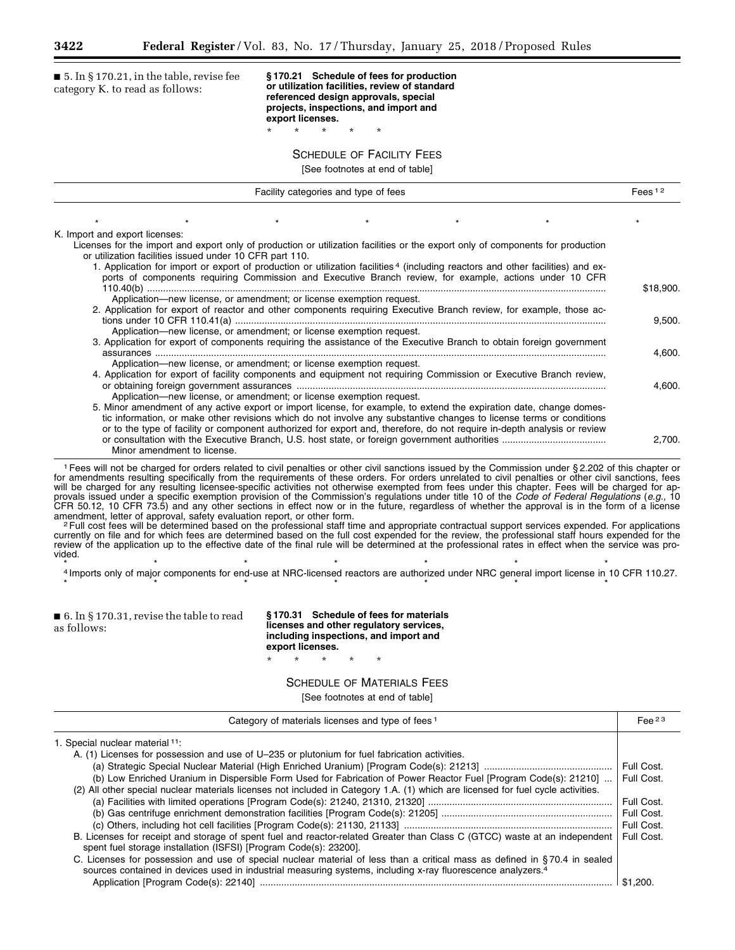$\blacksquare$  5. In § 170.21, in the table, revise fee category K. to read as follows:

**§ 170.21 Schedule of fees for production or utilization facilities, review of standard referenced design approvals, special projects, inspections, and import and export licenses.** 

SCHEDULE OF FACILITY FEES

\* \* \* \* \*

[See footnotes at end of table]

| K. Import and export licenses:<br>Licenses for the import and export only of production or utilization facilities or the export only of components for production<br>or utilization facilities issued under 10 CFR part 110.<br>1. Application for import or export of production or utilization facilities <sup>4</sup> (including reactors and other facilities) and ex-<br>ports of components requiring Commission and Executive Branch review, for example, actions under 10 CFR<br>Application-new license, or amendment; or license exemption request.<br>2. Application for export of reactor and other components requiring Executive Branch review, for example, those ac- |           |
|--------------------------------------------------------------------------------------------------------------------------------------------------------------------------------------------------------------------------------------------------------------------------------------------------------------------------------------------------------------------------------------------------------------------------------------------------------------------------------------------------------------------------------------------------------------------------------------------------------------------------------------------------------------------------------------|-----------|
|                                                                                                                                                                                                                                                                                                                                                                                                                                                                                                                                                                                                                                                                                      |           |
|                                                                                                                                                                                                                                                                                                                                                                                                                                                                                                                                                                                                                                                                                      |           |
|                                                                                                                                                                                                                                                                                                                                                                                                                                                                                                                                                                                                                                                                                      |           |
|                                                                                                                                                                                                                                                                                                                                                                                                                                                                                                                                                                                                                                                                                      |           |
|                                                                                                                                                                                                                                                                                                                                                                                                                                                                                                                                                                                                                                                                                      |           |
|                                                                                                                                                                                                                                                                                                                                                                                                                                                                                                                                                                                                                                                                                      |           |
|                                                                                                                                                                                                                                                                                                                                                                                                                                                                                                                                                                                                                                                                                      | \$18,900. |
|                                                                                                                                                                                                                                                                                                                                                                                                                                                                                                                                                                                                                                                                                      |           |
|                                                                                                                                                                                                                                                                                                                                                                                                                                                                                                                                                                                                                                                                                      | 9,500.    |
| Application-new license, or amendment; or license exemption request.                                                                                                                                                                                                                                                                                                                                                                                                                                                                                                                                                                                                                 |           |
| 3. Application for export of components requiring the assistance of the Executive Branch to obtain foreign government                                                                                                                                                                                                                                                                                                                                                                                                                                                                                                                                                                |           |
|                                                                                                                                                                                                                                                                                                                                                                                                                                                                                                                                                                                                                                                                                      | 4,600.    |
| Application—new license, or amendment; or license exemption request.                                                                                                                                                                                                                                                                                                                                                                                                                                                                                                                                                                                                                 |           |
| 4. Application for export of facility components and equipment not requiring Commission or Executive Branch review,                                                                                                                                                                                                                                                                                                                                                                                                                                                                                                                                                                  |           |
|                                                                                                                                                                                                                                                                                                                                                                                                                                                                                                                                                                                                                                                                                      | 4.600.    |
| Application—new license, or amendment; or license exemption request.                                                                                                                                                                                                                                                                                                                                                                                                                                                                                                                                                                                                                 |           |
| 5. Minor amendment of any active export or import license, for example, to extend the expiration date, change domes-                                                                                                                                                                                                                                                                                                                                                                                                                                                                                                                                                                 |           |
| tic information, or make other revisions which do not involve any substantive changes to license terms or conditions                                                                                                                                                                                                                                                                                                                                                                                                                                                                                                                                                                 |           |
| or to the type of facility or component authorized for export and, therefore, do not require in-depth analysis or review                                                                                                                                                                                                                                                                                                                                                                                                                                                                                                                                                             |           |
| Minor amendment to license.                                                                                                                                                                                                                                                                                                                                                                                                                                                                                                                                                                                                                                                          | 2.700.    |

1Fees will not be charged for orders related to civil penalties or other civil sanctions issued by the Commission under § 2.202 of this chapter or for amendments resulting specifically from the requirements of these orders. For orders unrelated to civil penalties or other civil sanctions, fees will be charged for any resulting licensee-specific activities not otherwise exempted from fees under this chapter. Fees will be charged for approvals issued under a specific exemption provision of the Commission's regulations under title 10 of the *Code of Federal Regulations* (*e.g.,* 10 CFR 50.12, 10 CFR 73.5) and any other sections in effect now or in the future, regardless of whether the approval is in the form of a license amendment, letter of approval, safety evaluation report, or other form.<br><sup>2</sup>Full cost fees will be determined based on the professional staff time and appropriate contractual support services expended. For applications

currently on file and for which fees are determined based on the full cost expended for the review, the professional staff hours expended for the review of the application up to the effective date of the final rule will be determined at the professional rates in effect when the service was provided.

\* \* \* \* \* \* \* 4 Imports only of major components for end-use at NRC-licensed reactors are authorized under NRC general import license in 10 CFR 110.27.

\*\*\*\*\*\*\*

\* \* \* \* \*

| $\blacksquare$ 6. In § 170.31, revise the table to read<br>as follows: | \$170.31 Schedule of fees for materials<br>licenses and other regulatory services,<br>including inspections, and import and<br>export licenses. |
|------------------------------------------------------------------------|-------------------------------------------------------------------------------------------------------------------------------------------------|
|------------------------------------------------------------------------|-------------------------------------------------------------------------------------------------------------------------------------------------|

SCHEDULE OF MATERIALS FEES

| Category of materials licenses and type of fees <sup>1</sup>                                                                                                                                   | $Fee$ 23   |
|------------------------------------------------------------------------------------------------------------------------------------------------------------------------------------------------|------------|
| 1. Special nuclear material 11:                                                                                                                                                                |            |
| A. (1) Licenses for possession and use of U-235 or plutonium for fuel fabrication activities.                                                                                                  |            |
|                                                                                                                                                                                                | Full Cost. |
| (b) Low Enriched Uranium in Dispersible Form Used for Fabrication of Power Reactor Fuel [Program Code(s): 21210]                                                                               | Full Cost. |
| (2) All other special nuclear materials licenses not included in Category 1.A. (1) which are licensed for fuel cycle activities.                                                               |            |
|                                                                                                                                                                                                | Full Cost. |
|                                                                                                                                                                                                | Full Cost. |
|                                                                                                                                                                                                | Full Cost. |
| B. Licenses for receipt and storage of spent fuel and reactor-related Greater than Class C (GTCC) waste at an independent<br>spent fuel storage installation (ISFSI) [Program Code(s): 23200]. | Full Cost. |
| C. Licenses for possession and use of special nuclear material of less than a critical mass as defined in §70.4 in sealed                                                                      |            |
| sources contained in devices used in industrial measuring systems, including x-ray fluorescence analyzers. <sup>4</sup>                                                                        |            |
|                                                                                                                                                                                                | \$1.200.   |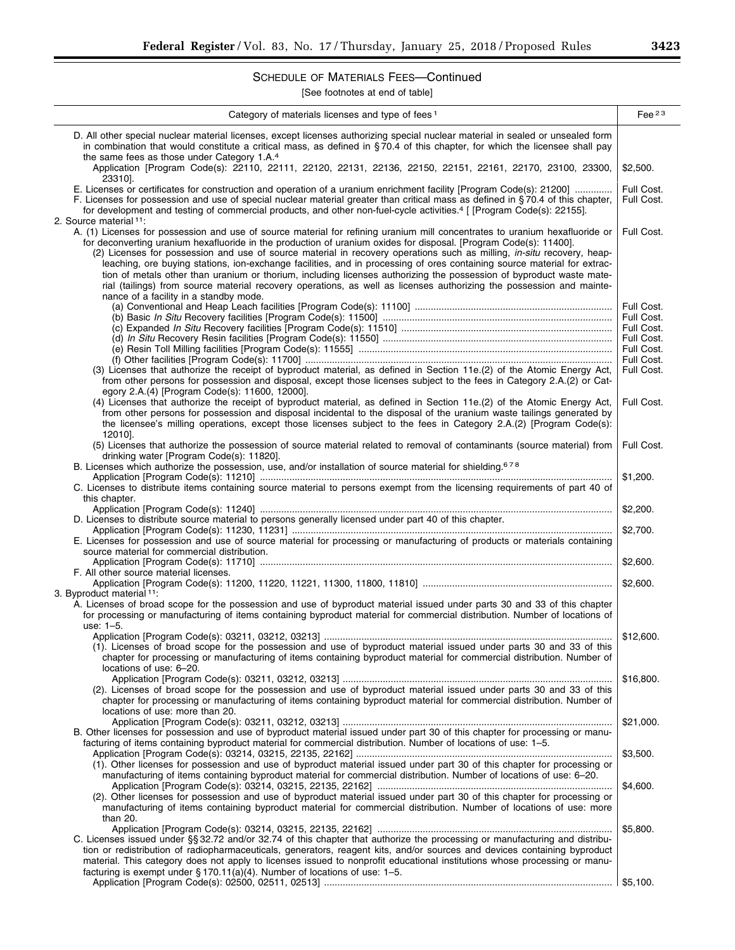# SCHEDULE OF MATERIALS FEES—Continued

| Category of materials licenses and type of fees <sup>1</sup>                                                                                                                                                                                                                                                                                                                                                                                                                                                                                                                                                                                                                                                                                                                                                               | Fee $^{23}$                                          |
|----------------------------------------------------------------------------------------------------------------------------------------------------------------------------------------------------------------------------------------------------------------------------------------------------------------------------------------------------------------------------------------------------------------------------------------------------------------------------------------------------------------------------------------------------------------------------------------------------------------------------------------------------------------------------------------------------------------------------------------------------------------------------------------------------------------------------|------------------------------------------------------|
| D. All other special nuclear material licenses, except licenses authorizing special nuclear material in sealed or unsealed form<br>in combination that would constitute a critical mass, as defined in §70.4 of this chapter, for which the licensee shall pay<br>the same fees as those under Category 1.A. <sup>4</sup>                                                                                                                                                                                                                                                                                                                                                                                                                                                                                                  |                                                      |
| Application [Program Code(s): 22110, 22111, 22120, 22131, 22136, 22150, 22151, 22161, 22170, 23100, 23300,<br>233101.                                                                                                                                                                                                                                                                                                                                                                                                                                                                                                                                                                                                                                                                                                      | \$2,500.                                             |
| E. Licenses or certificates for construction and operation of a uranium enrichment facility [Program Code(s): 21200]<br>F. Licenses for possession and use of special nuclear material greater than critical mass as defined in §70.4 of this chapter,<br>for development and testing of commercial products, and other non-fuel-cycle activities. <sup>4</sup> [ [Program Code(s): 22155].                                                                                                                                                                                                                                                                                                                                                                                                                                | Full Cost.<br>Full Cost.                             |
| 2. Source material 11:<br>A. (1) Licenses for possession and use of source material for refining uranium mill concentrates to uranium hexafluoride or<br>for deconverting uranium hexafluoride in the production of uranium oxides for disposal. [Program Code(s): 11400].<br>(2) Licenses for possession and use of source material in recovery operations such as milling, in-situ recovery, heap-<br>leaching, ore buying stations, ion-exchange facilities, and in processing of ores containing source material for extrac-<br>tion of metals other than uranium or thorium, including licenses authorizing the possession of byproduct waste mate-<br>rial (tailings) from source material recovery operations, as well as licenses authorizing the possession and mainte-<br>nance of a facility in a standby mode. | Full Cost.                                           |
|                                                                                                                                                                                                                                                                                                                                                                                                                                                                                                                                                                                                                                                                                                                                                                                                                            | Full Cost.                                           |
|                                                                                                                                                                                                                                                                                                                                                                                                                                                                                                                                                                                                                                                                                                                                                                                                                            | Full Cost.<br>Full Cost.<br>Full Cost.<br>Full Cost. |
| (3) Licenses that authorize the receipt of byproduct material, as defined in Section 11e.(2) of the Atomic Energy Act,                                                                                                                                                                                                                                                                                                                                                                                                                                                                                                                                                                                                                                                                                                     | Full Cost.<br>Full Cost.                             |
| from other persons for possession and disposal, except those licenses subject to the fees in Category 2.A.(2) or Cat-<br>egory 2.A.(4) [Program Code(s): 11600, 12000].                                                                                                                                                                                                                                                                                                                                                                                                                                                                                                                                                                                                                                                    |                                                      |
| (4) Licenses that authorize the receipt of byproduct material, as defined in Section 11e.(2) of the Atomic Energy Act,<br>from other persons for possession and disposal incidental to the disposal of the uranium waste tailings generated by<br>the licensee's milling operations, except those licenses subject to the fees in Category 2.A.(2) [Program Code(s):<br>12010].                                                                                                                                                                                                                                                                                                                                                                                                                                            | Full Cost.                                           |
| (5) Licenses that authorize the possession of source material related to removal of contaminants (source material) from<br>drinking water [Program Code(s): 11820].                                                                                                                                                                                                                                                                                                                                                                                                                                                                                                                                                                                                                                                        | Full Cost.                                           |
| B. Licenses which authorize the possession, use, and/or installation of source material for shielding. <sup>678</sup><br>C. Licenses to distribute items containing source material to persons exempt from the licensing requirements of part 40 of                                                                                                                                                                                                                                                                                                                                                                                                                                                                                                                                                                        | \$1,200.                                             |
| this chapter.<br>D. Licenses to distribute source material to persons generally licensed under part 40 of this chapter.                                                                                                                                                                                                                                                                                                                                                                                                                                                                                                                                                                                                                                                                                                    | \$2,200.                                             |
| E. Licenses for possession and use of source material for processing or manufacturing of products or materials containing                                                                                                                                                                                                                                                                                                                                                                                                                                                                                                                                                                                                                                                                                                  | \$2,700.                                             |
| source material for commercial distribution.                                                                                                                                                                                                                                                                                                                                                                                                                                                                                                                                                                                                                                                                                                                                                                               | \$2,600.                                             |
| F. All other source material licenses.<br>3. Byproduct material 11:                                                                                                                                                                                                                                                                                                                                                                                                                                                                                                                                                                                                                                                                                                                                                        | \$2,600.                                             |
| A. Licenses of broad scope for the possession and use of byproduct material issued under parts 30 and 33 of this chapter<br>for processing or manufacturing of items containing byproduct material for commercial distribution. Number of locations of<br>use: 1-5.                                                                                                                                                                                                                                                                                                                                                                                                                                                                                                                                                        |                                                      |
| Application [Program Code(s): 03211, 03212, 03213]<br>(1). Licenses of broad scope for the possession and use of byproduct material issued under parts 30 and 33 of this<br>chapter for processing or manufacturing of items containing byproduct material for commercial distribution. Number of<br>locations of use: 6-20.                                                                                                                                                                                                                                                                                                                                                                                                                                                                                               | \$12,600                                             |
| (2). Licenses of broad scope for the possession and use of byproduct material issued under parts 30 and 33 of this<br>chapter for processing or manufacturing of items containing byproduct material for commercial distribution. Number of<br>locations of use: more than 20.                                                                                                                                                                                                                                                                                                                                                                                                                                                                                                                                             | \$16,800.                                            |
| B. Other licenses for possession and use of byproduct material issued under part 30 of this chapter for processing or manu-<br>facturing of items containing byproduct material for commercial distribution. Number of locations of use: 1–5.                                                                                                                                                                                                                                                                                                                                                                                                                                                                                                                                                                              | \$21,000.                                            |
| (1). Other licenses for possession and use of byproduct material issued under part 30 of this chapter for processing or<br>manufacturing of items containing byproduct material for commercial distribution. Number of locations of use: 6–20.                                                                                                                                                                                                                                                                                                                                                                                                                                                                                                                                                                             | \$3,500.                                             |
| (2). Other licenses for possession and use of byproduct material issued under part 30 of this chapter for processing or<br>manufacturing of items containing byproduct material for commercial distribution. Number of locations of use: more<br>than 20.                                                                                                                                                                                                                                                                                                                                                                                                                                                                                                                                                                  | \$4,600.                                             |
| C. Licenses issued under §§ 32.72 and/or 32.74 of this chapter that authorize the processing or manufacturing and distribu-<br>tion or redistribution of radiopharmaceuticals, generators, reagent kits, and/or sources and devices containing byproduct<br>material. This category does not apply to licenses issued to nonprofit educational institutions whose processing or manu-                                                                                                                                                                                                                                                                                                                                                                                                                                      | \$5,800.                                             |
| facturing is exempt under $\S 170.11(a)(4)$ . Number of locations of use: 1-5.                                                                                                                                                                                                                                                                                                                                                                                                                                                                                                                                                                                                                                                                                                                                             | \$5,100.                                             |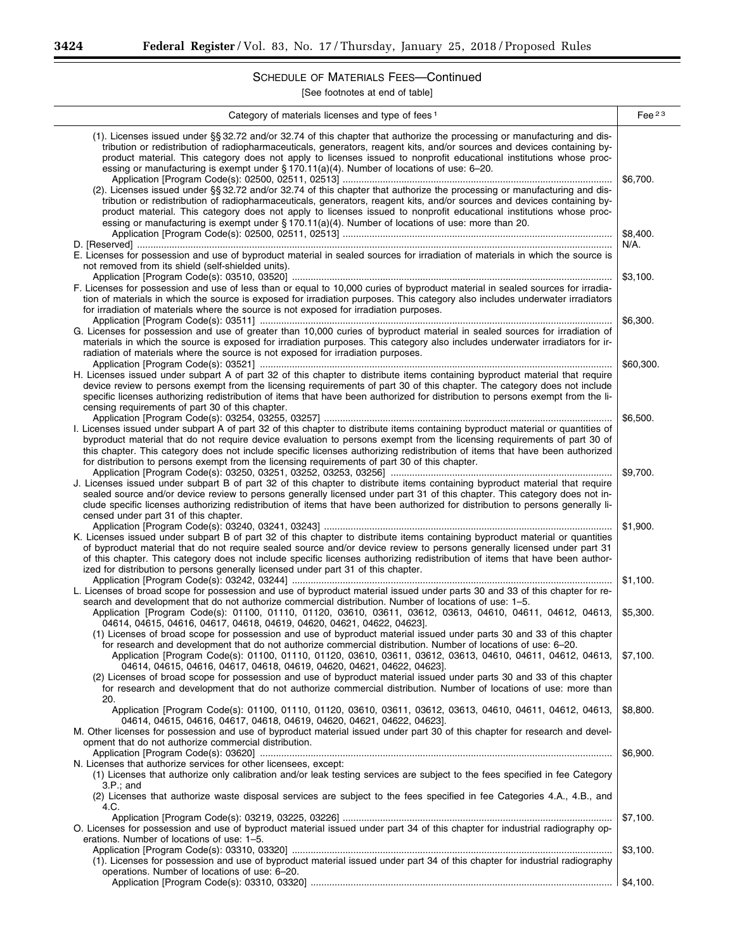۳

 $\overline{a}$  $\overline{a}$ 

# SCHEDULE OF MATERIALS FEES—Continued

| Category of materials licenses and type of fees <sup>1</sup>                                                                                                                                                                                                                                                                                                                                                                                                                                   | Fee $^{23}$ |
|------------------------------------------------------------------------------------------------------------------------------------------------------------------------------------------------------------------------------------------------------------------------------------------------------------------------------------------------------------------------------------------------------------------------------------------------------------------------------------------------|-------------|
| (1). Licenses issued under §§ 32.72 and/or 32.74 of this chapter that authorize the processing or manufacturing and dis-<br>tribution or redistribution of radiopharmaceuticals, generators, reagent kits, and/or sources and devices containing by-<br>product material. This category does not apply to licenses issued to nonprofit educational institutions whose proc-<br>essing or manufacturing is exempt under $\S 170.11(a)(4)$ . Number of locations of use: 6-20.                   | \$6,700.    |
| (2). Licenses issued under §§ 32.72 and/or 32.74 of this chapter that authorize the processing or manufacturing and dis-<br>tribution or redistribution of radiopharmaceuticals, generators, reagent kits, and/or sources and devices containing by-<br>product material. This category does not apply to licenses issued to nonprofit educational institutions whose proc-<br>essing or manufacturing is exempt under $\S 170.11(a)(4)$ . Number of locations of use: more than 20.           |             |
|                                                                                                                                                                                                                                                                                                                                                                                                                                                                                                | \$8,400.    |
| E. Licenses for possession and use of byproduct material in sealed sources for irradiation of materials in which the source is<br>not removed from its shield (self-shielded units).                                                                                                                                                                                                                                                                                                           | N/A.        |
|                                                                                                                                                                                                                                                                                                                                                                                                                                                                                                | \$3,100.    |
| F. Licenses for possession and use of less than or equal to 10,000 curies of byproduct material in sealed sources for irradia-<br>tion of materials in which the source is exposed for irradiation purposes. This category also includes underwater irradiators<br>for irradiation of materials where the source is not exposed for irradiation purposes.                                                                                                                                      |             |
|                                                                                                                                                                                                                                                                                                                                                                                                                                                                                                | \$6,300.    |
| G. Licenses for possession and use of greater than 10,000 curies of byproduct material in sealed sources for irradiation of<br>materials in which the source is exposed for irradiation purposes. This category also includes underwater irradiators for ir-<br>radiation of materials where the source is not exposed for irradiation purposes.                                                                                                                                               |             |
|                                                                                                                                                                                                                                                                                                                                                                                                                                                                                                | \$60,300.   |
| H. Licenses issued under subpart A of part 32 of this chapter to distribute items containing byproduct material that require<br>device review to persons exempt from the licensing requirements of part 30 of this chapter. The category does not include<br>specific licenses authorizing redistribution of items that have been authorized for distribution to persons exempt from the li-<br>censing requirements of part 30 of this chapter.                                               |             |
|                                                                                                                                                                                                                                                                                                                                                                                                                                                                                                | \$6,500.    |
| I. Licenses issued under subpart A of part 32 of this chapter to distribute items containing byproduct material or quantities of<br>byproduct material that do not require device evaluation to persons exempt from the licensing requirements of part 30 of<br>this chapter. This category does not include specific licenses authorizing redistribution of items that have been authorized<br>for distribution to persons exempt from the licensing requirements of part 30 of this chapter. |             |
|                                                                                                                                                                                                                                                                                                                                                                                                                                                                                                | \$9,700.    |
| J. Licenses issued under subpart B of part 32 of this chapter to distribute items containing byproduct material that require<br>sealed source and/or device review to persons generally licensed under part 31 of this chapter. This category does not in-<br>clude specific licenses authorizing redistribution of items that have been authorized for distribution to persons generally li-<br>censed under part 31 of this chapter.                                                         |             |
|                                                                                                                                                                                                                                                                                                                                                                                                                                                                                                | \$1,900.    |
| K. Licenses issued under subpart B of part 32 of this chapter to distribute items containing byproduct material or quantities<br>of byproduct material that do not require sealed source and/or device review to persons generally licensed under part 31<br>of this chapter. This category does not include specific licenses authorizing redistribution of items that have been author-                                                                                                      |             |
| ized for distribution to persons generally licensed under part 31 of this chapter.                                                                                                                                                                                                                                                                                                                                                                                                             | \$1,100.    |
| L. Licenses of broad scope for possession and use of byproduct material issued under parts 30 and 33 of this chapter for re-<br>search and development that do not authorize commercial distribution. Number of locations of use: 1–5.                                                                                                                                                                                                                                                         |             |
| Application [Program Code(s): 01100, 01110, 01120, 03610, 03611, 03612, 03613, 04610, 04611, 04612, 04613,<br>04614, 04615, 04616, 04617, 04618, 04619, 04620, 04621, 04622, 04623].<br>(1) Licenses of broad scope for possession and use of byproduct material issued under parts 30 and 33 of this chapter                                                                                                                                                                                  | \$5,300.    |
| for research and development that do not authorize commercial distribution. Number of locations of use: 6-20.<br>Application [Program Code(s): 01100, 01110, 01120, 03610, 03611, 03612, 03613, 04610, 04611, 04612, 04613,<br>04614, 04615, 04616, 04617, 04618, 04619, 04620, 04621, 04622, 04623].<br>(2) Licenses of broad scope for possession and use of byproduct material issued under parts 30 and 33 of this chapter                                                                 | \$7,100.    |
| for research and development that do not authorize commercial distribution. Number of locations of use: more than<br>20.                                                                                                                                                                                                                                                                                                                                                                       |             |
| Application [Program Code(s): 01100, 01110, 01120, 03610, 03611, 03612, 03613, 04610, 04611, 04612, 04613,<br>04614, 04615, 04616, 04617, 04618, 04619, 04620, 04621, 04622, 04623].<br>M. Other licenses for possession and use of byproduct material issued under part 30 of this chapter for research and devel-                                                                                                                                                                            | \$8,800.    |
| opment that do not authorize commercial distribution.                                                                                                                                                                                                                                                                                                                                                                                                                                          | \$6,900.    |
| N. Licenses that authorize services for other licensees, except:<br>(1) Licenses that authorize only calibration and/or leak testing services are subject to the fees specified in fee Category<br>$3.P.:$ and<br>(2) Licenses that authorize waste disposal services are subject to the fees specified in fee Categories 4.A., 4.B., and                                                                                                                                                      |             |
| 4.C.                                                                                                                                                                                                                                                                                                                                                                                                                                                                                           | \$7,100.    |
| O. Licenses for possession and use of byproduct material issued under part 34 of this chapter for industrial radiography op-<br>erations. Number of locations of use: 1-5.                                                                                                                                                                                                                                                                                                                     |             |
| (1). Licenses for possession and use of byproduct material issued under part 34 of this chapter for industrial radiography<br>operations. Number of locations of use: 6-20.                                                                                                                                                                                                                                                                                                                    | \$3,100.    |
|                                                                                                                                                                                                                                                                                                                                                                                                                                                                                                | \$4,100.    |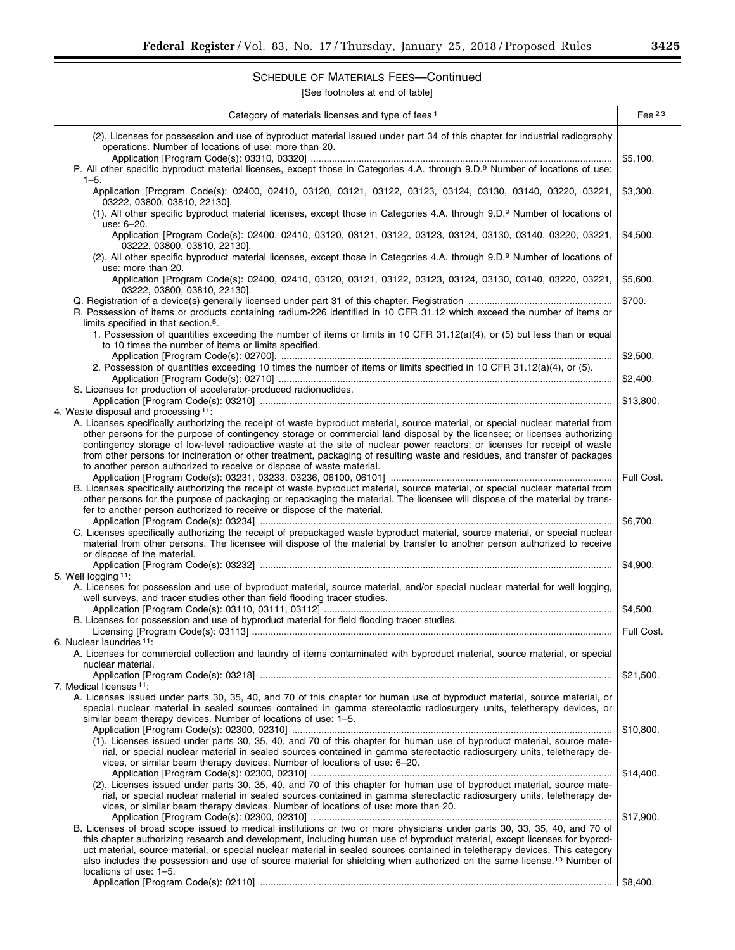# SCHEDULE OF MATERIALS FEES—Continued

| Category of materials licenses and type of fees <sup>1</sup>                                                                                                                                                                                                                                                                                                                                                                                                                                                                                                      | Fee $23$   |
|-------------------------------------------------------------------------------------------------------------------------------------------------------------------------------------------------------------------------------------------------------------------------------------------------------------------------------------------------------------------------------------------------------------------------------------------------------------------------------------------------------------------------------------------------------------------|------------|
| (2). Licenses for possession and use of byproduct material issued under part 34 of this chapter for industrial radiography<br>operations. Number of locations of use: more than 20.                                                                                                                                                                                                                                                                                                                                                                               |            |
| P. All other specific byproduct material licenses, except those in Categories 4.A. through 9.D.9 Number of locations of use:<br>$1 - 5$ .                                                                                                                                                                                                                                                                                                                                                                                                                         | \$5,100.   |
| Application [Program Code(s): 02400, 02410, 03120, 03121, 03122, 03123, 03124, 03130, 03140, 03220, 03221,<br>03222, 03800, 03810, 22130].                                                                                                                                                                                                                                                                                                                                                                                                                        | \$3,300.   |
| (1). All other specific byproduct material licenses, except those in Categories 4.A. through 9.D.9 Number of locations of<br>use: 6-20.                                                                                                                                                                                                                                                                                                                                                                                                                           |            |
| Application [Program Code(s): 02400, 02410, 03120, 03121, 03122, 03123, 03124, 03130, 03140, 03220, 03221,<br>03222, 03800, 03810, 22130].                                                                                                                                                                                                                                                                                                                                                                                                                        | \$4,500.   |
| (2). All other specific byproduct material licenses, except those in Categories 4.A. through 9.D.9 Number of locations of<br>use: more than 20.                                                                                                                                                                                                                                                                                                                                                                                                                   |            |
| Application [Program Code(s): 02400, 02410, 03120, 03121, 03122, 03123, 03124, 03130, 03140, 03220, 03221,<br>03222, 03800, 03810, 22130].                                                                                                                                                                                                                                                                                                                                                                                                                        | \$5,600.   |
| R. Possession of items or products containing radium-226 identified in 10 CFR 31.12 which exceed the number of items or                                                                                                                                                                                                                                                                                                                                                                                                                                           | \$700.     |
| limits specified in that section. <sup>5</sup> .<br>1. Possession of quantities exceeding the number of items or limits in 10 CFR 31.12(a)(4), or (5) but less than or equal                                                                                                                                                                                                                                                                                                                                                                                      |            |
| to 10 times the number of items or limits specified.                                                                                                                                                                                                                                                                                                                                                                                                                                                                                                              | \$2,500.   |
| 2. Possession of quantities exceeding 10 times the number of items or limits specified in 10 CFR 31.12(a)(4), or (5).                                                                                                                                                                                                                                                                                                                                                                                                                                             | \$2,400.   |
| S. Licenses for production of accelerator-produced radionuclides.                                                                                                                                                                                                                                                                                                                                                                                                                                                                                                 | \$13,800.  |
| 4. Waste disposal and processing 11:<br>A. Licenses specifically authorizing the receipt of waste byproduct material, source material, or special nuclear material from<br>other persons for the purpose of contingency storage or commercial land disposal by the licensee; or licenses authorizing<br>contingency storage of low-level radioactive waste at the site of nuclear power reactors; or licenses for receipt of waste<br>from other persons for incineration or other treatment, packaging of resulting waste and residues, and transfer of packages |            |
| to another person authorized to receive or dispose of waste material.<br>B. Licenses specifically authorizing the receipt of waste byproduct material, source material, or special nuclear material from<br>other persons for the purpose of packaging or repackaging the material. The licensee will dispose of the material by trans-                                                                                                                                                                                                                           | Full Cost. |
| fer to another person authorized to receive or dispose of the material.<br>C. Licenses specifically authorizing the receipt of prepackaged waste byproduct material, source material, or special nuclear                                                                                                                                                                                                                                                                                                                                                          | \$6,700.   |
| material from other persons. The licensee will dispose of the material by transfer to another person authorized to receive<br>or dispose of the material.                                                                                                                                                                                                                                                                                                                                                                                                         |            |
| 5. Well logging 11:                                                                                                                                                                                                                                                                                                                                                                                                                                                                                                                                               | \$4,900.   |
| A. Licenses for possession and use of byproduct material, source material, and/or special nuclear material for well logging,<br>well surveys, and tracer studies other than field flooding tracer studies.                                                                                                                                                                                                                                                                                                                                                        | \$4,500.   |
| B. Licenses for possession and use of byproduct material for field flooding tracer studies.                                                                                                                                                                                                                                                                                                                                                                                                                                                                       | Full Cost. |
| 6. Nuclear laundries <sup>11</sup> :<br>A. Licenses for commercial collection and laundry of items contaminated with byproduct material, source material, or special<br>nuclear material.                                                                                                                                                                                                                                                                                                                                                                         |            |
| 7. Medical licenses 11:                                                                                                                                                                                                                                                                                                                                                                                                                                                                                                                                           | \$21,500.  |
| A. Licenses issued under parts 30, 35, 40, and 70 of this chapter for human use of byproduct material, source material, or<br>special nuclear material in sealed sources contained in gamma stereotactic radiosurgery units, teletherapy devices, or                                                                                                                                                                                                                                                                                                              |            |
| similar beam therapy devices. Number of locations of use: 1–5.                                                                                                                                                                                                                                                                                                                                                                                                                                                                                                    | \$10,800.  |
| (1). Licenses issued under parts 30, 35, 40, and 70 of this chapter for human use of byproduct material, source mate-<br>rial, or special nuclear material in sealed sources contained in gamma stereotactic radiosurgery units, teletherapy de-<br>vices, or similar beam therapy devices. Number of locations of use: 6–20.                                                                                                                                                                                                                                     |            |
| (2). Licenses issued under parts 30, 35, 40, and 70 of this chapter for human use of byproduct material, source mate-<br>rial, or special nuclear material in sealed sources contained in gamma stereotactic radiosurgery units, teletherapy de-<br>vices, or similar beam therapy devices. Number of locations of use: more than 20.                                                                                                                                                                                                                             | \$14,400.  |
| B. Licenses of broad scope issued to medical institutions or two or more physicians under parts 30, 33, 35, 40, and 70 of<br>this chapter authorizing research and development, including human use of byproduct material, except licenses for byprod-<br>uct material, source material, or special nuclear material in sealed sources contained in teletherapy devices. This category<br>also includes the possession and use of source material for shielding when authorized on the same license. <sup>10</sup> Number of                                      | \$17,900.  |
| locations of use: 1-5.                                                                                                                                                                                                                                                                                                                                                                                                                                                                                                                                            | \$8,400.   |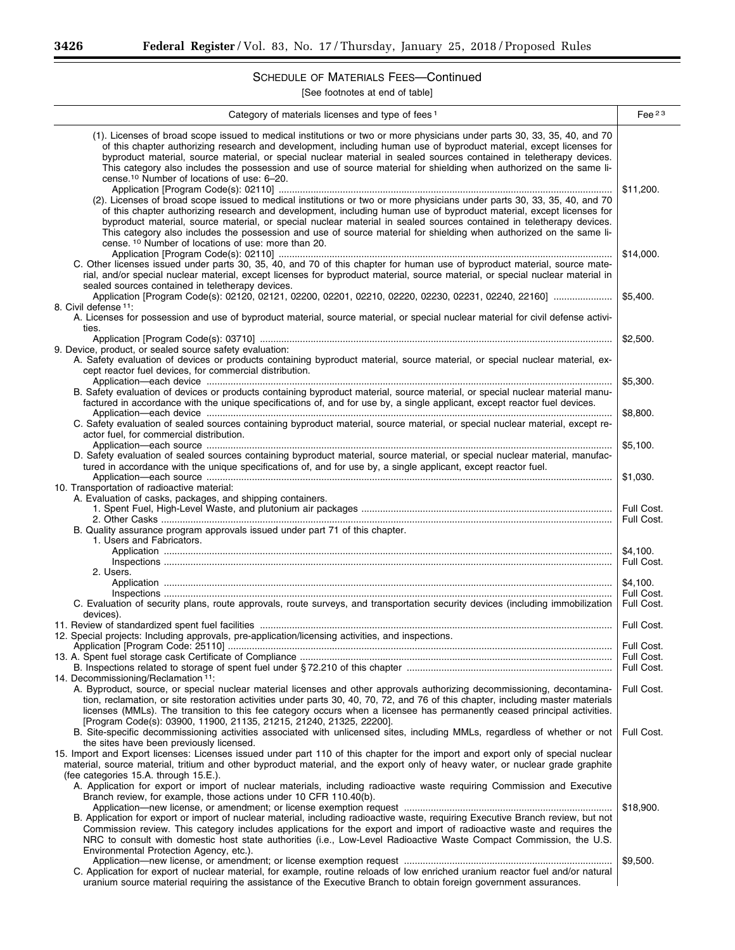Ξ

# SCHEDULE OF MATERIALS FEES—Continued

| (1). Licenses of broad scope issued to medical institutions or two or more physicians under parts 30, 33, 35, 40, and 70<br>of this chapter authorizing research and development, including human use of byproduct material, except licenses for<br>byproduct material, source material, or special nuclear material in sealed sources contained in teletherapy devices.<br>This category also includes the possession and use of source material for shielding when authorized on the same li-<br>cense. <sup>10</sup> Number of locations of use: 6-20.<br>\$11.200.<br>(2). Licenses of broad scope issued to medical institutions or two or more physicians under parts 30, 33, 35, 40, and 70<br>of this chapter authorizing research and development, including human use of byproduct material, except licenses for<br>byproduct material, source material, or special nuclear material in sealed sources contained in teletherapy devices.<br>This category also includes the possession and use of source material for shielding when authorized on the same li-<br>cense. <sup>10</sup> Number of locations of use: more than 20.<br>\$14,000.<br>C. Other licenses issued under parts 30, 35, 40, and 70 of this chapter for human use of byproduct material, source mate-<br>rial, and/or special nuclear material, except licenses for byproduct material, source material, or special nuclear material in<br>sealed sources contained in teletherapy devices.<br>\$5,400.<br>8. Civil defense 11:<br>A. Licenses for possession and use of byproduct material, source material, or special nuclear material for civil defense activi-<br>ties.<br>\$2,500.<br>9. Device, product, or sealed source safety evaluation:<br>A. Safety evaluation of devices or products containing byproduct material, source material, or special nuclear material, ex-<br>cept reactor fuel devices, for commercial distribution.<br>\$5,300.<br>B. Safety evaluation of devices or products containing byproduct material, source material, or special nuclear material manu-<br>factured in accordance with the unique specifications of, and for use by, a single applicant, except reactor fuel devices.<br>Application—each device members and according to the device of the series of the series of the series and according to the series of the series of the series of the series of the series of the series of the series of the s<br>\$8,800.<br>C. Safety evaluation of sealed sources containing byproduct material, source material, or special nuclear material, except re-<br>actor fuel, for commercial distribution.<br>\$5,100.<br>D. Safety evaluation of sealed sources containing byproduct material, source material, or special nuclear material, manufac-<br>tured in accordance with the unique specifications of, and for use by, a single applicant, except reactor fuel.<br>\$1,030.<br>10. Transportation of radioactive material:<br>A. Evaluation of casks, packages, and shipping containers.<br>Full Cost.<br>Full Cost.<br>B. Quality assurance program approvals issued under part 71 of this chapter.<br>1. Users and Fabricators.<br>\$4,100.<br>Full Cost.<br>2. Users.<br>\$4,100.<br>Full Cost.<br>C. Evaluation of security plans, route approvals, route surveys, and transportation security devices (including immobilization<br>Full Cost.<br>devices).<br>Full Cost.<br>12. Special projects: Including approvals, pre-application/licensing activities, and inspections.<br>Full Cost.<br>Full Cost.<br>Full Cost.<br>14. Decommissioning/Reclamation <sup>11</sup> :<br>A. Byproduct, source, or special nuclear material licenses and other approvals authorizing decommissioning, decontamina-<br>Full Cost.<br>tion, reclamation, or site restoration activities under parts 30, 40, 70, 72, and 76 of this chapter, including master materials<br>licenses (MMLs). The transition to this fee category occurs when a licensee has permanently ceased principal activities.<br>[Program Code(s): 03900, 11900, 21135, 21215, 21240, 21325, 22200].<br>B. Site-specific decommissioning activities associated with unlicensed sites, including MMLs, regardless of whether or not<br>Full Cost.<br>the sites have been previously licensed.<br>15. Import and Export licenses: Licenses issued under part 110 of this chapter for the import and export only of special nuclear<br>material, source material, tritium and other byproduct material, and the export only of heavy water, or nuclear grade graphite<br>(fee categories 15.A. through 15.E.).<br>A. Application for export or import of nuclear materials, including radioactive waste requiring Commission and Executive<br>Branch review, for example, those actions under 10 CFR 110.40(b).<br>\$18,900.<br>B. Application for export or import of nuclear material, including radioactive waste, requiring Executive Branch review, but not<br>Commission review. This category includes applications for the export and import of radioactive waste and requires the<br>NRC to consult with domestic host state authorities (i.e., Low-Level Radioactive Waste Compact Commission, the U.S.<br>Environmental Protection Agency, etc.).<br>\$9,500.<br>C. Application for export of nuclear material, for example, routine reloads of low enriched uranium reactor fuel and/or natural<br>uranium source material requiring the assistance of the Executive Branch to obtain foreign government assurances. | Category of materials licenses and type of fees <sup>1</sup> | Fee $^{23}$ |
|--------------------------------------------------------------------------------------------------------------------------------------------------------------------------------------------------------------------------------------------------------------------------------------------------------------------------------------------------------------------------------------------------------------------------------------------------------------------------------------------------------------------------------------------------------------------------------------------------------------------------------------------------------------------------------------------------------------------------------------------------------------------------------------------------------------------------------------------------------------------------------------------------------------------------------------------------------------------------------------------------------------------------------------------------------------------------------------------------------------------------------------------------------------------------------------------------------------------------------------------------------------------------------------------------------------------------------------------------------------------------------------------------------------------------------------------------------------------------------------------------------------------------------------------------------------------------------------------------------------------------------------------------------------------------------------------------------------------------------------------------------------------------------------------------------------------------------------------------------------------------------------------------------------------------------------------------------------------------------------------------------------------------------------------------------------------------------------------------------------------------------------------------------------------------------------------------------------------------------------------------------------------------------------------------------------------------------------------------------------------------------------------------------------------------------------------------------------------------------------------------------------------------------------------------------------------------------------------------------------------------------------------------------------------------------------------------------------------------------------------------------------------------------------------------------------------------------------------------------------------------------------------------------------------------------------------------------------------------------------------------------------------------------------------------------------------------------------------------------------------------------------------------------------------------------------------------------------------------------------------------------------------------------------------------------------------------------------------------------------------------------------------------------------------------------------------------------------------------------------------------------------------------------------------------------------------------------------------------------------------------------------------------------------------------------------------------------------------------------------------------------------------------------------------------------------------------------------------------------------------------------------------------------------------------------------------------------------------------------------------------------------------------------------------------------------------------------------------------------------------------------------------------------------------------------------------------------------------------------------------------------------------------------------------------------------------------------------------------------------------------------------------------------------------------------------------------------------------------------------------------------------------------------------------------------------------------------------------------------------------------------------------------------------------------------------------------------------------------------------------------------------------------------------------------------------------------------------------------------------------------------------------------------------------------------------------------------------------------------------------------------------------------------------------------------------------------------------------------------------------------------------------------------------------------------------------------------------------------------------------------------------------------------------------------------------------------------------------------------------------------------------------------------------------------------------------------------------------------------------------------------------------------------|--------------------------------------------------------------|-------------|
|                                                                                                                                                                                                                                                                                                                                                                                                                                                                                                                                                                                                                                                                                                                                                                                                                                                                                                                                                                                                                                                                                                                                                                                                                                                                                                                                                                                                                                                                                                                                                                                                                                                                                                                                                                                                                                                                                                                                                                                                                                                                                                                                                                                                                                                                                                                                                                                                                                                                                                                                                                                                                                                                                                                                                                                                                                                                                                                                                                                                                                                                                                                                                                                                                                                                                                                                                                                                                                                                                                                                                                                                                                                                                                                                                                                                                                                                                                                                                                                                                                                                                                                                                                                                                                                                                                                                                                                                                                                                                                                                                                                                                                                                                                                                                                                                                                                                                                                                                                                                                                                                                                                                                                                                                                                                                                                                                                                                                                                                                                                                |                                                              |             |
|                                                                                                                                                                                                                                                                                                                                                                                                                                                                                                                                                                                                                                                                                                                                                                                                                                                                                                                                                                                                                                                                                                                                                                                                                                                                                                                                                                                                                                                                                                                                                                                                                                                                                                                                                                                                                                                                                                                                                                                                                                                                                                                                                                                                                                                                                                                                                                                                                                                                                                                                                                                                                                                                                                                                                                                                                                                                                                                                                                                                                                                                                                                                                                                                                                                                                                                                                                                                                                                                                                                                                                                                                                                                                                                                                                                                                                                                                                                                                                                                                                                                                                                                                                                                                                                                                                                                                                                                                                                                                                                                                                                                                                                                                                                                                                                                                                                                                                                                                                                                                                                                                                                                                                                                                                                                                                                                                                                                                                                                                                                                |                                                              |             |
|                                                                                                                                                                                                                                                                                                                                                                                                                                                                                                                                                                                                                                                                                                                                                                                                                                                                                                                                                                                                                                                                                                                                                                                                                                                                                                                                                                                                                                                                                                                                                                                                                                                                                                                                                                                                                                                                                                                                                                                                                                                                                                                                                                                                                                                                                                                                                                                                                                                                                                                                                                                                                                                                                                                                                                                                                                                                                                                                                                                                                                                                                                                                                                                                                                                                                                                                                                                                                                                                                                                                                                                                                                                                                                                                                                                                                                                                                                                                                                                                                                                                                                                                                                                                                                                                                                                                                                                                                                                                                                                                                                                                                                                                                                                                                                                                                                                                                                                                                                                                                                                                                                                                                                                                                                                                                                                                                                                                                                                                                                                                |                                                              |             |
|                                                                                                                                                                                                                                                                                                                                                                                                                                                                                                                                                                                                                                                                                                                                                                                                                                                                                                                                                                                                                                                                                                                                                                                                                                                                                                                                                                                                                                                                                                                                                                                                                                                                                                                                                                                                                                                                                                                                                                                                                                                                                                                                                                                                                                                                                                                                                                                                                                                                                                                                                                                                                                                                                                                                                                                                                                                                                                                                                                                                                                                                                                                                                                                                                                                                                                                                                                                                                                                                                                                                                                                                                                                                                                                                                                                                                                                                                                                                                                                                                                                                                                                                                                                                                                                                                                                                                                                                                                                                                                                                                                                                                                                                                                                                                                                                                                                                                                                                                                                                                                                                                                                                                                                                                                                                                                                                                                                                                                                                                                                                |                                                              |             |
|                                                                                                                                                                                                                                                                                                                                                                                                                                                                                                                                                                                                                                                                                                                                                                                                                                                                                                                                                                                                                                                                                                                                                                                                                                                                                                                                                                                                                                                                                                                                                                                                                                                                                                                                                                                                                                                                                                                                                                                                                                                                                                                                                                                                                                                                                                                                                                                                                                                                                                                                                                                                                                                                                                                                                                                                                                                                                                                                                                                                                                                                                                                                                                                                                                                                                                                                                                                                                                                                                                                                                                                                                                                                                                                                                                                                                                                                                                                                                                                                                                                                                                                                                                                                                                                                                                                                                                                                                                                                                                                                                                                                                                                                                                                                                                                                                                                                                                                                                                                                                                                                                                                                                                                                                                                                                                                                                                                                                                                                                                                                |                                                              |             |
|                                                                                                                                                                                                                                                                                                                                                                                                                                                                                                                                                                                                                                                                                                                                                                                                                                                                                                                                                                                                                                                                                                                                                                                                                                                                                                                                                                                                                                                                                                                                                                                                                                                                                                                                                                                                                                                                                                                                                                                                                                                                                                                                                                                                                                                                                                                                                                                                                                                                                                                                                                                                                                                                                                                                                                                                                                                                                                                                                                                                                                                                                                                                                                                                                                                                                                                                                                                                                                                                                                                                                                                                                                                                                                                                                                                                                                                                                                                                                                                                                                                                                                                                                                                                                                                                                                                                                                                                                                                                                                                                                                                                                                                                                                                                                                                                                                                                                                                                                                                                                                                                                                                                                                                                                                                                                                                                                                                                                                                                                                                                |                                                              |             |
|                                                                                                                                                                                                                                                                                                                                                                                                                                                                                                                                                                                                                                                                                                                                                                                                                                                                                                                                                                                                                                                                                                                                                                                                                                                                                                                                                                                                                                                                                                                                                                                                                                                                                                                                                                                                                                                                                                                                                                                                                                                                                                                                                                                                                                                                                                                                                                                                                                                                                                                                                                                                                                                                                                                                                                                                                                                                                                                                                                                                                                                                                                                                                                                                                                                                                                                                                                                                                                                                                                                                                                                                                                                                                                                                                                                                                                                                                                                                                                                                                                                                                                                                                                                                                                                                                                                                                                                                                                                                                                                                                                                                                                                                                                                                                                                                                                                                                                                                                                                                                                                                                                                                                                                                                                                                                                                                                                                                                                                                                                                                |                                                              |             |
|                                                                                                                                                                                                                                                                                                                                                                                                                                                                                                                                                                                                                                                                                                                                                                                                                                                                                                                                                                                                                                                                                                                                                                                                                                                                                                                                                                                                                                                                                                                                                                                                                                                                                                                                                                                                                                                                                                                                                                                                                                                                                                                                                                                                                                                                                                                                                                                                                                                                                                                                                                                                                                                                                                                                                                                                                                                                                                                                                                                                                                                                                                                                                                                                                                                                                                                                                                                                                                                                                                                                                                                                                                                                                                                                                                                                                                                                                                                                                                                                                                                                                                                                                                                                                                                                                                                                                                                                                                                                                                                                                                                                                                                                                                                                                                                                                                                                                                                                                                                                                                                                                                                                                                                                                                                                                                                                                                                                                                                                                                                                |                                                              |             |
|                                                                                                                                                                                                                                                                                                                                                                                                                                                                                                                                                                                                                                                                                                                                                                                                                                                                                                                                                                                                                                                                                                                                                                                                                                                                                                                                                                                                                                                                                                                                                                                                                                                                                                                                                                                                                                                                                                                                                                                                                                                                                                                                                                                                                                                                                                                                                                                                                                                                                                                                                                                                                                                                                                                                                                                                                                                                                                                                                                                                                                                                                                                                                                                                                                                                                                                                                                                                                                                                                                                                                                                                                                                                                                                                                                                                                                                                                                                                                                                                                                                                                                                                                                                                                                                                                                                                                                                                                                                                                                                                                                                                                                                                                                                                                                                                                                                                                                                                                                                                                                                                                                                                                                                                                                                                                                                                                                                                                                                                                                                                |                                                              |             |
|                                                                                                                                                                                                                                                                                                                                                                                                                                                                                                                                                                                                                                                                                                                                                                                                                                                                                                                                                                                                                                                                                                                                                                                                                                                                                                                                                                                                                                                                                                                                                                                                                                                                                                                                                                                                                                                                                                                                                                                                                                                                                                                                                                                                                                                                                                                                                                                                                                                                                                                                                                                                                                                                                                                                                                                                                                                                                                                                                                                                                                                                                                                                                                                                                                                                                                                                                                                                                                                                                                                                                                                                                                                                                                                                                                                                                                                                                                                                                                                                                                                                                                                                                                                                                                                                                                                                                                                                                                                                                                                                                                                                                                                                                                                                                                                                                                                                                                                                                                                                                                                                                                                                                                                                                                                                                                                                                                                                                                                                                                                                |                                                              |             |
|                                                                                                                                                                                                                                                                                                                                                                                                                                                                                                                                                                                                                                                                                                                                                                                                                                                                                                                                                                                                                                                                                                                                                                                                                                                                                                                                                                                                                                                                                                                                                                                                                                                                                                                                                                                                                                                                                                                                                                                                                                                                                                                                                                                                                                                                                                                                                                                                                                                                                                                                                                                                                                                                                                                                                                                                                                                                                                                                                                                                                                                                                                                                                                                                                                                                                                                                                                                                                                                                                                                                                                                                                                                                                                                                                                                                                                                                                                                                                                                                                                                                                                                                                                                                                                                                                                                                                                                                                                                                                                                                                                                                                                                                                                                                                                                                                                                                                                                                                                                                                                                                                                                                                                                                                                                                                                                                                                                                                                                                                                                                |                                                              |             |
|                                                                                                                                                                                                                                                                                                                                                                                                                                                                                                                                                                                                                                                                                                                                                                                                                                                                                                                                                                                                                                                                                                                                                                                                                                                                                                                                                                                                                                                                                                                                                                                                                                                                                                                                                                                                                                                                                                                                                                                                                                                                                                                                                                                                                                                                                                                                                                                                                                                                                                                                                                                                                                                                                                                                                                                                                                                                                                                                                                                                                                                                                                                                                                                                                                                                                                                                                                                                                                                                                                                                                                                                                                                                                                                                                                                                                                                                                                                                                                                                                                                                                                                                                                                                                                                                                                                                                                                                                                                                                                                                                                                                                                                                                                                                                                                                                                                                                                                                                                                                                                                                                                                                                                                                                                                                                                                                                                                                                                                                                                                                |                                                              |             |
|                                                                                                                                                                                                                                                                                                                                                                                                                                                                                                                                                                                                                                                                                                                                                                                                                                                                                                                                                                                                                                                                                                                                                                                                                                                                                                                                                                                                                                                                                                                                                                                                                                                                                                                                                                                                                                                                                                                                                                                                                                                                                                                                                                                                                                                                                                                                                                                                                                                                                                                                                                                                                                                                                                                                                                                                                                                                                                                                                                                                                                                                                                                                                                                                                                                                                                                                                                                                                                                                                                                                                                                                                                                                                                                                                                                                                                                                                                                                                                                                                                                                                                                                                                                                                                                                                                                                                                                                                                                                                                                                                                                                                                                                                                                                                                                                                                                                                                                                                                                                                                                                                                                                                                                                                                                                                                                                                                                                                                                                                                                                |                                                              |             |
|                                                                                                                                                                                                                                                                                                                                                                                                                                                                                                                                                                                                                                                                                                                                                                                                                                                                                                                                                                                                                                                                                                                                                                                                                                                                                                                                                                                                                                                                                                                                                                                                                                                                                                                                                                                                                                                                                                                                                                                                                                                                                                                                                                                                                                                                                                                                                                                                                                                                                                                                                                                                                                                                                                                                                                                                                                                                                                                                                                                                                                                                                                                                                                                                                                                                                                                                                                                                                                                                                                                                                                                                                                                                                                                                                                                                                                                                                                                                                                                                                                                                                                                                                                                                                                                                                                                                                                                                                                                                                                                                                                                                                                                                                                                                                                                                                                                                                                                                                                                                                                                                                                                                                                                                                                                                                                                                                                                                                                                                                                                                |                                                              |             |
|                                                                                                                                                                                                                                                                                                                                                                                                                                                                                                                                                                                                                                                                                                                                                                                                                                                                                                                                                                                                                                                                                                                                                                                                                                                                                                                                                                                                                                                                                                                                                                                                                                                                                                                                                                                                                                                                                                                                                                                                                                                                                                                                                                                                                                                                                                                                                                                                                                                                                                                                                                                                                                                                                                                                                                                                                                                                                                                                                                                                                                                                                                                                                                                                                                                                                                                                                                                                                                                                                                                                                                                                                                                                                                                                                                                                                                                                                                                                                                                                                                                                                                                                                                                                                                                                                                                                                                                                                                                                                                                                                                                                                                                                                                                                                                                                                                                                                                                                                                                                                                                                                                                                                                                                                                                                                                                                                                                                                                                                                                                                |                                                              |             |
|                                                                                                                                                                                                                                                                                                                                                                                                                                                                                                                                                                                                                                                                                                                                                                                                                                                                                                                                                                                                                                                                                                                                                                                                                                                                                                                                                                                                                                                                                                                                                                                                                                                                                                                                                                                                                                                                                                                                                                                                                                                                                                                                                                                                                                                                                                                                                                                                                                                                                                                                                                                                                                                                                                                                                                                                                                                                                                                                                                                                                                                                                                                                                                                                                                                                                                                                                                                                                                                                                                                                                                                                                                                                                                                                                                                                                                                                                                                                                                                                                                                                                                                                                                                                                                                                                                                                                                                                                                                                                                                                                                                                                                                                                                                                                                                                                                                                                                                                                                                                                                                                                                                                                                                                                                                                                                                                                                                                                                                                                                                                |                                                              |             |
|                                                                                                                                                                                                                                                                                                                                                                                                                                                                                                                                                                                                                                                                                                                                                                                                                                                                                                                                                                                                                                                                                                                                                                                                                                                                                                                                                                                                                                                                                                                                                                                                                                                                                                                                                                                                                                                                                                                                                                                                                                                                                                                                                                                                                                                                                                                                                                                                                                                                                                                                                                                                                                                                                                                                                                                                                                                                                                                                                                                                                                                                                                                                                                                                                                                                                                                                                                                                                                                                                                                                                                                                                                                                                                                                                                                                                                                                                                                                                                                                                                                                                                                                                                                                                                                                                                                                                                                                                                                                                                                                                                                                                                                                                                                                                                                                                                                                                                                                                                                                                                                                                                                                                                                                                                                                                                                                                                                                                                                                                                                                |                                                              |             |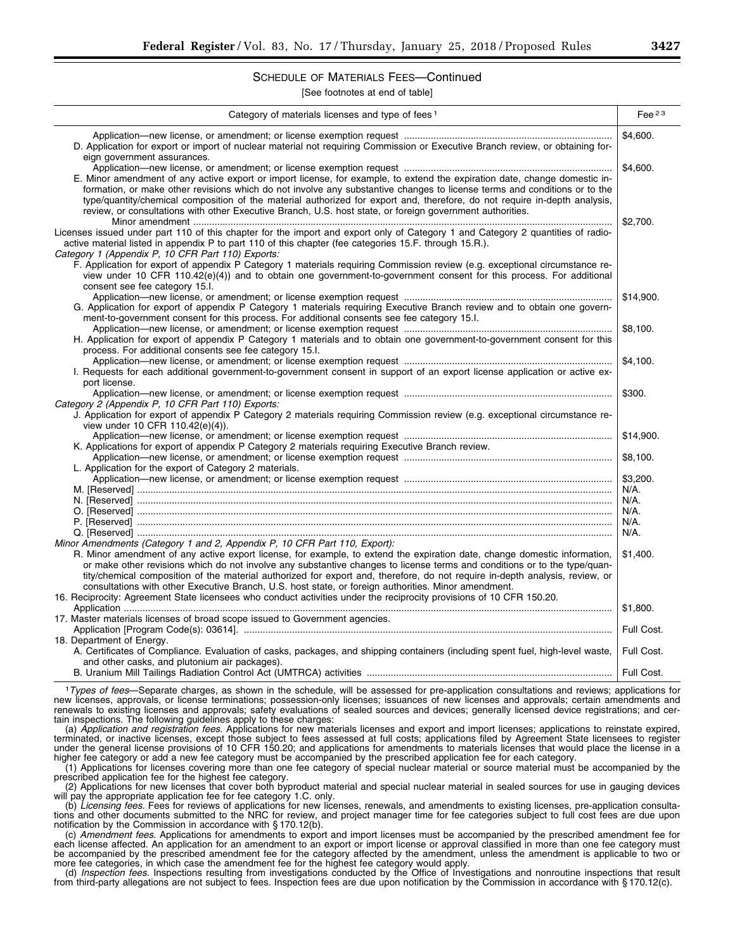## SCHEDULE OF MATERIALS FEES—Continued

[See footnotes at end of table]

| Category of materials licenses and type of fees <sup>1</sup>                                                                                                  | Fee $^{23}$         |
|---------------------------------------------------------------------------------------------------------------------------------------------------------------|---------------------|
| D. Application for export or import of nuclear material not requiring Commission or Executive Branch review, or obtaining for-<br>eign government assurances. | \$4,600.            |
|                                                                                                                                                               | \$4,600.            |
| E. Minor amendment of any active export or import license, for example, to extend the expiration date, change domestic in-                                    |                     |
| formation, or make other revisions which do not involve any substantive changes to license terms and conditions or to the                                     |                     |
| type/quantity/chemical composition of the material authorized for export and, therefore, do not require in-depth analysis,                                    |                     |
| review, or consultations with other Executive Branch, U.S. host state, or foreign government authorities.                                                     |                     |
|                                                                                                                                                               | \$2,700.            |
| Licenses issued under part 110 of this chapter for the import and export only of Category 1 and Category 2 quantities of radio-                               |                     |
| active material listed in appendix P to part 110 of this chapter (fee categories 15.F. through 15.R.).                                                        |                     |
| Category 1 (Appendix P. 10 CFR Part 110) Exports:                                                                                                             |                     |
| F. Application for export of appendix P Category 1 materials requiring Commission review (e.g. exceptional circumstance re-                                   |                     |
| view under 10 CFR 110.42(e)(4)) and to obtain one government-to-government consent for this process. For additional                                           |                     |
| consent see fee category 15.l.                                                                                                                                |                     |
|                                                                                                                                                               | \$14,900.           |
| G. Application for export of appendix P Category 1 materials requiring Executive Branch review and to obtain one govern-                                      |                     |
| ment-to-government consent for this process. For additional consents see fee category 15.1.                                                                   |                     |
|                                                                                                                                                               | \$8,100.            |
| H. Application for export of appendix P Category 1 materials and to obtain one government-to-government consent for this                                      |                     |
| process. For additional consents see fee category 15.I.                                                                                                       |                     |
|                                                                                                                                                               | \$4,100.            |
| I. Requests for each additional government-to-government consent in support of an export license application or active ex-                                    |                     |
| port license.                                                                                                                                                 |                     |
|                                                                                                                                                               | \$300.              |
| Category 2 (Appendix P. 10 CFR Part 110) Exports:                                                                                                             |                     |
| J. Application for export of appendix P Category 2 materials requiring Commission review (e.g. exceptional circumstance re-                                   |                     |
| view under 10 CFR 110.42(e)(4)).                                                                                                                              |                     |
|                                                                                                                                                               | \$14,900.           |
| K. Applications for export of appendix P Category 2 materials requiring Executive Branch review.                                                              |                     |
|                                                                                                                                                               | \$8,100.            |
| L. Application for the export of Category 2 materials.                                                                                                        |                     |
|                                                                                                                                                               | \$3,200.<br>$N/A$ . |
|                                                                                                                                                               | N/A.                |
|                                                                                                                                                               | $N/A$ .             |
|                                                                                                                                                               | $N/A$ .             |
|                                                                                                                                                               | $N/A$ .             |
| Minor Amendments (Category 1 and 2, Appendix P, 10 CFR Part 110, Export):                                                                                     |                     |
| R. Minor amendment of any active export license, for example, to extend the expiration date, change domestic information,                                     | \$1,400.            |
| or make other revisions which do not involve any substantive changes to license terms and conditions or to the type/quan-                                     |                     |
| tity/chemical composition of the material authorized for export and, therefore, do not require in-depth analysis, review, or                                  |                     |
| consultations with other Executive Branch, U.S. host state, or foreign authorities. Minor amendment.                                                          |                     |
| 16. Reciprocity: Agreement State licensees who conduct activities under the reciprocity provisions of 10 CFR 150.20.                                          |                     |
|                                                                                                                                                               | \$1,800.            |
| 17. Master materials licenses of broad scope issued to Government agencies.                                                                                   |                     |
|                                                                                                                                                               | Full Cost.          |
| 18. Department of Energy.                                                                                                                                     |                     |
| A. Certificates of Compliance. Evaluation of casks, packages, and shipping containers (including spent fuel, high-level waste,                                | Full Cost.          |
| and other casks, and plutonium air packages).                                                                                                                 |                     |
|                                                                                                                                                               | Full Cost.          |
|                                                                                                                                                               |                     |

1*Types of fees*—Separate charges, as shown in the schedule, will be assessed for pre-application consultations and reviews; applications for new licenses, approvals, or license terminations; possession-only licenses; issuances of new licenses and approvals; certain amendments and renewals to existing licenses and approvals; safety evaluations of sealed sources and devices; generally licensed device registrations; and certain inspections. The following guidelines apply to these charges:

(a) *Application and registration fees.* Applications for new materials licenses and export and import licenses; applications to reinstate expired, terminated, or inactive licenses, except those subject to fees assessed at full costs; applications filed by Agreement State licensees to register under the general license provisions of 10 CFR 150.20; and applications for amendments to materials licenses that would place the license in a higher fee category or add a new fee category must be accompanied by the prescribed application fee for each category

(1) Applications for licenses covering more than one fee category of special nuclear material or source material must be accompanied by the prescribed application fee for the highest fee category.

(2) Applications for new licenses that cover both byproduct material and special nuclear material in sealed sources for use in gauging devices will pay the appropriate application fee for fee category 1.C. only.

(b) *Licensing fees.* Fees for reviews of applications for new licenses, renewals, and amendments to existing licenses, pre-application consultations and other documents submitted to the NRC for review, and project manager time for fee categories subject to full cost fees are due upon notification by the Commission in accordance with § 170.12(b).

(c) *Amendment fees.* Applications for amendments to export and import licenses must be accompanied by the prescribed amendment fee for each license affected. An application for an amendment to an export or import license or approval classified in more than one fee category must be accompanied by the prescribed amendment fee for the category affected by the amendment, unless the amendment is applicable to two or more fee categories, in which case the amendment fee for the highest fee category would apply.

(d) *Inspection fees.* Inspections resulting from investigations conducted by the Office of Investigations and nonroutine inspections that result from third-party allegations are not subject to fees. Inspection fees are due upon notification by the Commission in accordance with § 170.12(c).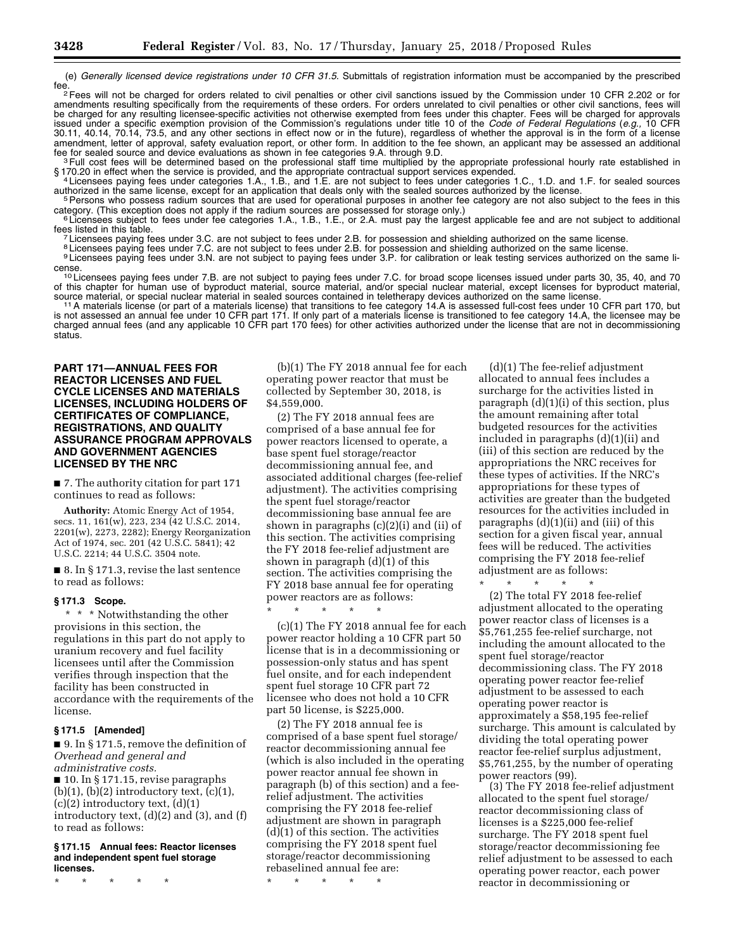(e) *Generally licensed device registrations under 10 CFR 31.5.* Submittals of registration information must be accompanied by the prescribed

fee. 2.202 or for each order or other civil sanctions issued by the Commission under 10 CFR 2.202 or for commission in the charged for orders related to civil penalties or other civil sanctions issued by the Commission und amendments resulting specifically from the requirements of these orders. For orders unrelated to civil penalties or other civil sanctions, fees will be charged for any resulting licensee-specific activities not otherwise exempted from fees under this chapter. Fees will be charged for approvals issued under a specific exemption provision of the Commission's regulations under title 10 of the *Code of Federal Regulations* (*e.g.,* 10 CFR 30.11, 40.14, 70.14, 73.5, and any other sections in effect now or in the future), regardless of whether the approval is in the form of a license amendment, letter of approval, safety evaluation report, or other form. In addition to the fee shown, an applicant may be assessed an additional fee for sealed source and device evaluations as shown in fee categories 9.A. through 9.D.<br><sup>3</sup> Full cost fees will be determined based on the professional staff time multiplied by the appropriate professional hourly rate es

§ 170.20 in effect when the service is provided, and the appropriate contractual support services expended.<br><sup>4</sup> Licensees paying fees under categories 1.A., 1.B., and 1.E. are not subject to fees under categories 1.C., 1.D

<sup>5</sup> Persons who possess radium sources that are used for operational purposes in another fee category are not also subject to the fees in this category. (This exception does not apply if the radium sources are possessed fo

<sup>6</sup> Licensees subject to fees under fee categories 1.A., 1.B., 1.E., or 2.A. must pay the largest applicable fee and are not subject to additional fees listed in this table.

<sup>7</sup> Licensees paying fees under 3.C. are not subject to fees under 2.B. for possession and shielding authorized on the same license.<br><sup>8</sup> Licensees paying fees under 7.C. are not subject to fees under 2.B. for possession an

cense.<br><sup>10</sup> Licensees paying fees under 7.B. are not subject to paying fees under 7.C. for broad scope licenses issued under parts 30, 35, 40, and 70<br>course paying from the individual society and the particle and/or specia of this chapter for human use of byproduct material, source material, and/or special nuclear material, except licenses for byproduct material,<br>source material, or special nuclear material in sealed sources contained in tel

<sup>11</sup> A materials license (or part of a materials license) that transitions to fee category 14.A is assessed full-cost fees under 10 CFR part 170, but is not assessed an annual fee under 10 CFR part 171. If only part of a materials license is transitioned to fee category 14.A, the licensee may be charged annual fees (and any applicable 10 CFR part 170 fees) for other activities authorized under the license that are not in decommissioning status.

#### **PART 171—ANNUAL FEES FOR REACTOR LICENSES AND FUEL CYCLE LICENSES AND MATERIALS LICENSES, INCLUDING HOLDERS OF CERTIFICATES OF COMPLIANCE, REGISTRATIONS, AND QUALITY ASSURANCE PROGRAM APPROVALS AND GOVERNMENT AGENCIES LICENSED BY THE NRC**

■ 7. The authority citation for part 171 continues to read as follows:

**Authority:** Atomic Energy Act of 1954, secs. 11, 161(w), 223, 234 (42 U.S.C. 2014, 2201(w), 2273, 2282); Energy Reorganization Act of 1974, sec. 201 (42 U.S.C. 5841); 42 U.S.C. 2214; 44 U.S.C. 3504 note.

■ 8. In § 171.3, revise the last sentence to read as follows:

#### **§ 171.3 Scope.**

\* \* \* Notwithstanding the other provisions in this section, the regulations in this part do not apply to uranium recovery and fuel facility licensees until after the Commission verifies through inspection that the facility has been constructed in accordance with the requirements of the license.

#### **§ 171.5 [Amended]**

■ 9. In § 171.5, remove the definition of *Overhead and general and administrative costs.* 

■ 10. In § 171.15, revise paragraphs  $(b)(1)$ ,  $(b)(2)$  introductory text,  $(c)(1)$ ,  $(c)(2)$  introductory text,  $(d)(1)$ introductory text, (d)(2) and (3), and (f) to read as follows:

#### **§ 171.15 Annual fees: Reactor licenses and independent spent fuel storage licenses.**

\* \* \* \* \*

(b)(1) The FY 2018 annual fee for each operating power reactor that must be collected by September 30, 2018, is \$4,559,000.

(2) The FY 2018 annual fees are comprised of a base annual fee for power reactors licensed to operate, a base spent fuel storage/reactor decommissioning annual fee, and associated additional charges (fee-relief adjustment). The activities comprising the spent fuel storage/reactor decommissioning base annual fee are shown in paragraphs (c)(2)(i) and (ii) of this section. The activities comprising the FY 2018 fee-relief adjustment are shown in paragraph (d)(1) of this section. The activities comprising the FY 2018 base annual fee for operating power reactors are as follows:

\* \* \* \* \* (c)(1) The FY 2018 annual fee for each power reactor holding a 10 CFR part 50 license that is in a decommissioning or possession-only status and has spent fuel onsite, and for each independent spent fuel storage 10 CFR part 72 licensee who does not hold a 10 CFR part 50 license, is \$225,000.

(2) The FY 2018 annual fee is comprised of a base spent fuel storage/ reactor decommissioning annual fee (which is also included in the operating power reactor annual fee shown in paragraph (b) of this section) and a feerelief adjustment. The activities comprising the FY 2018 fee-relief adjustment are shown in paragraph (d)(1) of this section. The activities comprising the FY 2018 spent fuel storage/reactor decommissioning rebaselined annual fee are:

\* \* \* \* \*

(d)(1) The fee-relief adjustment allocated to annual fees includes a surcharge for the activities listed in paragraph (d)(1)(i) of this section, plus the amount remaining after total budgeted resources for the activities included in paragraphs (d)(1)(ii) and (iii) of this section are reduced by the appropriations the NRC receives for these types of activities. If the NRC's appropriations for these types of activities are greater than the budgeted resources for the activities included in paragraphs (d)(1)(ii) and (iii) of this section for a given fiscal year, annual fees will be reduced. The activities comprising the FY 2018 fee-relief adjustment are as follows:

\* \* \* \* \* (2) The total FY 2018 fee-relief adjustment allocated to the operating power reactor class of licenses is a \$5,761,255 fee-relief surcharge, not including the amount allocated to the spent fuel storage/reactor decommissioning class. The FY 2018 operating power reactor fee-relief adjustment to be assessed to each operating power reactor is approximately a \$58,195 fee-relief surcharge. This amount is calculated by dividing the total operating power reactor fee-relief surplus adjustment, \$5,761,255, by the number of operating power reactors (99).

(3) The FY 2018 fee-relief adjustment allocated to the spent fuel storage/ reactor decommissioning class of licenses is a \$225,000 fee-relief surcharge. The FY 2018 spent fuel storage/reactor decommissioning fee relief adjustment to be assessed to each operating power reactor, each power reactor in decommissioning or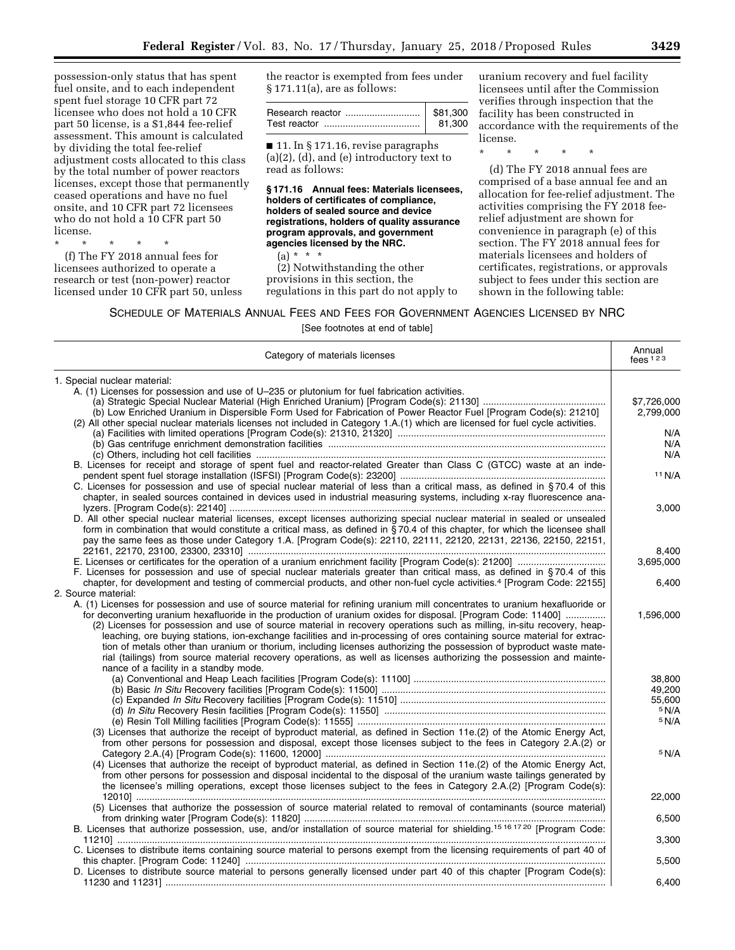possession-only status that has spent fuel onsite, and to each independent spent fuel storage 10 CFR part 72 licensee who does not hold a 10 CFR part 50 license, is a \$1,844 fee-relief assessment. This amount is calculated by dividing the total fee-relief adjustment costs allocated to this class by the total number of power reactors licenses, except those that permanently ceased operations and have no fuel onsite, and 10 CFR part 72 licensees who do not hold a 10 CFR part 50 license.

\* \* \* \* \*

(f) The FY 2018 annual fees for licensees authorized to operate a research or test (non-power) reactor licensed under 10 CFR part 50, unless the reactor is exempted from fees under § 171.11(a), are as follows:

| \$81.300 |
|----------|
| 81.300   |

■ 11. In § 171.16, revise paragraphs  $(a)(2)$ ,  $(d)$ , and  $(e)$  introductory text to read as follows:

**§ 171.16 Annual fees: Materials licensees, holders of certificates of compliance, holders of sealed source and device registrations, holders of quality assurance program approvals, and government agencies licensed by the NRC.** 

 $(a) * * * *$ 

(2) Notwithstanding the other provisions in this section, the regulations in this part do not apply to

uranium recovery and fuel facility licensees until after the Commission verifies through inspection that the facility has been constructed in accordance with the requirements of the license.

\* \* \* \* \*

(d) The FY 2018 annual fees are comprised of a base annual fee and an allocation for fee-relief adjustment. The activities comprising the FY 2018 feerelief adjustment are shown for convenience in paragraph (e) of this section. The FY 2018 annual fees for materials licensees and holders of certificates, registrations, or approvals subject to fees under this section are shown in the following table:

SCHEDULE OF MATERIALS ANNUAL FEES AND FEES FOR GOVERNMENT AGENCIES LICENSED BY NRC

| Category of materials licenses                                                                                                                                                                                                                                                                                                                                                                                                                                                                                                                                                                                                                                                                                                                                                              | Annual<br>$f$ ees $123$         |
|---------------------------------------------------------------------------------------------------------------------------------------------------------------------------------------------------------------------------------------------------------------------------------------------------------------------------------------------------------------------------------------------------------------------------------------------------------------------------------------------------------------------------------------------------------------------------------------------------------------------------------------------------------------------------------------------------------------------------------------------------------------------------------------------|---------------------------------|
| 1. Special nuclear material:                                                                                                                                                                                                                                                                                                                                                                                                                                                                                                                                                                                                                                                                                                                                                                |                                 |
| A. (1) Licenses for possession and use of U-235 or plutonium for fuel fabrication activities.<br>(b) Low Enriched Uranium in Dispersible Form Used for Fabrication of Power Reactor Fuel [Program Code(s): 21210]<br>(2) All other special nuclear materials licenses not included in Category 1.A.(1) which are licensed for fuel cycle activities.                                                                                                                                                                                                                                                                                                                                                                                                                                        | \$7,726,000<br>2,799,000<br>N/A |
| B. Licenses for receipt and storage of spent fuel and reactor-related Greater than Class C (GTCC) waste at an inde-                                                                                                                                                                                                                                                                                                                                                                                                                                                                                                                                                                                                                                                                         | N/A<br>N/A                      |
| C. Licenses for possession and use of special nuclear material of less than a critical mass, as defined in §70.4 of this                                                                                                                                                                                                                                                                                                                                                                                                                                                                                                                                                                                                                                                                    | 11 N/A                          |
| chapter, in sealed sources contained in devices used in industrial measuring systems, including x-ray fluorescence ana-                                                                                                                                                                                                                                                                                                                                                                                                                                                                                                                                                                                                                                                                     | 3,000                           |
| D. All other special nuclear material licenses, except licenses authorizing special nuclear material in sealed or unsealed<br>form in combination that would constitute a critical mass, as defined in $\frac{5}{5}70.4$ of this chapter, for which the licensee shall<br>pay the same fees as those under Category 1.A. [Program Code(s): 22110, 22111, 22120, 22131, 22136, 22150, 22151,                                                                                                                                                                                                                                                                                                                                                                                                 | 8.400                           |
| F. Licenses for possession and use of special nuclear materials greater than critical mass, as defined in §70.4 of this                                                                                                                                                                                                                                                                                                                                                                                                                                                                                                                                                                                                                                                                     | 3,695,000                       |
| chapter, for development and testing of commercial products, and other non-fuel cycle activities. <sup>4</sup> [Program Code: 22155]<br>2. Source material:                                                                                                                                                                                                                                                                                                                                                                                                                                                                                                                                                                                                                                 | 6,400                           |
| A. (1) Licenses for possession and use of source material for refining uranium mill concentrates to uranium hexafluoride or<br>for deconverting uranium hexafluoride in the production of uranium oxides for disposal. [Program Code: 11400]<br>(2) Licenses for possession and use of source material in recovery operations such as milling, in-situ recovery, heap-<br>leaching, ore buying stations, ion-exchange facilities and in-processing of ores containing source material for extrac-<br>tion of metals other than uranium or thorium, including licenses authorizing the possession of byproduct waste mate-<br>rial (tailings) from source material recovery operations, as well as licenses authorizing the possession and mainte-<br>nance of a facility in a standby mode. | 1,596,000                       |
|                                                                                                                                                                                                                                                                                                                                                                                                                                                                                                                                                                                                                                                                                                                                                                                             | 38.800                          |
|                                                                                                                                                                                                                                                                                                                                                                                                                                                                                                                                                                                                                                                                                                                                                                                             | 49,200<br>55,600                |
| (3) Licenses that authorize the receipt of byproduct material, as defined in Section 11e.(2) of the Atomic Energy Act,                                                                                                                                                                                                                                                                                                                                                                                                                                                                                                                                                                                                                                                                      | 5 N/A<br>5 N/A                  |
| from other persons for possession and disposal, except those licenses subject to the fees in Category 2.A.(2) or                                                                                                                                                                                                                                                                                                                                                                                                                                                                                                                                                                                                                                                                            | 5 N/A                           |
| (4) Licenses that authorize the receipt of byproduct material, as defined in Section 11e.(2) of the Atomic Energy Act,<br>from other persons for possession and disposal incidental to the disposal of the uranium waste tailings generated by<br>the licensee's milling operations, except those licenses subject to the fees in Category 2.A.(2) [Program Code(s):                                                                                                                                                                                                                                                                                                                                                                                                                        |                                 |
| (5) Licenses that authorize the possession of source material related to removal of contaminants (source material)                                                                                                                                                                                                                                                                                                                                                                                                                                                                                                                                                                                                                                                                          | 22,000<br>6,500                 |
| B. Licenses that authorize possession, use, and/or installation of source material for shielding. <sup>15 16 17 20</sup> [Program Code:                                                                                                                                                                                                                                                                                                                                                                                                                                                                                                                                                                                                                                                     | 3,300                           |
| C. Licenses to distribute items containing source material to persons exempt from the licensing requirements of part 40 of                                                                                                                                                                                                                                                                                                                                                                                                                                                                                                                                                                                                                                                                  | 5,500                           |
| D. Licenses to distribute source material to persons generally licensed under part 40 of this chapter [Program Code(s):                                                                                                                                                                                                                                                                                                                                                                                                                                                                                                                                                                                                                                                                     | 6.400                           |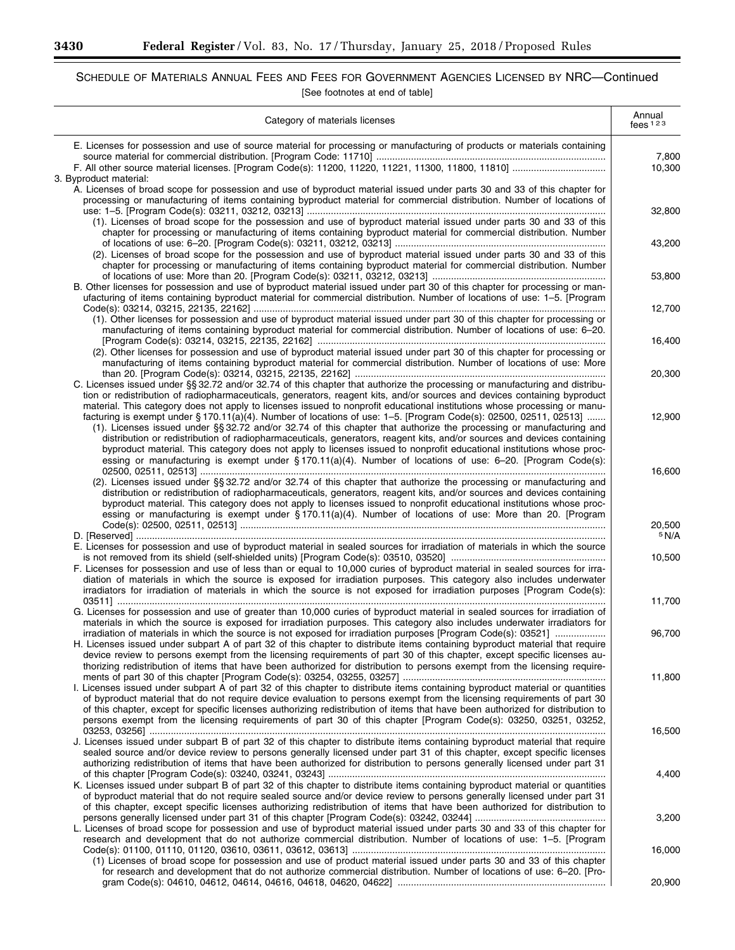▀

# SCHEDULE OF MATERIALS ANNUAL FEES AND FEES FOR GOVERNMENT AGENCIES LICENSED BY NRC—Continued [See footnotes at end of table]

| Category of materials licenses                                                                                                                                                                                                                                                                                                                                                                                                                                                                                                                                                                                                                 | Annual<br>fees $123$ |
|------------------------------------------------------------------------------------------------------------------------------------------------------------------------------------------------------------------------------------------------------------------------------------------------------------------------------------------------------------------------------------------------------------------------------------------------------------------------------------------------------------------------------------------------------------------------------------------------------------------------------------------------|----------------------|
| E. Licenses for possession and use of source material for processing or manufacturing of products or materials containing                                                                                                                                                                                                                                                                                                                                                                                                                                                                                                                      | 7,800                |
| 3. Byproduct material:                                                                                                                                                                                                                                                                                                                                                                                                                                                                                                                                                                                                                         | 10,300               |
| A. Licenses of broad scope for possession and use of byproduct material issued under parts 30 and 33 of this chapter for<br>processing or manufacturing of items containing byproduct material for commercial distribution. Number of locations of                                                                                                                                                                                                                                                                                                                                                                                             |                      |
| (1). Licenses of broad scope for the possession and use of byproduct material issued under parts 30 and 33 of this<br>chapter for processing or manufacturing of items containing byproduct material for commercial distribution. Number                                                                                                                                                                                                                                                                                                                                                                                                       | 32,800               |
| (2). Licenses of broad scope for the possession and use of byproduct material issued under parts 30 and 33 of this                                                                                                                                                                                                                                                                                                                                                                                                                                                                                                                             | 43,200               |
| chapter for processing or manufacturing of items containing byproduct material for commercial distribution. Number<br>B. Other licenses for possession and use of byproduct material issued under part 30 of this chapter for processing or man-                                                                                                                                                                                                                                                                                                                                                                                               | 53,800               |
| ufacturing of items containing byproduct material for commercial distribution. Number of locations of use: 1-5. [Program                                                                                                                                                                                                                                                                                                                                                                                                                                                                                                                       | 12,700               |
| (1). Other licenses for possession and use of byproduct material issued under part 30 of this chapter for processing or<br>manufacturing of items containing byproduct material for commercial distribution. Number of locations of use: 6-20.                                                                                                                                                                                                                                                                                                                                                                                                 | 16,400               |
| (2). Other licenses for possession and use of byproduct material issued under part 30 of this chapter for processing or<br>manufacturing of items containing byproduct material for commercial distribution. Number of locations of use: More                                                                                                                                                                                                                                                                                                                                                                                                  |                      |
| C. Licenses issued under §§ 32.72 and/or 32.74 of this chapter that authorize the processing or manufacturing and distribu-<br>tion or redistribution of radiopharmaceuticals, generators, reagent kits, and/or sources and devices containing byproduct<br>material. This category does not apply to licenses issued to nonprofit educational institutions whose processing or manu-                                                                                                                                                                                                                                                          | 20,300               |
| facturing is exempt under §170.11(a)(4). Number of locations of use: 1-5. [Program Code(s): 02500, 02511, 02513]<br>(1). Licenses issued under §§ 32.72 and/or 32.74 of this chapter that authorize the processing or manufacturing and<br>distribution or redistribution of radiopharmaceuticals, generators, reagent kits, and/or sources and devices containing<br>byproduct material. This category does not apply to licenses issued to nonprofit educational institutions whose proc-<br>essing or manufacturing is exempt under §170.11(a)(4). Number of locations of use: 6-20. [Program Code(s):                                      | 12,900               |
| (2). Licenses issued under §§ 32.72 and/or 32.74 of this chapter that authorize the processing or manufacturing and<br>distribution or redistribution of radiopharmaceuticals, generators, reagent kits, and/or sources and devices containing<br>byproduct material. This category does not apply to licenses issued to nonprofit educational institutions whose proc-<br>essing or manufacturing is exempt under §170.11(a)(4). Number of locations of use: More than 20. [Program                                                                                                                                                           | 16,600               |
|                                                                                                                                                                                                                                                                                                                                                                                                                                                                                                                                                                                                                                                | 20,500<br>5 N/A      |
| E. Licenses for possession and use of byproduct material in sealed sources for irradiation of materials in which the source<br>F. Licenses for possession and use of less than or equal to 10,000 curies of byproduct material in sealed sources for irra-<br>diation of materials in which the source is exposed for irradiation purposes. This category also includes underwater<br>irradiators for irradiation of materials in which the source is not exposed for irradiation purposes [Program Code(s):                                                                                                                                   | 10,500               |
| G. Licenses for possession and use of greater than 10,000 curies of byproduct material in sealed sources for irradiation of                                                                                                                                                                                                                                                                                                                                                                                                                                                                                                                    | 11,700               |
| materials in which the source is exposed for irradiation purposes. This category also includes underwater irradiators for<br>irradiation of materials in which the source is not exposed for irradiation purposes [Program Code(s): 03521]<br>H. Licenses issued under subpart A of part 32 of this chapter to distribute items containing byproduct material that require<br>device review to persons exempt from the licensing requirements of part 30 of this chapter, except specific licenses au-                                                                                                                                         | 96,700               |
| thorizing redistribution of items that have been authorized for distribution to persons exempt from the licensing require-<br>I. Licenses issued under subpart A of part 32 of this chapter to distribute items containing byproduct material or quantities<br>of byproduct material that do not require device evaluation to persons exempt from the licensing requirements of part 30<br>of this chapter, except for specific licenses authorizing redistribution of items that have been authorized for distribution to<br>persons exempt from the licensing requirements of part 30 of this chapter [Program Code(s): 03250, 03251, 03252, | 11,800               |
| J. Licenses issued under subpart B of part 32 of this chapter to distribute items containing byproduct material that require<br>sealed source and/or device review to persons generally licensed under part 31 of this chapter, except specific licenses<br>authorizing redistribution of items that have been authorized for distribution to persons generally licensed under part 31                                                                                                                                                                                                                                                         | 16,500               |
| K. Licenses issued under subpart B of part 32 of this chapter to distribute items containing byproduct material or quantities<br>of byproduct material that do not require sealed source and/or device review to persons generally licensed under part 31<br>of this chapter, except specific licenses authorizing redistribution of items that have been authorized for distribution to                                                                                                                                                                                                                                                       | 4,400                |
| L. Licenses of broad scope for possession and use of byproduct material issued under parts 30 and 33 of this chapter for                                                                                                                                                                                                                                                                                                                                                                                                                                                                                                                       | 3,200                |
| research and development that do not authorize commercial distribution. Number of locations of use: 1-5. [Program<br>(1) Licenses of broad scope for possession and use of product material issued under parts 30 and 33 of this chapter<br>for research and development that do not authorize commercial distribution. Number of locations of use: 6-20. [Pro-                                                                                                                                                                                                                                                                                | 16,000               |
|                                                                                                                                                                                                                                                                                                                                                                                                                                                                                                                                                                                                                                                | 20,900               |

 $\equiv$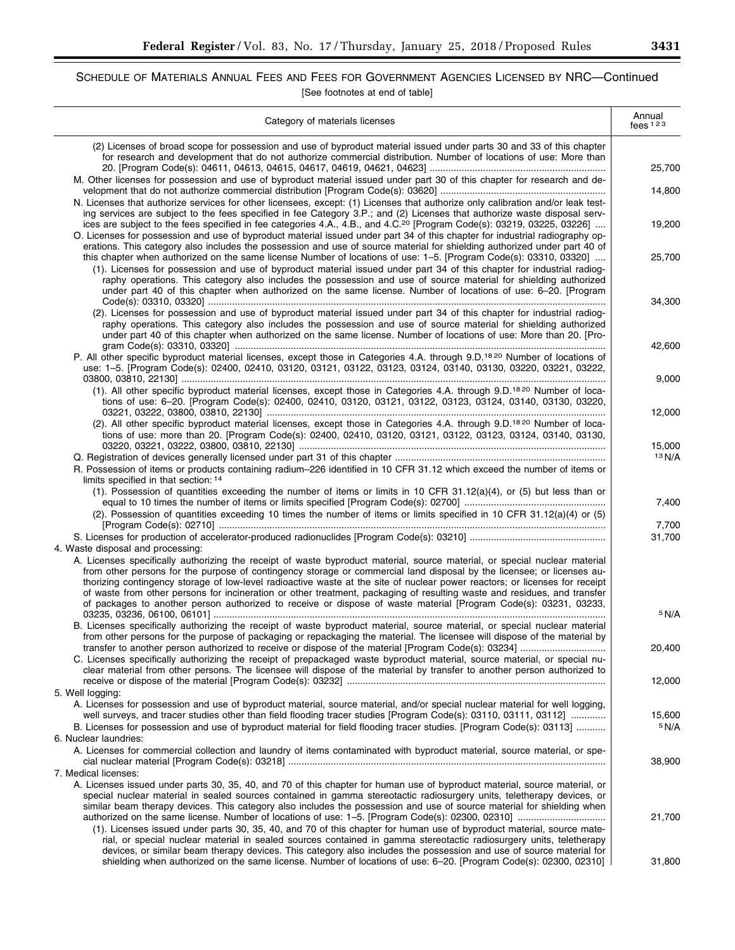# SCHEDULE OF MATERIALS ANNUAL FEES AND FEES FOR GOVERNMENT AGENCIES LICENSED BY NRC—Continued [See footnotes at end of table]

| Category of materials licenses                                                                                                                                                                                                                                                                                                                                                                                                                                                                                                                                                                                                      | Annual<br>fees $123$ |
|-------------------------------------------------------------------------------------------------------------------------------------------------------------------------------------------------------------------------------------------------------------------------------------------------------------------------------------------------------------------------------------------------------------------------------------------------------------------------------------------------------------------------------------------------------------------------------------------------------------------------------------|----------------------|
| (2) Licenses of broad scope for possession and use of byproduct material issued under parts 30 and 33 of this chapter<br>for research and development that do not authorize commercial distribution. Number of locations of use: More than                                                                                                                                                                                                                                                                                                                                                                                          | 25,700               |
| M. Other licenses for possession and use of byproduct material issued under part 30 of this chapter for research and de-<br>N. Licenses that authorize services for other licensees, except: (1) Licenses that authorize only calibration and/or leak test-                                                                                                                                                                                                                                                                                                                                                                         | 14,800               |
| ing services are subject to the fees specified in fee Category 3.P.; and (2) Licenses that authorize waste disposal serv-<br>ices are subject to the fees specified in fee categories 4.A., 4.B., and 4.C. <sup>20</sup> [Program Code(s): 03219, 03225, 03226]<br>O. Licenses for possession and use of byproduct material issued under part 34 of this chapter for industrial radiography op-<br>erations. This category also includes the possession and use of source material for shielding authorized under part 40 of                                                                                                        | 19,200               |
| this chapter when authorized on the same license Number of locations of use: 1–5. [Program Code(s): 03310, 03320]<br>(1). Licenses for possession and use of byproduct material issued under part 34 of this chapter for industrial radiog-<br>raphy operations. This category also includes the possession and use of source material for shielding authorized<br>under part 40 of this chapter when authorized on the same license. Number of locations of use: 6-20. [Program                                                                                                                                                    | 25,700               |
| (2). Licenses for possession and use of byproduct material issued under part 34 of this chapter for industrial radiog-<br>raphy operations. This category also includes the possession and use of source material for shielding authorized<br>under part 40 of this chapter when authorized on the same license. Number of locations of use: More than 20. [Pro-                                                                                                                                                                                                                                                                    | 34,300<br>42,600     |
| P. All other specific byproduct material licenses, except those in Categories 4.A. through 9.D. <sup>1820</sup> Number of locations of<br>use: 1-5. [Program Code(s): 02400, 02410, 03120, 03121, 03122, 03123, 03124, 03140, 03130, 03220, 03221, 03222,                                                                                                                                                                                                                                                                                                                                                                           |                      |
| (1). All other specific byproduct material licenses, except those in Categories 4.A. through 9.D. <sup>1820</sup> Number of loca-<br>tions of use: 6-20. [Program Code(s): 02400, 02410, 03120, 03121, 03122, 03123, 03124, 03140, 03130, 03220,                                                                                                                                                                                                                                                                                                                                                                                    | 9,000                |
| (2). All other specific byproduct material licenses, except those in Categories 4.A. through 9.D. <sup>1820</sup> Number of loca-<br>tions of use: more than 20. [Program Code(s): 02400, 02410, 03120, 03121, 03122, 03123, 03124, 03140, 03130,                                                                                                                                                                                                                                                                                                                                                                                   | 12,000               |
| R. Possession of items or products containing radium-226 identified in 10 CFR 31.12 which exceed the number of items or<br>limits specified in that section: 14                                                                                                                                                                                                                                                                                                                                                                                                                                                                     | 15,000<br>13 N/A     |
| (1). Possession of quantities exceeding the number of items or limits in 10 CFR 31.12(a)(4), or (5) but less than or<br>(2). Possession of quantities exceeding 10 times the number of items or limits specified in 10 CFR 31.12(a)(4) or (5)                                                                                                                                                                                                                                                                                                                                                                                       | 7,400                |
| 4. Waste disposal and processing:                                                                                                                                                                                                                                                                                                                                                                                                                                                                                                                                                                                                   | 7,700<br>31,700      |
| A. Licenses specifically authorizing the receipt of waste byproduct material, source material, or special nuclear material<br>from other persons for the purpose of contingency storage or commercial land disposal by the licensee; or licenses au-<br>thorizing contingency storage of low-level radioactive waste at the site of nuclear power reactors; or licenses for receipt<br>of waste from other persons for incineration or other treatment, packaging of resulting waste and residues, and transfer<br>of packages to another person authorized to receive or dispose of waste material [Program Code(s): 03231, 03233, |                      |
| B. Licenses specifically authorizing the receipt of waste byproduct material, source material, or special nuclear material<br>from other persons for the purpose of packaging or repackaging the material. The licensee will dispose of the material by                                                                                                                                                                                                                                                                                                                                                                             | 5 N/A<br>20,400      |
| C. Licenses specifically authorizing the receipt of prepackaged waste byproduct material, source material, or special nu-<br>clear material from other persons. The licensee will dispose of the material by transfer to another person authorized to                                                                                                                                                                                                                                                                                                                                                                               | 12,000               |
| 5. Well logging:<br>A. Licenses for possession and use of byproduct material, source material, and/or special nuclear material for well logging,<br>well surveys, and tracer studies other than field flooding tracer studies [Program Code(s): 03110, 03111, 03112]                                                                                                                                                                                                                                                                                                                                                                | 15,600               |
| B. Licenses for possession and use of byproduct material for field flooding tracer studies. [Program Code(s): 03113]<br>6. Nuclear laundries:                                                                                                                                                                                                                                                                                                                                                                                                                                                                                       | 5 N/A                |
| A. Licenses for commercial collection and laundry of items contaminated with byproduct material, source material, or spe-<br>7. Medical licenses:                                                                                                                                                                                                                                                                                                                                                                                                                                                                                   | 38,900               |
| A. Licenses issued under parts 30, 35, 40, and 70 of this chapter for human use of byproduct material, source material, or<br>special nuclear material in sealed sources contained in gamma stereotactic radiosurgery units, teletherapy devices, or<br>similar beam therapy devices. This category also includes the possession and use of source material for shielding when<br>(1). Licenses issued under parts 30, 35, 40, and 70 of this chapter for human use of byproduct material, source mate-<br>rial, or special nuclear material in sealed sources contained in gamma stereotactic radiosurgery units, teletherapy      | 21,700               |
| devices, or similar beam therapy devices. This category also includes the possession and use of source material for<br>shielding when authorized on the same license. Number of locations of use: 6-20. [Program Code(s): 02300, 02310]                                                                                                                                                                                                                                                                                                                                                                                             | 31,800               |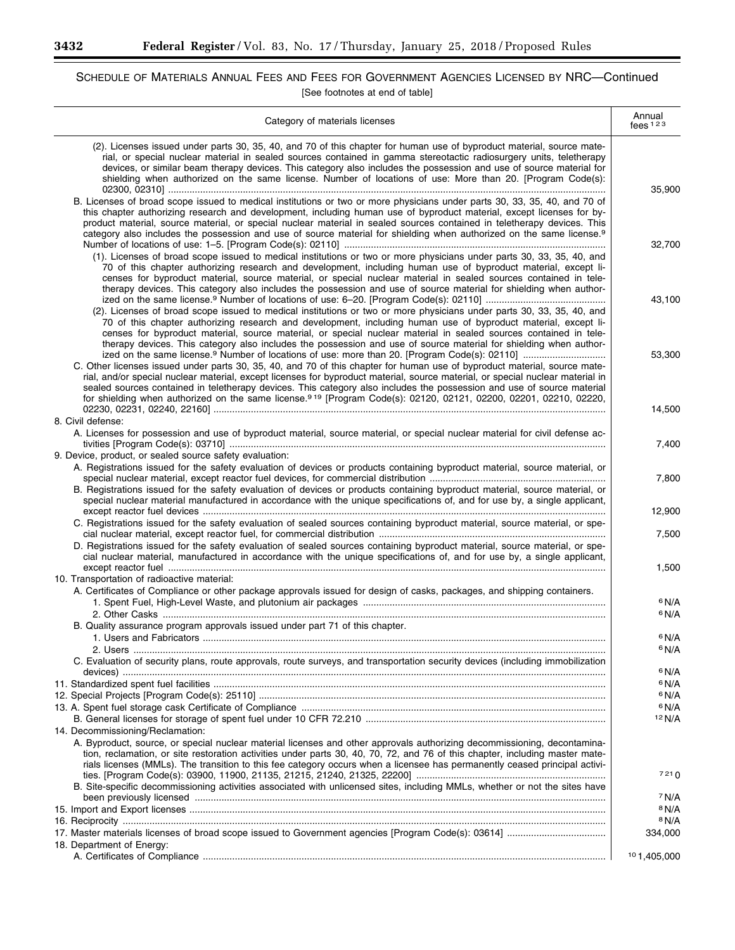۰

# SCHEDULE OF MATERIALS ANNUAL FEES AND FEES FOR GOVERNMENT AGENCIES LICENSED BY NRC—Continued [See footnotes at end of table]

| Category of materials licenses                                                                                                                                                                                                                                                                                                                                                                                                                                                                                         | Annual<br>fees $123$        |
|------------------------------------------------------------------------------------------------------------------------------------------------------------------------------------------------------------------------------------------------------------------------------------------------------------------------------------------------------------------------------------------------------------------------------------------------------------------------------------------------------------------------|-----------------------------|
| (2). Licenses issued under parts 30, 35, 40, and 70 of this chapter for human use of byproduct material, source mate-<br>rial, or special nuclear material in sealed sources contained in gamma stereotactic radiosurgery units, teletherapy<br>devices, or similar beam therapy devices. This category also includes the possession and use of source material for<br>shielding when authorized on the same license. Number of locations of use: More than 20. [Program Code(s):                                      | 35,900                      |
| B. Licenses of broad scope issued to medical institutions or two or more physicians under parts 30, 33, 35, 40, and 70 of<br>this chapter authorizing research and development, including human use of byproduct material, except licenses for by-<br>product material, source material, or special nuclear material in sealed sources contained in teletherapy devices. This<br>category also includes the possession and use of source material for shielding when authorized on the same license. <sup>9</sup>      | 32.700                      |
| (1). Licenses of broad scope issued to medical institutions or two or more physicians under parts 30, 33, 35, 40, and<br>70 of this chapter authorizing research and development, including human use of byproduct material, except li-<br>censes for byproduct material, source material, or special nuclear material in sealed sources contained in tele-<br>therapy devices. This category also includes the possession and use of source material for shielding when author-                                       |                             |
| (2). Licenses of broad scope issued to medical institutions or two or more physicians under parts 30, 33, 35, 40, and<br>70 of this chapter authorizing research and development, including human use of byproduct material, except li-<br>censes for byproduct material, source material, or special nuclear material in sealed sources contained in tele-<br>therapy devices. This category also includes the possession and use of source material for shielding when author-                                       | 43,100                      |
| C. Other licenses issued under parts 30, 35, 40, and 70 of this chapter for human use of byproduct material, source mate-<br>rial, and/or special nuclear material, except licenses for byproduct material, source material, or special nuclear material in<br>sealed sources contained in teletherapy devices. This category also includes the possession and use of source material<br>for shielding when authorized on the same license. <sup>919</sup> [Program Code(s): 02120, 02121, 02200, 02201, 02210, 02220, | 53,300                      |
| 8. Civil defense:<br>A. Licenses for possession and use of byproduct material, source material, or special nuclear material for civil defense ac-                                                                                                                                                                                                                                                                                                                                                                      | 14,500                      |
| 9. Device, product, or sealed source safety evaluation:<br>A. Registrations issued for the safety evaluation of devices or products containing byproduct material, source material, or                                                                                                                                                                                                                                                                                                                                 | 7,400                       |
| B. Registrations issued for the safety evaluation of devices or products containing byproduct material, source material, or<br>special nuclear material manufactured in accordance with the unique specifications of, and for use by, a single applicant,                                                                                                                                                                                                                                                              | 7,800                       |
| C. Registrations issued for the safety evaluation of sealed sources containing byproduct material, source material, or spe-                                                                                                                                                                                                                                                                                                                                                                                            | 12,900                      |
| D. Registrations issued for the safety evaluation of sealed sources containing byproduct material, source material, or spe-<br>cial nuclear material, manufactured in accordance with the unique specifications of, and for use by, a single applicant,                                                                                                                                                                                                                                                                | 7,500                       |
| 10. Transportation of radioactive material:<br>A. Certificates of Compliance or other package approvals issued for design of casks, packages, and shipping containers.                                                                                                                                                                                                                                                                                                                                                 | 1,500                       |
|                                                                                                                                                                                                                                                                                                                                                                                                                                                                                                                        | 6 N/A<br>6 N/A              |
| B. Quality assurance program approvals issued under part 71 of this chapter.                                                                                                                                                                                                                                                                                                                                                                                                                                           | 6 N/A<br>6 N/A              |
| C. Evaluation of security plans, route approvals, route surveys, and transportation security devices (including immobilization                                                                                                                                                                                                                                                                                                                                                                                         | 6 N/A                       |
|                                                                                                                                                                                                                                                                                                                                                                                                                                                                                                                        | <sup>6</sup> N/A<br>6 N/A   |
|                                                                                                                                                                                                                                                                                                                                                                                                                                                                                                                        | 6 N/A                       |
| 14. Decommissioning/Reclamation:                                                                                                                                                                                                                                                                                                                                                                                                                                                                                       | 12 N/A                      |
| A. Byproduct, source, or special nuclear material licenses and other approvals authorizing decommissioning, decontamina-<br>tion, reclamation, or site restoration activities under parts 30, 40, 70, 72, and 76 of this chapter, including master mate-<br>rials licenses (MMLs). The transition to this fee category occurs when a licensee has permanently ceased principal activi-                                                                                                                                 | 7210                        |
| B. Site-specific decommissioning activities associated with unlicensed sites, including MMLs, whether or not the sites have                                                                                                                                                                                                                                                                                                                                                                                            | 7 N/A                       |
|                                                                                                                                                                                                                                                                                                                                                                                                                                                                                                                        | <sup>8</sup> N/A            |
|                                                                                                                                                                                                                                                                                                                                                                                                                                                                                                                        | <sup>8</sup> N/A<br>334,000 |
| 18. Department of Energy:                                                                                                                                                                                                                                                                                                                                                                                                                                                                                              | 101,405,000                 |

Ξ